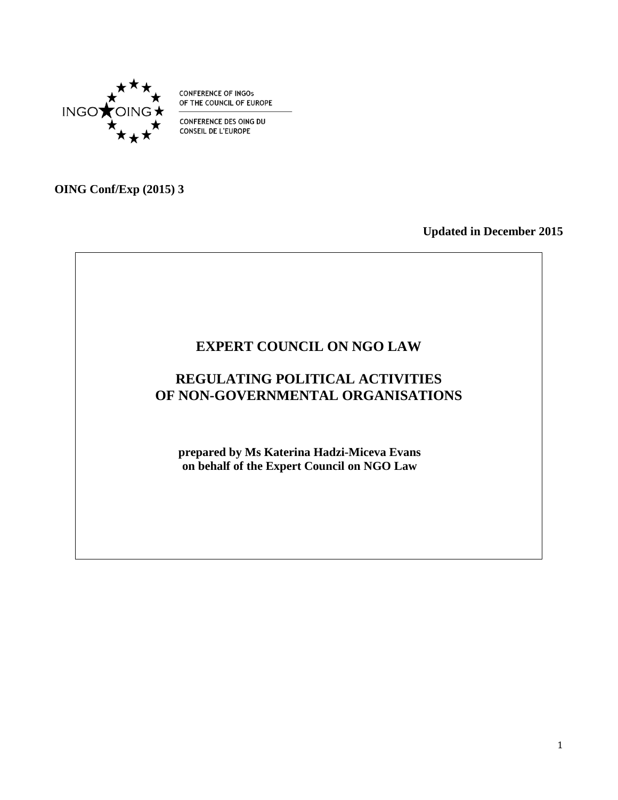

**CONFERENCE OF INGOs** OF THE COUNCIL OF EUROPE

CONFERENCE DES OING DU **CONSEIL DE L'EUROPE** 

**OING Conf/Exp (2015) 3**

**Updated in December 2015**

# **EXPERT COUNCIL ON NGO LAW REGULATING POLITICAL ACTIVITIES OF NON-GOVERNMENTAL ORGANISATIONS prepared by Ms Katerina Hadzi-Miceva Evans on behalf of the Expert Council on NGO Law**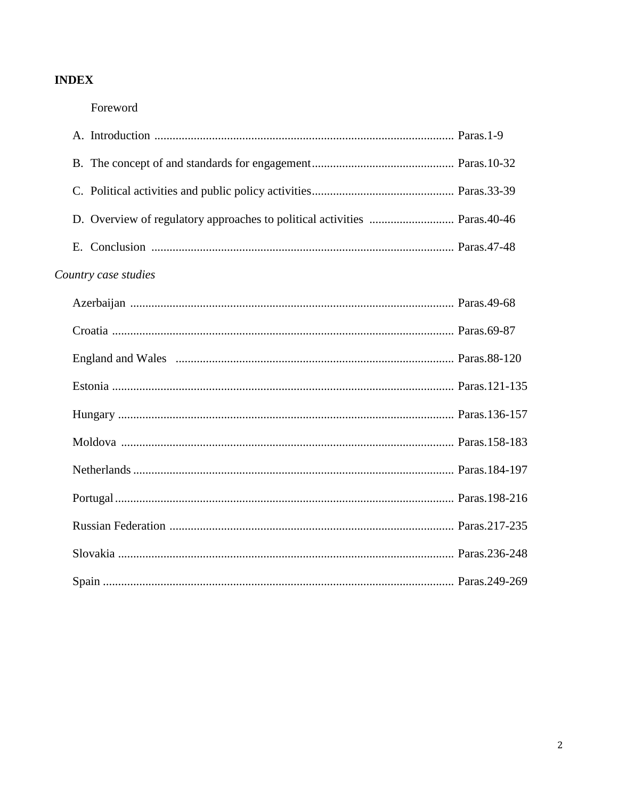# **INDEX**

## Foreword

| Country case studies |  |
|----------------------|--|
|                      |  |
|                      |  |
|                      |  |
|                      |  |
|                      |  |
|                      |  |
|                      |  |
|                      |  |
|                      |  |
|                      |  |
|                      |  |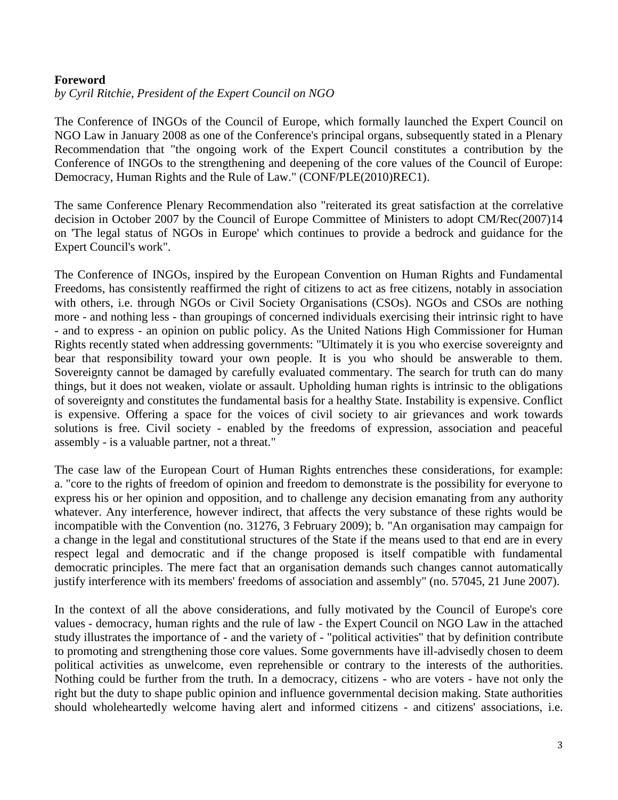#### **Foreword**

*by Cyril Ritchie, President of the Expert Council on NGO*

The Conference of INGOs of the Council of Europe, which formally launched the Expert Council on NGO Law in January 2008 as one of the Conference's principal organs, subsequently stated in a Plenary Recommendation that "the ongoing work of the Expert Council constitutes a contribution by the Conference of INGOs to the strengthening and deepening of the core values of the Council of Europe: Democracy, Human Rights and the Rule of Law." (CONF/PLE(2010)REC1).

The same Conference Plenary Recommendation also "reiterated its great satisfaction at the correlative decision in October 2007 by the Council of Europe Committee of Ministers to adopt CM/Rec(2007)14 on 'The legal status of NGOs in Europe' which continues to provide a bedrock and guidance for the Expert Council's work".

The Conference of INGOs, inspired by the European Convention on Human Rights and Fundamental Freedoms, has consistently reaffirmed the right of citizens to act as free citizens, notably in association with others, i.e. through NGOs or Civil Society Organisations (CSOs). NGOs and CSOs are nothing more - and nothing less - than groupings of concerned individuals exercising their intrinsic right to have - and to express - an opinion on public policy. As the United Nations High Commissioner for Human Rights recently stated when addressing governments: "Ultimately it is you who exercise sovereignty and bear that responsibility toward your own people. It is you who should be answerable to them. Sovereignty cannot be damaged by carefully evaluated commentary. The search for truth can do many things, but it does not weaken, violate or assault. Upholding human rights is intrinsic to the obligations of sovereignty and constitutes the fundamental basis for a healthy State. Instability is expensive. Conflict is expensive. Offering a space for the voices of civil society to air grievances and work towards solutions is free. Civil society - enabled by the freedoms of expression, association and peaceful assembly - is a valuable partner, not a threat."

The case law of the European Court of Human Rights entrenches these considerations, for example: a. "core to the rights of freedom of opinion and freedom to demonstrate is the possibility for everyone to express his or her opinion and opposition, and to challenge any decision emanating from any authority whatever. Any interference, however indirect, that affects the very substance of these rights would be incompatible with the Convention (no. 31276, 3 February 2009); b. "An organisation may campaign for a change in the legal and constitutional structures of the State if the means used to that end are in every respect legal and democratic and if the change proposed is itself compatible with fundamental democratic principles. The mere fact that an organisation demands such changes cannot automatically justify interference with its members' freedoms of association and assembly" (no. 57045, 21 June 2007).

In the context of all the above considerations, and fully motivated by the Council of Europe's core values - democracy, human rights and the rule of law - the Expert Council on NGO Law in the attached study illustrates the importance of - and the variety of - "political activities" that by definition contribute to promoting and strengthening those core values. Some governments have ill-advisedly chosen to deem political activities as unwelcome, even reprehensible or contrary to the interests of the authorities. Nothing could be further from the truth. In a democracy, citizens - who are voters - have not only the right but the duty to shape public opinion and influence governmental decision making. State authorities should wholeheartedly welcome having alert and informed citizens - and citizens' associations, i.e.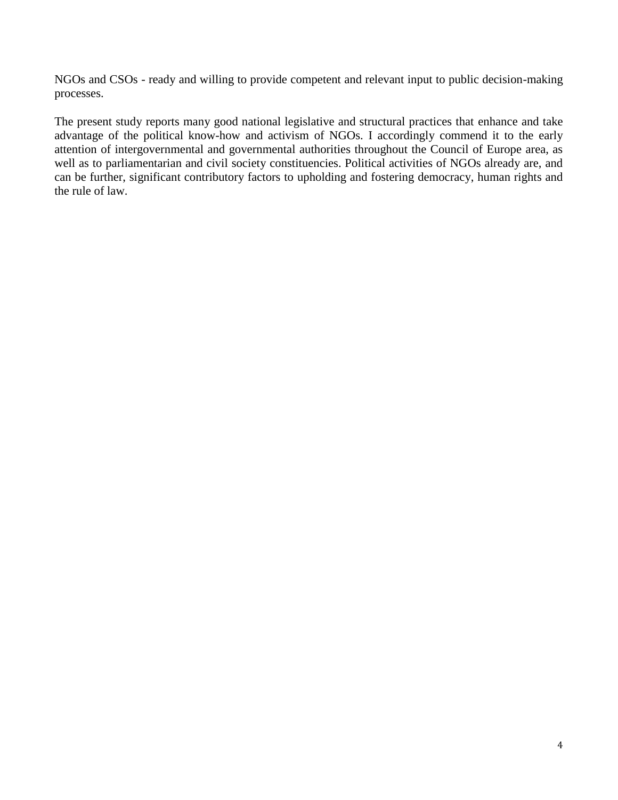NGOs and CSOs - ready and willing to provide competent and relevant input to public decision-making processes.

The present study reports many good national legislative and structural practices that enhance and take advantage of the political know-how and activism of NGOs. I accordingly commend it to the early attention of intergovernmental and governmental authorities throughout the Council of Europe area, as well as to parliamentarian and civil society constituencies. Political activities of NGOs already are, and can be further, significant contributory factors to upholding and fostering democracy, human rights and the rule of law.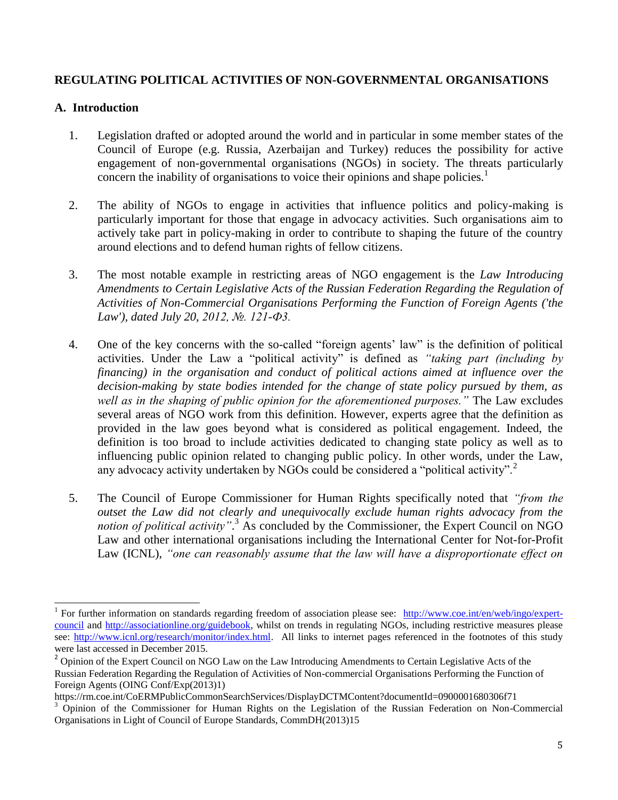## **REGULATING POLITICAL ACTIVITIES OF NON-GOVERNMENTAL ORGANISATIONS**

## **A. Introduction**

- 1. Legislation drafted or adopted around the world and in particular in some member states of the Council of Europe (e.g. Russia, Azerbaijan and Turkey) reduces the possibility for active engagement of non-governmental organisations (NGOs) in society. The threats particularly concern the inability of organisations to voice their opinions and shape policies.<sup>1</sup>
- 2. The ability of NGOs to engage in activities that influence politics and policy-making is particularly important for those that engage in advocacy activities. Such organisations aim to actively take part in policy-making in order to contribute to shaping the future of the country around elections and to defend human rights of fellow citizens.
- 3. The most notable example in restricting areas of NGO engagement is the *Law Introducing Amendments to Certain Legislative Acts of the Russian Federation Regarding the Regulation of Activities of Non-Commercial Organisations Performing the Function of Foreign Agents ('the Law'), dated July 20, 2012, №. 121-Ф3.*
- 4. One of the key concerns with the so-called "foreign agents' law" is the definition of political activities. Under the Law a "political activity" is defined as *"taking part (including by financing) in the organisation and conduct of political actions aimed at influence over the decision-making by state bodies intended for the change of state policy pursued by them, as well as in the shaping of public opinion for the aforementioned purposes."* The Law excludes several areas of NGO work from this definition. However, experts agree that the definition as provided in the law goes beyond what is considered as political engagement. Indeed, the definition is too broad to include activities dedicated to changing state policy as well as to influencing public opinion related to changing public policy. In other words, under the Law, any advocacy activity undertaken by NGOs could be considered a "political activity".<sup>2</sup>
- 5. The Council of Europe Commissioner for Human Rights specifically noted that *"from the outset the Law did not clearly and unequivocally exclude human rights advocacy from the*  notion of political activity".<sup>3</sup> As concluded by the Commissioner, the Expert Council on NGO Law and other international organisations including the International Center for Not-for-Profit Law (ICNL), *"one can reasonably assume that the law will have a disproportionate effect on*

 $\overline{a}$ <sup>1</sup> For further information on standards regarding freedom of association please see: [http://www.coe.int/en/web/ingo/expert](http://www.coe.int/en/web/ingo/expert-council)[council](http://www.coe.int/en/web/ingo/expert-council) and [http://associationline.org/guidebook,](http://associationline.org/guidebook) whilst on trends in regulating NGOs, including restrictive measures please see: [http://www.icnl.org/research/monitor/index.html.](http://www.icnl.org/research/monitor/index.html) All links to internet pages referenced in the footnotes of this study were last accessed in December 2015.

<sup>&</sup>lt;sup>2</sup> Opinion of the Expert Council on NGO Law on the Law Introducing Amendments to Certain Legislative Acts of the Russian Federation Regarding the Regulation of Activities of Non-commercial Organisations Performing the Function of Foreign Agents (OING Conf/Exp(2013)1)

<https://rm.coe.int/CoERMPublicCommonSearchServices/DisplayDCTMContent?documentId=0900001680306f71>

<sup>&</sup>lt;sup>3</sup> Opinion of the Commissioner for Human Rights on the Legislation of the Russian Federation on Non-Commercial Organisations in Light of Council of Europe Standards, CommDH(2013)15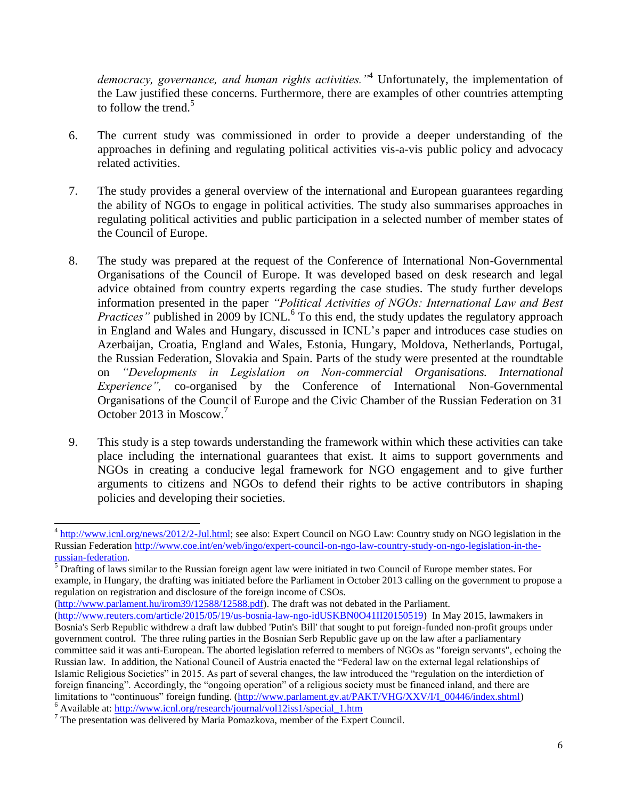*democracy, governance, and human rights activities."*<sup>4</sup> Unfortunately, the implementation of the Law justified these concerns. Furthermore, there are examples of other countries attempting to follow the trend.<sup>5</sup>

- 6. The current study was commissioned in order to provide a deeper understanding of the approaches in defining and regulating political activities vis-a-vis public policy and advocacy related activities.
- 7. The study provides a general overview of the international and European guarantees regarding the ability of NGOs to engage in political activities. The study also summarises approaches in regulating political activities and public participation in a selected number of member states of the Council of Europe.
- 8. The study was prepared at the request of the Conference of International Non-Governmental Organisations of the Council of Europe. It was developed based on desk research and legal advice obtained from country experts regarding the case studies. The study further develops information presented in the paper *"Political Activities of NGOs: International Law and Best Practices*" published in 2009 by ICNL.<sup>6</sup> To this end, the study updates the regulatory approach in England and Wales and Hungary, discussed in ICNL's paper and introduces case studies on Azerbaijan, Croatia, England and Wales, Estonia, Hungary, Moldova, Netherlands, Portugal, the Russian Federation, Slovakia and Spain. Parts of the study were presented at the roundtable on *"Developments in Legislation on Non-commercial Organisations. International Experience"*, co-organised by the Conference of International Non-Governmental Organisations of the Council of Europe and the Civic Chamber of the Russian Federation on 31 October 2013 in Moscow.<sup>7</sup>
- 9. This study is a step towards understanding the framework within which these activities can take place including the international guarantees that exist. It aims to support governments and NGOs in creating a conducive legal framework for NGO engagement and to give further arguments to citizens and NGOs to defend their rights to be active contributors in shaping policies and developing their societies.

 $\overline{\phantom{0}}$ 4 [http://www.icnl.org/news/2012/2-Jul.html;](http://www.icnl.org/news/2012/2-Jul.html) see also: Expert Council on NGO Law: Country study on NGO legislation in the Russian Federation [http://www.coe.int/en/web/ingo/expert-council-on-ngo-law-country-study-on-ngo-legislation-in-the](http://www.coe.int/en/web/ingo/expert-council-on-ngo-law-country-study-on-ngo-legislation-in-the-russian-federation)[russian-federation.](http://www.coe.int/en/web/ingo/expert-council-on-ngo-law-country-study-on-ngo-legislation-in-the-russian-federation)

 $<sup>5</sup>$  Drafting of laws similar to the Russian foreign agent law were initiated in two Council of Europe member states. For</sup> example, in Hungary, the drafting was initiated before the Parliament in October 2013 calling on the government to propose a regulation on registration and disclosure of the foreign income of CSOs.

[<sup>\(</sup>http://www.parlament.hu/irom39/12588/12588.pdf\)](http://www.parlament.hu/irom39/12588/12588.pdf). The draft was not debated in the Parliament.

[<sup>\(</sup>http://www.reuters.com/article/2015/05/19/us-bosnia-law-ngo-idUSKBN0O41II20150519\)](http://www.reuters.com/article/2015/05/19/us-bosnia-law-ngo-idUSKBN0O41II20150519) In May 2015, lawmakers in Bosnia's Serb Republic withdrew a draft law dubbed 'Putin's Bill' that sought to put foreign-funded non-profit groups under government control. The three ruling parties in the Bosnian Serb Republic gave up on the law after a parliamentary committee said it was anti-European. The aborted legislation referred to members of NGOs as "foreign servants", echoing the Russian law. In addition, the National Council of Austria enacted the "Federal law on the external legal relationships of Islamic Religious Societies" in 2015. As part of several changes, the law introduced the "regulation on the interdiction of foreign financing". Accordingly, the "ongoing operation" of a religious society must be financed inland, and there are limitations to "continuous" foreign funding. [\(http://www.parlament.gv.at/PAKT/VHG/XXV/I/I\\_00446/index.shtml\)](http://www.parlament.gv.at/PAKT/VHG/XXV/I/I_00446/index.shtml) <sup>6</sup> Available at: [http://www.icnl.org/research/journal/vol12iss1/special\\_1.htm](http://www.icnl.org/research/journal/vol12iss1/special_1.htm)

 $<sup>7</sup>$  The presentation was delivered by Maria Pomazkova, member of the Expert Council.</sup>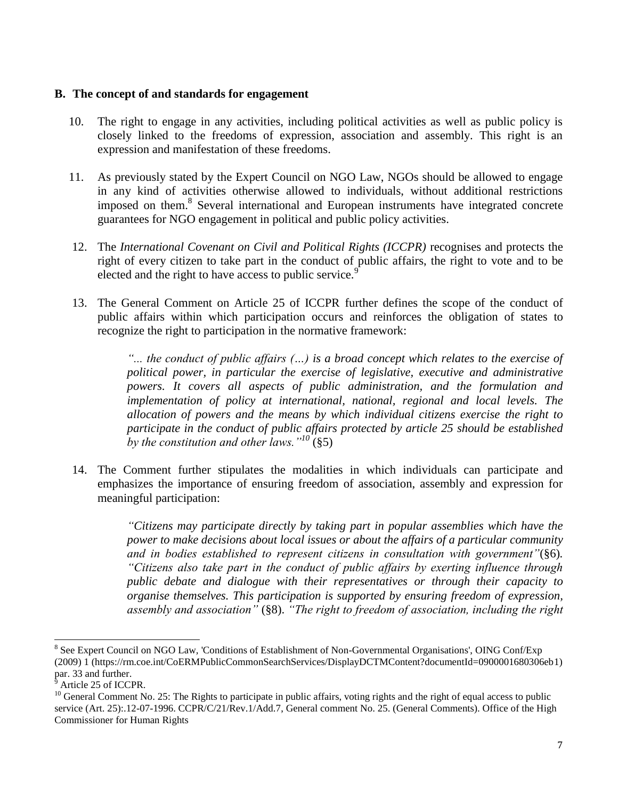#### **B. The concept of and standards for engagement**

- 10. The right to engage in any activities, including political activities as well as public policy is closely linked to the freedoms of expression, association and assembly. This right is an expression and manifestation of these freedoms.
- 11. As previously stated by the Expert Council on NGO Law, NGOs should be allowed to engage in any kind of activities otherwise allowed to individuals, without additional restrictions imposed on them.<sup>8</sup> Several international and European instruments have integrated concrete guarantees for NGO engagement in political and public policy activities.
- 12. The *International Covenant on Civil and Political Rights (ICCPR)* recognises and protects the right of every citizen to take part in the conduct of public affairs, the right to vote and to be elected and the right to have access to public service.<sup>9</sup>
- 13. The General Comment on Article 25 of ICCPR further defines the scope of the conduct of public affairs within which participation occurs and reinforces the obligation of states to recognize the right to participation in the normative framework:

*"... the conduct of public affairs (…) is a broad concept which relates to the exercise of political power, in particular the exercise of legislative, executive and administrative powers. It covers all aspects of public administration, and the formulation and implementation of policy at international, national, regional and local levels. The allocation of powers and the means by which individual citizens exercise the right to participate in the conduct of public affairs protected by article 25 should be established by the constitution and other laws."<sup>10</sup>* (§5)

14. The Comment further stipulates the modalities in which individuals can participate and emphasizes the importance of ensuring freedom of association, assembly and expression for meaningful participation:

> *"Citizens may participate directly by taking part in popular assemblies which have the power to make decisions about local issues or about the affairs of a particular community and in bodies established to represent citizens in consultation with government"*(§6)*. "Citizens also take part in the conduct of public affairs by exerting influence through public debate and dialogue with their representatives or through their capacity to organise themselves. This participation is supported by ensuring freedom of expression, assembly and association"* (§8). *"The right to freedom of association, including the right*

 $\overline{a}$ 

<sup>8</sup> See Expert Council on NGO Law*,* 'Conditions of Establishment of Non-Governmental Organisations', OING Conf/Exp (2009) 1 (https://rm.coe.int/CoERMPublicCommonSearchServices/DisplayDCTMContent?documentId=0900001680306eb1) par. 33 and further.

Article 25 of ICCPR.

 $10$  General Comment No. 25: The Rights to participate in public affairs, voting rights and the right of equal access to public service (Art. 25):.12-07-1996. CCPR/C/21/Rev.1/Add.7, General comment No. 25. (General Comments). Office of the High Commissioner for Human Rights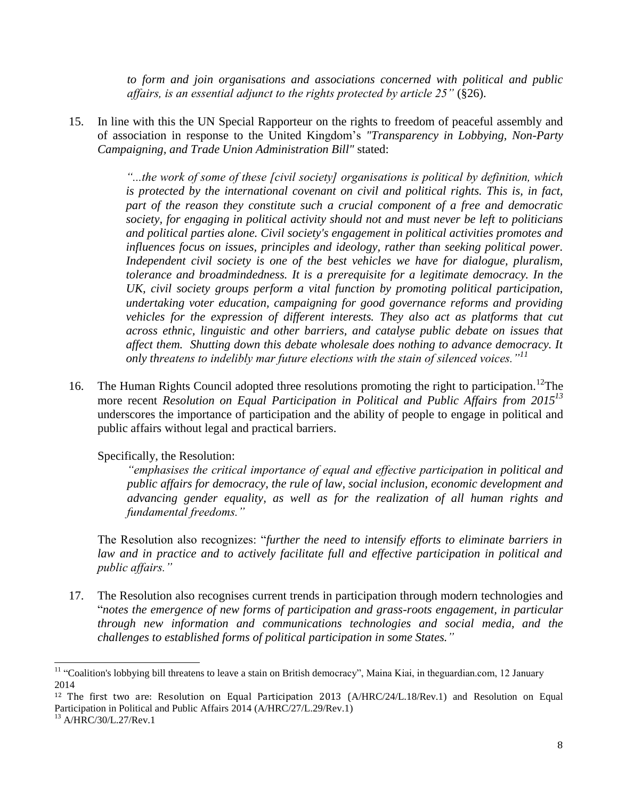*to form and join organisations and associations concerned with political and public affairs, is an essential adjunct to the rights protected by article 25"* (§26).

15. In line with this the UN Special Rapporteur on the rights to freedom of peaceful assembly and of association in response to the United Kingdom's *"Transparency in Lobbying, Non-Party Campaigning, and Trade Union Administration Bill"* stated:

> *"...the work of some of these [civil society] organisations is political by definition, which is protected by the international covenant on civil and political rights. This is, in fact,*  part of the reason they constitute such a crucial component of a free and democratic *society, for engaging in political activity should not and must never be left to politicians and political parties alone. Civil society's engagement in political activities promotes and influences focus on issues, principles and ideology, rather than seeking political power. Independent civil society is one of the best vehicles we have for dialogue, pluralism, tolerance and broadmindedness. It is a prerequisite for a legitimate democracy. In the UK, civil society groups perform a vital function by promoting political participation, undertaking voter education, campaigning for good governance reforms and providing vehicles for the expression of different interests. They also act as platforms that cut across ethnic, linguistic and other barriers, and catalyse public debate on issues that affect them. Shutting down this debate wholesale does nothing to advance democracy. It only threatens to indelibly mar future elections with the stain of silenced voices."<sup>11</sup>*

16. The Human Rights Council adopted three resolutions promoting the right to participation.<sup>12</sup>The more recent *Resolution on Equal Participation in Political and Public Affairs from 2015<sup>13</sup>* underscores the importance of participation and the ability of people to engage in political and public affairs without legal and practical barriers.

Specifically, the Resolution:

*"emphasises the critical importance of equal and effective participation in political and public affairs for democracy, the rule of law, social inclusion, economic development and advancing gender equality, as well as for the realization of all human rights and fundamental freedoms."*

The Resolution also recognizes: "*further the need to intensify efforts to eliminate barriers in*  law and in practice and to actively facilitate full and effective participation in political and *public affairs."*

17. The Resolution also recognises current trends in participation through modern technologies and "*notes the emergence of new forms of participation and grass-roots engagement, in particular through new information and communications technologies and social media, and the challenges to established forms of political participation in some States."*

l

<sup>&</sup>lt;sup>11</sup> "Coalition's lobbying bill threatens to leave a stain on British democracy", Maina Kiai, in theguardian.com, 12 January 2014

<sup>&</sup>lt;sup>12</sup> The first two are: Resolution on Equal Participation 2013 (A/HRC/24/L.18/Rev.1) and Resolution on Equal Participation in Political and Public Affairs 2014 (A/HRC/27/L.29/Rev.1)

<sup>13</sup> A/HRC/30/L.27/Rev.1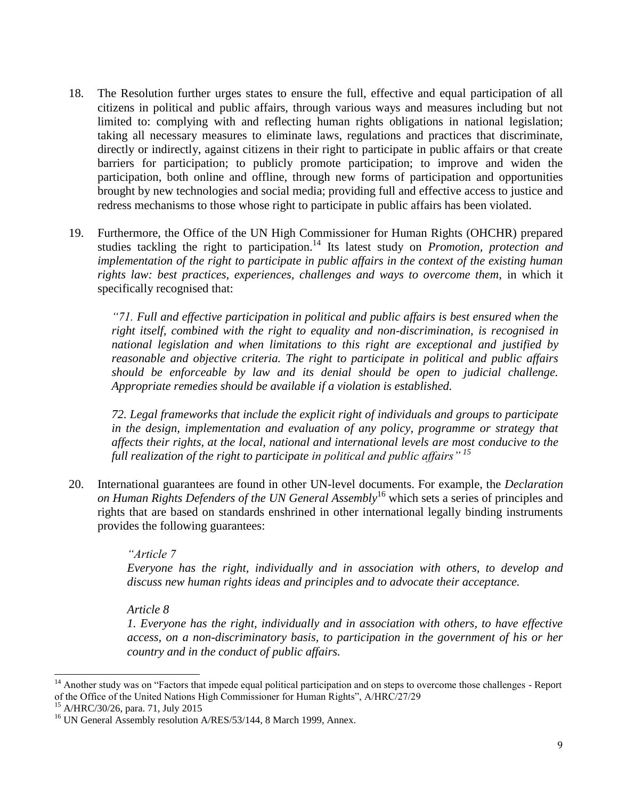- 18. The Resolution further urges states to ensure the full, effective and equal participation of all citizens in political and public affairs, through various ways and measures including but not limited to: complying with and reflecting human rights obligations in national legislation; taking all necessary measures to eliminate laws, regulations and practices that discriminate, directly or indirectly, against citizens in their right to participate in public affairs or that create barriers for participation; to publicly promote participation; to improve and widen the participation, both online and offline, through new forms of participation and opportunities brought by new technologies and social media; providing full and effective access to justice and redress mechanisms to those whose right to participate in public affairs has been violated.
- 19. Furthermore, the Office of the UN High Commissioner for Human Rights (OHCHR) prepared studies tackling the right to participation.<sup>14</sup> Its latest study on *Promotion, protection and implementation of the right to participate in public affairs in the context of the existing human* rights law: best practices, experiences, challenges and ways to overcome them, in which it specifically recognised that:

*"71. Full and effective participation in political and public affairs is best ensured when the right itself, combined with the right to equality and non-discrimination, is recognised in national legislation and when limitations to this right are exceptional and justified by reasonable and objective criteria. The right to participate in political and public affairs should be enforceable by law and its denial should be open to judicial challenge. Appropriate remedies should be available if a violation is established.*

*72. Legal frameworks that include the explicit right of individuals and groups to participate in the design, implementation and evaluation of any policy, programme or strategy that affects their rights, at the local, national and international levels are most conducive to the full realization of the right to participate in political and public affairs" <sup>15</sup>*

20. International guarantees are found in other UN-level documents. For example, the *Declaration on Human Rights Defenders of the UN General Assembly*<sup>16</sup> which sets a series of principles and rights that are based on standards enshrined in other international legally binding instruments provides the following guarantees:

#### *"Article 7*

*Everyone has the right, individually and in association with others, to develop and discuss new human rights ideas and principles and to advocate their acceptance.*

#### *Article 8*

*1. Everyone has the right, individually and in association with others, to have effective access, on a non-discriminatory basis, to participation in the government of his or her country and in the conduct of public affairs.*

 $\overline{\phantom{0}}$ 

 $14$  Another study was on "Factors that impede equal political participation and on steps to overcome those challenges - Report of the Office of the United Nations High Commissioner for Human Rights", A/HRC/27/29

<sup>&</sup>lt;sup>15</sup> A/HRC/30/26, para. 71, July 2015

<sup>&</sup>lt;sup>16</sup> UN General Assembly resolution A/RES/53/144, 8 March 1999, Annex.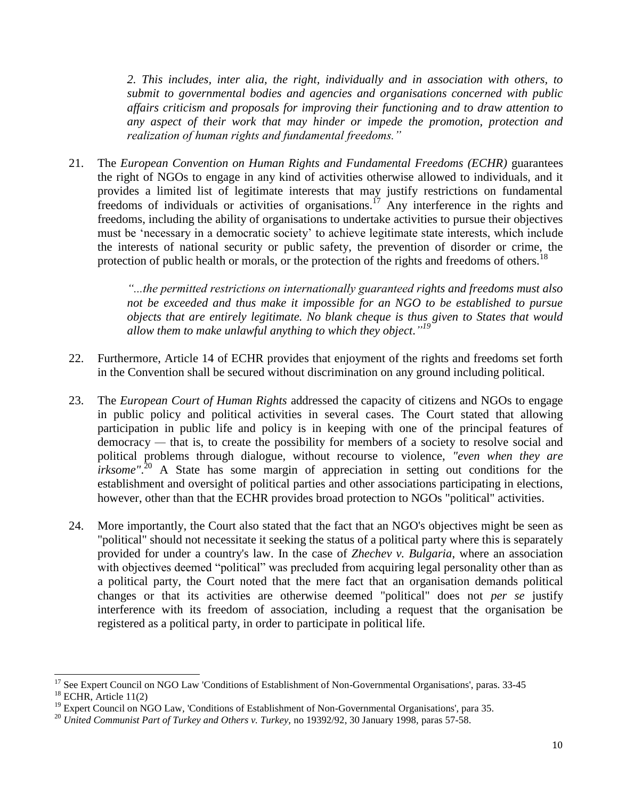*2. This includes, inter alia, the right, individually and in association with others, to submit to governmental bodies and agencies and organisations concerned with public affairs criticism and proposals for improving their functioning and to draw attention to any aspect of their work that may hinder or impede the promotion, protection and realization of human rights and fundamental freedoms."*

21. The *European Convention on Human Rights and Fundamental Freedoms (ECHR)* guarantees the right of NGOs to engage in any kind of activities otherwise allowed to individuals, and it provides a limited list of legitimate interests that may justify restrictions on fundamental freedoms of individuals or activities of organisations.<sup>17</sup> Any interference in the rights and freedoms, including the ability of organisations to undertake activities to pursue their objectives must be 'necessary in a democratic society' to achieve legitimate state interests, which include the interests of national security or public safety, the prevention of disorder or crime, the protection of public health or morals, or the protection of the rights and freedoms of others.<sup>18</sup>

> *"...the permitted restrictions on internationally guaranteed rights and freedoms must also not be exceeded and thus make it impossible for an NGO to be established to pursue objects that are entirely legitimate. No blank cheque is thus given to States that would allow them to make unlawful anything to which they object*.*" 19*

- 22. Furthermore, Article 14 of ECHR provides that enjoyment of the rights and freedoms set forth in the Convention shall be secured without discrimination on any ground including political.
- 23. The *European Court of Human Rights* addressed the capacity of citizens and NGOs to engage in public policy and political activities in several cases. The Court stated that allowing participation in public life and policy is in keeping with one of the principal features of democracy *—* that is, to create the possibility for members of a society to resolve social and political problems through dialogue, without recourse to violence, *"even when they are irksome*".<sup>20</sup> A State has some margin of appreciation in setting out conditions for the establishment and oversight of political parties and other associations participating in elections, however, other than that the ECHR provides broad protection to NGOs "political" activities.
- 24. More importantly, the Court also stated that the fact that an NGO's objectives might be seen as "political" should not necessitate it seeking the status of a political party where this is separately provided for under a country's law. In the case of *Zhechev v. Bulgaria*, where an association with objectives deemed "political" was precluded from acquiring legal personality other than as a political party, the Court noted that the mere fact that an organisation demands political changes or that its activities are otherwise deemed "political" does not *per se* justify interference with its freedom of association, including a request that the organisation be registered as a political party, in order to participate in political life.

 $\overline{\phantom{0}}$ <sup>17</sup> See Expert Council on NGO Law 'Conditions of Establishment of Non-Governmental Organisations', paras. 33-45

 $18$  ECHR, Article 11(2)

<sup>&</sup>lt;sup>19</sup> Expert Council on NGO Law, *'Conditions of Establishment of Non-Governmental Organisations'*, para 35.

<sup>&</sup>lt;sup>20</sup> *United Communist Part of Turkey and Others v. Turkey, no 19392/92, 30 January 1998, paras 57-58.*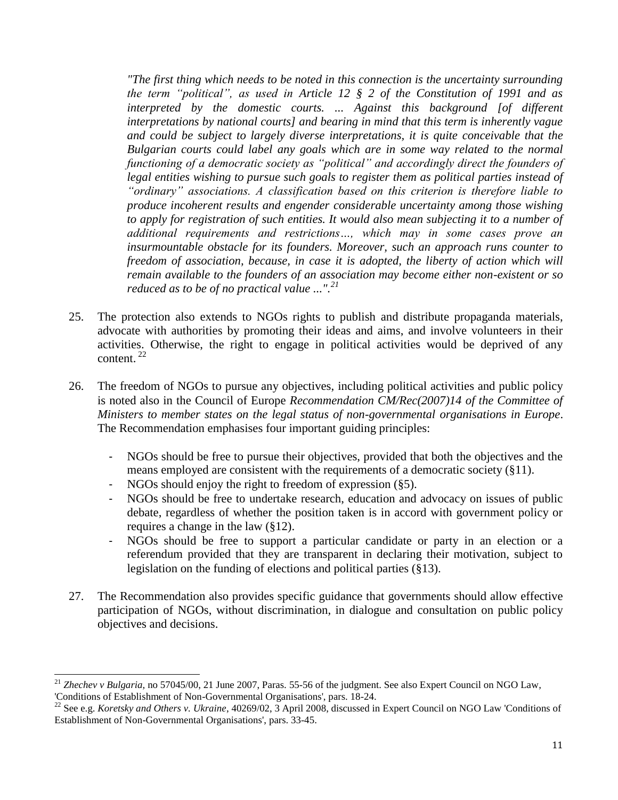*"The first thing which needs to be noted in this connection is the uncertainty surrounding the term "political", as used in Article 12 § 2 of the Constitution of 1991 and as*  interpreted by the domestic courts. ... Against this background [of different *interpretations by national courts] and bearing in mind that this term is inherently vague and could be subject to largely diverse interpretations, it is quite conceivable that the Bulgarian courts could label any goals which are in some way related to the normal functioning of a democratic society as "political" and accordingly direct the founders of legal entities wishing to pursue such goals to register them as political parties instead of "ordinary" associations. A classification based on this criterion is therefore liable to produce incoherent results and engender considerable uncertainty among those wishing to apply for registration of such entities. It would also mean subjecting it to a number of additional requirements and restrictions…, which may in some cases prove an insurmountable obstacle for its founders. Moreover, such an approach runs counter to freedom of association, because, in case it is adopted, the liberty of action which will remain available to the founders of an association may become either non-existent or so reduced as to be of no practical value ...".<sup>21</sup>*

- 25. The protection also extends to NGOs rights to publish and distribute propaganda materials, advocate with authorities by promoting their ideas and aims, and involve volunteers in their activities. Otherwise, the right to engage in political activities would be deprived of any content. <sup>22</sup>
- 26. The freedom of NGOs to pursue any objectives, including political activities and public policy is noted also in the Council of Europe *Recommendation CM/Rec(2007)14 of the Committee of Ministers to member states on the legal status of non-governmental organisations in Europe*. The Recommendation emphasises four important guiding principles:
	- NGOs should be free to pursue their objectives, provided that both the objectives and the means employed are consistent with the requirements of a democratic society (§11).
	- NGOs should enjoy the right to freedom of expression (§5).
	- NGOs should be free to undertake research, education and advocacy on issues of public debate, regardless of whether the position taken is in accord with government policy or requires a change in the law (§12).
	- NGOs should be free to support a particular candidate or party in an election or a referendum provided that they are transparent in declaring their motivation, subject to legislation on the funding of elections and political parties (§13).
- 27. The Recommendation also provides specific guidance that governments should allow effective participation of NGOs, without discrimination, in dialogue and consultation on public policy objectives and decisions.

 $\overline{\phantom{0}}$ <sup>21</sup> *Zhechev v Bulgaria,* no 57045/00, 21 June 2007, Paras. 55-56 of the judgment. See also Expert Council on NGO Law*,*  'Conditions of Establishment of Non-Governmental Organisations', pars. 18-24.

<sup>22</sup> See e.g. *Koretsky and Others v. Ukraine*, 40269/02, 3 April 2008, discussed in Expert Council on NGO Law 'Conditions of Establishment of Non-Governmental Organisations', pars. 33-45.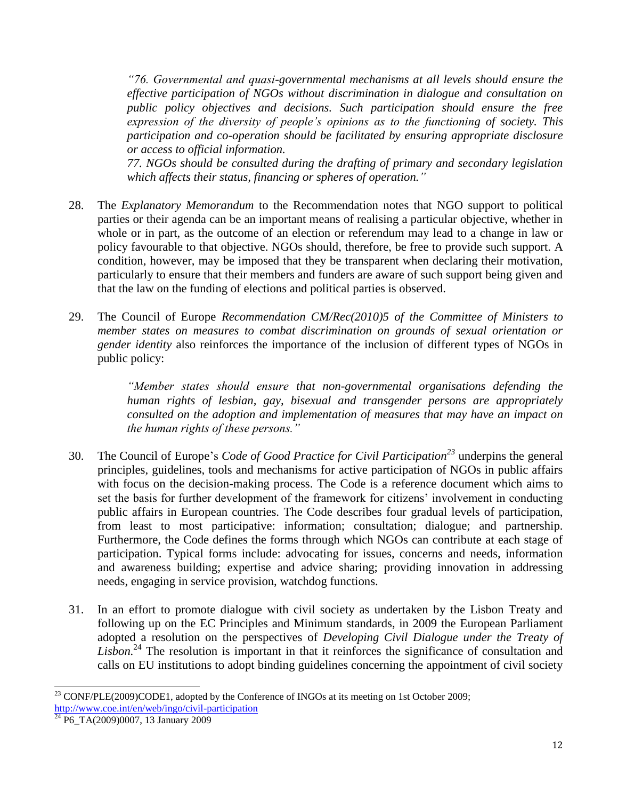*"76. Governmental and quasi-governmental mechanisms at all levels should ensure the effective participation of NGOs without discrimination in dialogue and consultation on public policy objectives and decisions. Such participation should ensure the free expression of the diversity of people's opinions as to the functioning of society. This participation and co-operation should be facilitated by ensuring appropriate disclosure or access to official information.*

*77. NGOs should be consulted during the drafting of primary and secondary legislation which affects their status, financing or spheres of operation."*

- 28. The *Explanatory Memorandum* to the Recommendation notes that NGO support to political parties or their agenda can be an important means of realising a particular objective, whether in whole or in part, as the outcome of an election or referendum may lead to a change in law or policy favourable to that objective. NGOs should, therefore, be free to provide such support. A condition, however, may be imposed that they be transparent when declaring their motivation, particularly to ensure that their members and funders are aware of such support being given and that the law on the funding of elections and political parties is observed.
- 29. The Council of Europe *Recommendation CM/Rec(2010)5 of the Committee of Ministers to member states on measures to combat discrimination on grounds of sexual orientation or gender identity* also reinforces the importance of the inclusion of different types of NGOs in public policy:

*"Member states should ensure that non-governmental organisations defending the human rights of lesbian, gay, bisexual and transgender persons are appropriately consulted on the adoption and implementation of measures that may have an impact on the human rights of these persons."*

- 30. The Council of Europe's *Code of Good Practice for Civil Participation<sup>23</sup>* underpins the general principles, guidelines, tools and mechanisms for active participation of NGOs in public affairs with focus on the decision-making process. The Code is a reference document which aims to set the basis for further development of the framework for citizens' involvement in conducting public affairs in European countries. The Code describes four gradual levels of participation, from least to most participative: information; consultation; dialogue; and partnership. Furthermore, the Code defines the forms through which NGOs can contribute at each stage of participation. Typical forms include: advocating for issues, concerns and needs, information and awareness building; expertise and advice sharing; providing innovation in addressing needs, engaging in service provision, watchdog functions.
- 31. In an effort to promote dialogue with civil society as undertaken by the Lisbon Treaty and following up on the EC Principles and Minimum standards, in 2009 the European Parliament adopted a resolution on the perspectives of *Developing Civil Dialogue under the Treaty of*  Lisbon.<sup>24</sup> The resolution is important in that it reinforces the significance of consultation and calls on EU institutions to adopt binding guidelines concerning the appointment of civil society

l  $^{23}$  CONF/PLE(2009)CODE1, adopted by the Conference of INGOs at its meeting on 1st October 2009; <http://www.coe.int/en/web/ingo/civil-participation>

 $24$  P<sub>6</sub> TA(2009)0007, 13 January 2009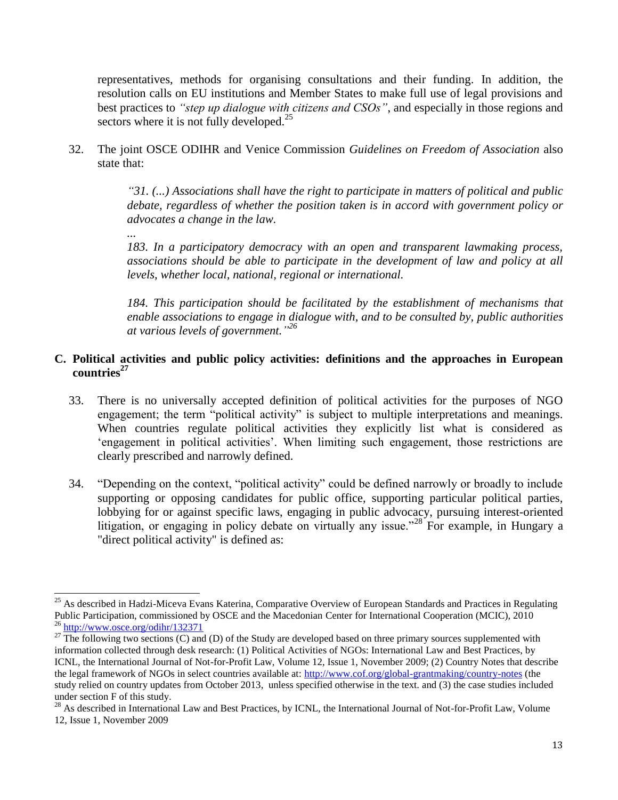representatives, methods for organising consultations and their funding. In addition, the resolution calls on EU institutions and Member States to make full use of legal provisions and best practices to *"step up dialogue with citizens and CSOs"*, and especially in those regions and sectors where it is not fully developed. $^{25}$ 

32. The joint OSCE ODIHR and Venice Commission *Guidelines on Freedom of Association* also state that:

> *"31. (...) Associations shall have the right to participate in matters of political and public debate, regardless of whether the position taken is in accord with government policy or advocates a change in the law.*

*...*

*183. In a participatory democracy with an open and transparent lawmaking process, associations should be able to participate in the development of law and policy at all levels, whether local, national, regional or international.*

*184. This participation should be facilitated by the establishment of mechanisms that enable associations to engage in dialogue with, and to be consulted by, public authorities at various levels of government." 26*

## **C. Political activities and public policy activities: definitions and the approaches in European countries<sup>27</sup>**

- 33. There is no universally accepted definition of political activities for the purposes of NGO engagement; the term "political activity" is subject to multiple interpretations and meanings. When countries regulate political activities they explicitly list what is considered as 'engagement in political activities'. When limiting such engagement, those restrictions are clearly prescribed and narrowly defined.
- 34. "Depending on the context, "political activity" could be defined narrowly or broadly to include supporting or opposing candidates for public office, supporting particular political parties, lobbying for or against specific laws, engaging in public advocacy, pursuing interest-oriented litigation, or engaging in policy debate on virtually any issue."<sup>28</sup> For example, in Hungary a "direct political activity" is defined as:

l <sup>25</sup> As described in Hadzi-Miceva Evans Katerina, Comparative Overview of European Standards and Practices in Regulating Public Participation, commissioned by OSCE and the Macedonian Center for International Cooperation (MCIC), 2010 <sup>26</sup> <http://www.osce.org/odihr/132371>

 $^{27}$  The following two sections (C) and (D) of the Study are developed based on three primary sources supplemented with information collected through desk research: (1) Political Activities of NGOs: International Law and Best Practices, by ICNL, the International Journal of Not-for-Profit Law, Volume 12, Issue 1, November 2009; (2) Country Notes that describe the legal framework of NGOs in select countries available at:<http://www.cof.org/global-grantmaking/country-notes> (the study relied on country updates from October 2013, unless specified otherwise in the text. and (3) the case studies included under section F of this study.

 $^{28}$  As described in International Law and Best Practices, by ICNL, the International Journal of Not-for-Profit Law, Volume 12, Issue 1, November 2009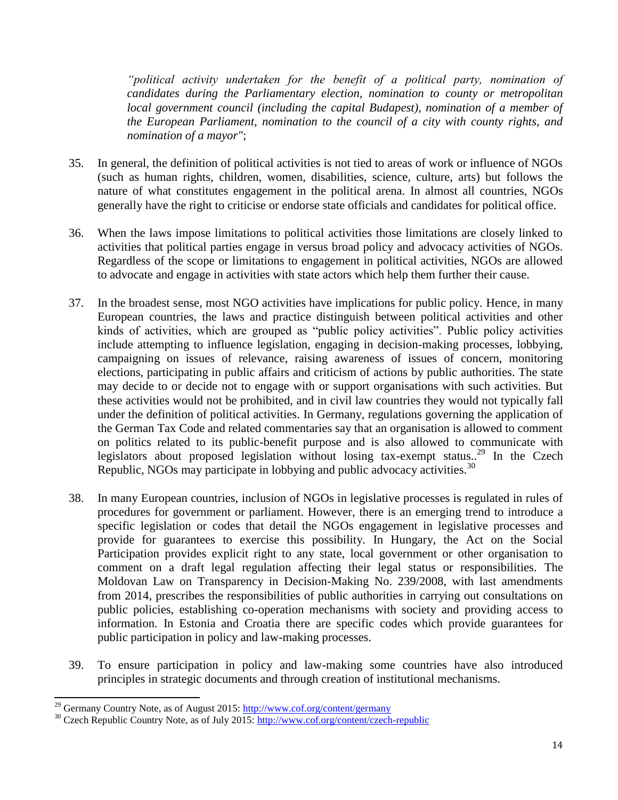*"political activity undertaken for the benefit of a political party, nomination of candidates during the Parliamentary election, nomination to county or metropolitan local government council (including the capital Budapest), nomination of a member of the European Parliament, nomination to the council of a city with county rights, and nomination of a mayor"*;

- 35. In general, the definition of political activities is not tied to areas of work or influence of NGOs (such as human rights, children, women, disabilities, science, culture, arts) but follows the nature of what constitutes engagement in the political arena. In almost all countries, NGOs generally have the right to criticise or endorse state officials and candidates for political office.
- 36. When the laws impose limitations to political activities those limitations are closely linked to activities that political parties engage in versus broad policy and advocacy activities of NGOs. Regardless of the scope or limitations to engagement in political activities, NGOs are allowed to advocate and engage in activities with state actors which help them further their cause.
- 37. In the broadest sense, most NGO activities have implications for public policy. Hence, in many European countries, the laws and practice distinguish between political activities and other kinds of activities, which are grouped as "public policy activities". Public policy activities include attempting to influence legislation, engaging in decision-making processes, lobbying, campaigning on issues of relevance, raising awareness of issues of concern, monitoring elections, participating in public affairs and criticism of actions by public authorities. The state may decide to or decide not to engage with or support organisations with such activities. But these activities would not be prohibited, and in civil law countries they would not typically fall under the definition of political activities. In Germany, regulations governing the application of the German Tax Code and related commentaries say that an organisation is allowed to comment on politics related to its public-benefit purpose and is also allowed to communicate with legislators about proposed legislation without losing tax-exempt status.<sup>29</sup> In the Czech Republic, NGOs may participate in lobbying and public advocacy activities.<sup>30</sup>
- 38. In many European countries, inclusion of NGOs in legislative processes is regulated in rules of procedures for government or parliament. However, there is an emerging trend to introduce a specific legislation or codes that detail the NGOs engagement in legislative processes and provide for guarantees to exercise this possibility. In Hungary, the Act on the Social Participation provides explicit right to any state, local government or other organisation to comment on a draft legal regulation affecting their legal status or responsibilities. The Moldovan Law on Transparency in Decision-Making No. 239/2008, with last amendments from 2014, prescribes the responsibilities of public authorities in carrying out consultations on public policies, establishing co-operation mechanisms with society and providing access to information. In Estonia and Croatia there are specific codes which provide guarantees for public participation in policy and law-making processes.
- 39. To ensure participation in policy and law-making some countries have also introduced principles in strategic documents and through creation of institutional mechanisms.

 $\overline{\phantom{0}}$ 

<sup>&</sup>lt;sup>29</sup> Germany Country Note, as of August 2015[: http://www.cof.org/content/germany](http://www.cof.org/content/germany)

<sup>&</sup>lt;sup>30</sup> Czech Republic Country Note, as of July 2015:<http://www.cof.org/content/czech-republic>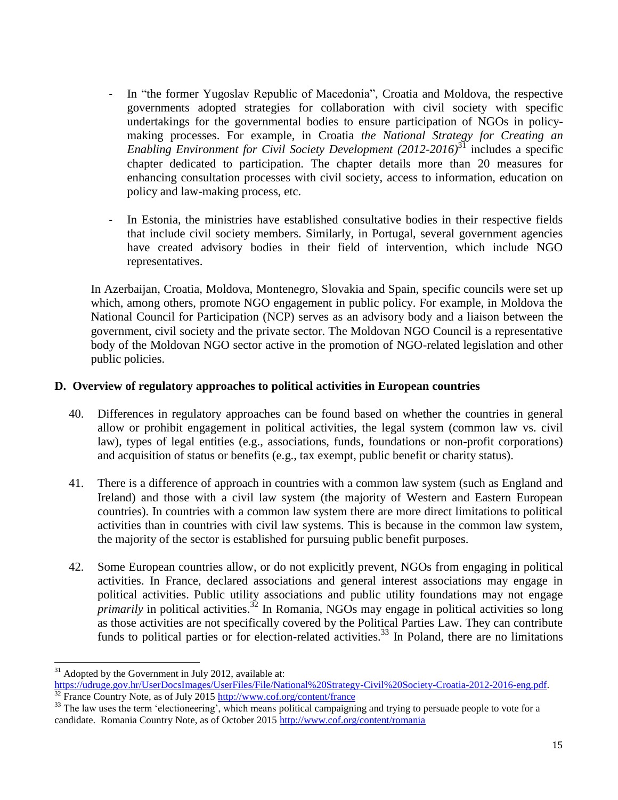- In "the former Yugoslav Republic of Macedonia", Croatia and Moldova, the respective governments adopted strategies for collaboration with civil society with specific undertakings for the governmental bodies to ensure participation of NGOs in policymaking processes. For example, in Croatia *the National Strategy for Creating an Enabling Environment for Civil Society Development (2012-2016)*<sup>31</sup> includes a specific chapter dedicated to participation. The chapter details more than 20 measures for enhancing consultation processes with civil society, access to information, education on policy and law-making process, etc.
- In Estonia, the ministries have established consultative bodies in their respective fields that include civil society members. Similarly, in Portugal, several government agencies have created advisory bodies in their field of intervention, which include NGO representatives.

In Azerbaijan, Croatia, Moldova, Montenegro, Slovakia and Spain, specific councils were set up which, among others, promote NGO engagement in public policy. For example, in Moldova the National Council for Participation (NCP) serves as an advisory body and a liaison between the government, civil society and the private sector. The Moldovan NGO Council is a representative body of the Moldovan NGO sector active in the promotion of NGO-related legislation and other public policies.

## **D. Overview of regulatory approaches to political activities in European countries**

- 40. Differences in regulatory approaches can be found based on whether the countries in general allow or prohibit engagement in political activities, the legal system (common law vs. civil law), types of legal entities (e.g., associations, funds, foundations or non-profit corporations) and acquisition of status or benefits (e.g., tax exempt, public benefit or charity status).
- 41. There is a difference of approach in countries with a common law system (such as England and Ireland) and those with a civil law system (the majority of Western and Eastern European countries). In countries with a common law system there are more direct limitations to political activities than in countries with civil law systems. This is because in the common law system, the majority of the sector is established for pursuing public benefit purposes.
- 42. Some European countries allow, or do not explicitly prevent, NGOs from engaging in political activities. In France, declared associations and general interest associations may engage in political activities. Public utility associations and public utility foundations may not engage *primarily* in political activities.<sup>32</sup> In Romania, NGOs may engage in political activities so long as those activities are not specifically covered by the Political Parties Law. They can contribute funds to political parties or for election-related activities.<sup>33</sup> In Poland, there are no limitations

l  $31$  Adopted by the Government in July 2012, available at:

[https://udruge.gov.hr/UserDocsImages/UserFiles/File/National%20Strategy-Civil%20Society-Croatia-2012-2016-eng.pdf.](https://udruge.gov.hr/UserDocsImages/UserFiles/File/National%20Strategy-Civil%20Society-Croatia-2012-2016-eng.pdf) France Country Note, as of July 2015<http://www.cof.org/content/france>

<sup>&</sup>lt;sup>33</sup> The law uses the term 'electioneering', which means political campaigning and trying to persuade people to vote for a candidate. Romania Country Note, as of October 2015<http://www.cof.org/content/romania>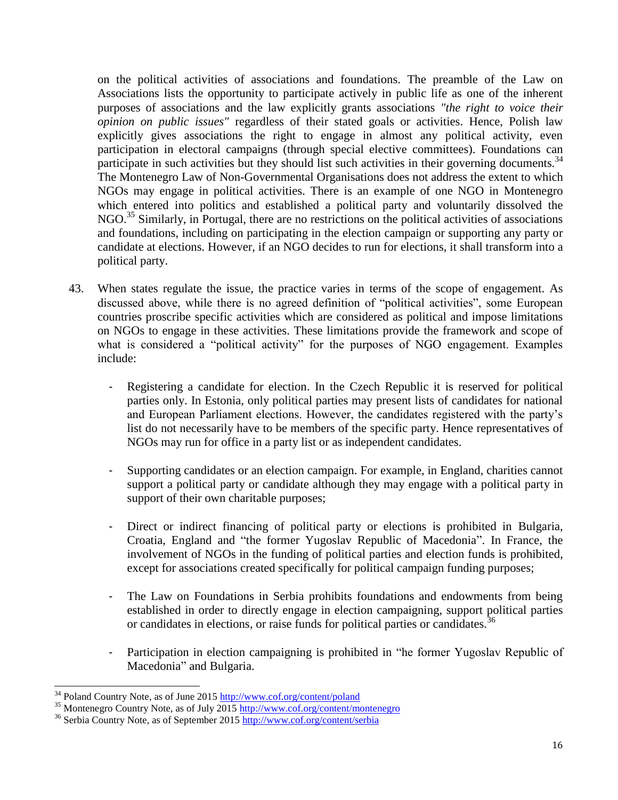on the political activities of associations and foundations. The preamble of the Law on Associations lists the opportunity to participate actively in public life as one of the inherent purposes of associations and the law explicitly grants associations *"the right to voice their opinion on public issues"* regardless of their stated goals or activities. Hence, Polish law explicitly gives associations the right to engage in almost any political activity, even participation in electoral campaigns (through special elective committees). Foundations can participate in such activities but they should list such activities in their governing documents.  $34$ The Montenegro Law of Non-Governmental Organisations does not address the extent to which NGOs may engage in political activities. There is an example of one NGO in Montenegro which entered into politics and established a political party and voluntarily dissolved the NGO.<sup>35</sup> Similarly, in Portugal, there are no restrictions on the political activities of associations and foundations, including on participating in the election campaign or supporting any party or candidate at elections. However, if an NGO decides to run for elections, it shall transform into a political party.

- 43. When states regulate the issue, the practice varies in terms of the scope of engagement. As discussed above, while there is no agreed definition of "political activities", some European countries proscribe specific activities which are considered as political and impose limitations on NGOs to engage in these activities. These limitations provide the framework and scope of what is considered a "political activity" for the purposes of NGO engagement. Examples include:
	- Registering a candidate for election. In the Czech Republic it is reserved for political parties only. In Estonia, only political parties may present lists of candidates for national and European Parliament elections. However, the candidates registered with the party's list do not necessarily have to be members of the specific party. Hence representatives of NGOs may run for office in a party list or as independent candidates.
	- Supporting candidates or an election campaign. For example, in England, charities cannot support a political party or candidate although they may engage with a political party in support of their own charitable purposes;
	- Direct or indirect financing of political party or elections is prohibited in Bulgaria, Croatia, England and "the former Yugoslav Republic of Macedonia". In France, the involvement of NGOs in the funding of political parties and election funds is prohibited, except for associations created specifically for political campaign funding purposes;
	- The Law on Foundations in Serbia prohibits foundations and endowments from being established in order to directly engage in election campaigning, support political parties or candidates in elections, or raise funds for political parties or candidates.<sup>36</sup>
	- Participation in election campaigning is prohibited in "he former Yugoslav Republic of Macedonia" and Bulgaria.

l <sup>34</sup> Poland Country Note, as of June 2015<http://www.cof.org/content/poland>

<sup>35</sup> Montenegro Country Note, as of July 2015<http://www.cof.org/content/montenegro>

<sup>36</sup> Serbia Country Note, as of September 2015<http://www.cof.org/content/serbia>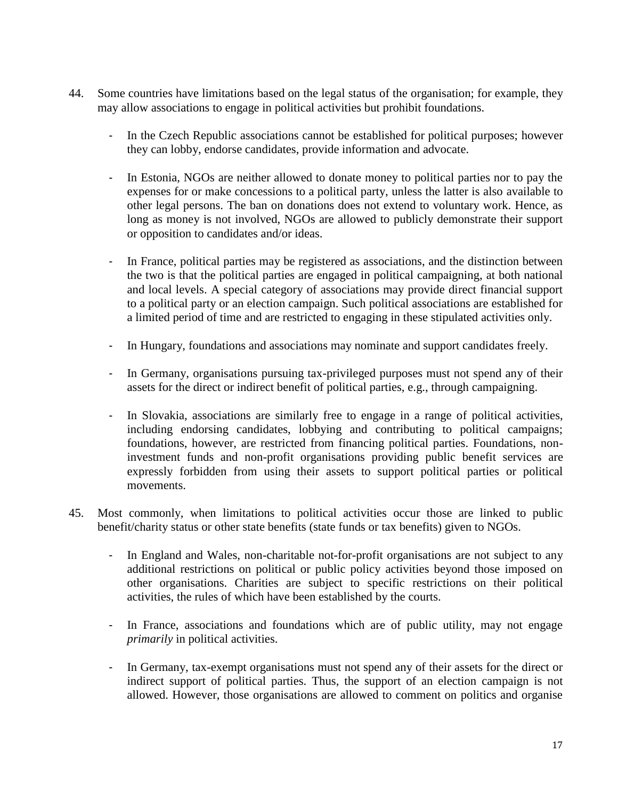- 44. Some countries have limitations based on the legal status of the organisation; for example, they may allow associations to engage in political activities but prohibit foundations.
	- In the Czech Republic associations cannot be established for political purposes; however they can lobby, endorse candidates, provide information and advocate.
	- In Estonia, NGOs are neither allowed to donate money to political parties nor to pay the expenses for or make concessions to a political party, unless the latter is also available to other legal persons. The ban on donations does not extend to voluntary work. Hence, as long as money is not involved, NGOs are allowed to publicly demonstrate their support or opposition to candidates and/or ideas.
	- In France, political parties may be registered as associations, and the distinction between the two is that the political parties are engaged in political campaigning, at both national and local levels. A special category of associations may provide direct financial support to a political party or an election campaign. Such political associations are established for a limited period of time and are restricted to engaging in these stipulated activities only.
	- In Hungary, foundations and associations may nominate and support candidates freely.
	- In Germany, organisations pursuing tax-privileged purposes must not spend any of their assets for the direct or indirect benefit of political parties, e.g., through campaigning.
	- In Slovakia, associations are similarly free to engage in a range of political activities, including endorsing candidates, lobbying and contributing to political campaigns; foundations, however, are restricted from financing political parties. Foundations, noninvestment funds and non-profit organisations providing public benefit services are expressly forbidden from using their assets to support political parties or political movements.
- 45. Most commonly, when limitations to political activities occur those are linked to public benefit/charity status or other state benefits (state funds or tax benefits) given to NGOs.
	- In England and Wales, non-charitable not-for-profit organisations are not subject to any additional restrictions on political or public policy activities beyond those imposed on other organisations. Charities are subject to specific restrictions on their political activities, the rules of which have been established by the courts.
	- In France, associations and foundations which are of public utility, may not engage *primarily* in political activities.
	- In Germany, tax-exempt organisations must not spend any of their assets for the direct or indirect support of political parties. Thus, the support of an election campaign is not allowed. However, those organisations are allowed to comment on politics and organise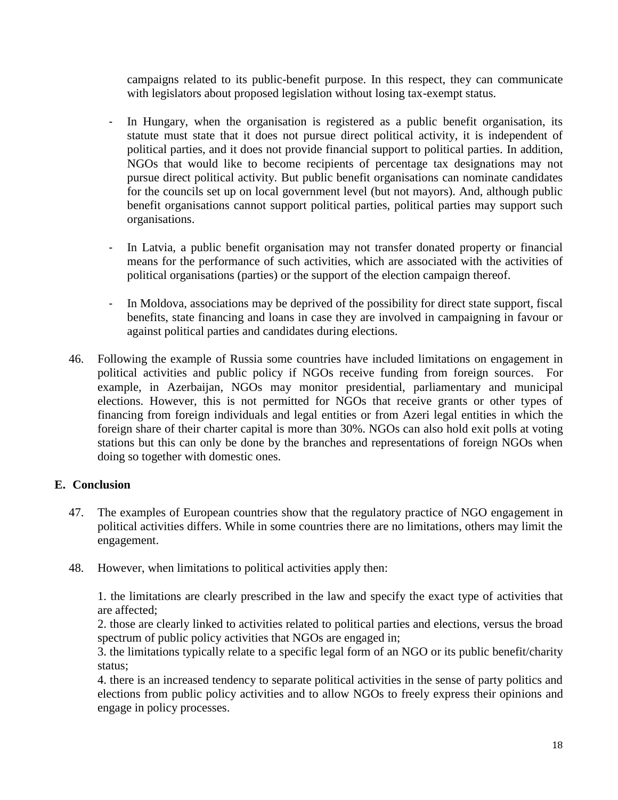campaigns related to its public-benefit purpose. In this respect, they can communicate with legislators about proposed legislation without losing tax-exempt status.

- In Hungary, when the organisation is registered as a public benefit organisation, its statute must state that it does not pursue direct political activity, it is independent of political parties, and it does not provide financial support to political parties. In addition, NGOs that would like to become recipients of percentage tax designations may not pursue direct political activity. But public benefit organisations can nominate candidates for the councils set up on local government level (but not mayors). And, although public benefit organisations cannot support political parties, political parties may support such organisations.
- In Latvia, a public benefit organisation may not transfer donated property or financial means for the performance of such activities, which are associated with the activities of political organisations (parties) or the support of the election campaign thereof.
- In Moldova, associations may be deprived of the possibility for direct state support, fiscal benefits, state financing and loans in case they are involved in campaigning in favour or against political parties and candidates during elections.
- 46. Following the example of Russia some countries have included limitations on engagement in political activities and public policy if NGOs receive funding from foreign sources. For example, in Azerbaijan, NGOs may monitor presidential, parliamentary and municipal elections. However, this is not permitted for NGOs that receive grants or other types of financing from foreign individuals and legal entities or from Azeri legal entities in which the foreign share of their charter capital is more than 30%. NGOs can also hold exit polls at voting stations but this can only be done by the branches and representations of foreign NGOs when doing so together with domestic ones.

# **E. Conclusion**

- 47. The examples of European countries show that the regulatory practice of NGO engagement in political activities differs. While in some countries there are no limitations, others may limit the engagement.
- 48. However, when limitations to political activities apply then:

1. the limitations are clearly prescribed in the law and specify the exact type of activities that are affected;

2. those are clearly linked to activities related to political parties and elections, versus the broad spectrum of public policy activities that NGOs are engaged in;

3. the limitations typically relate to a specific legal form of an NGO or its public benefit/charity status;

4. there is an increased tendency to separate political activities in the sense of party politics and elections from public policy activities and to allow NGOs to freely express their opinions and engage in policy processes.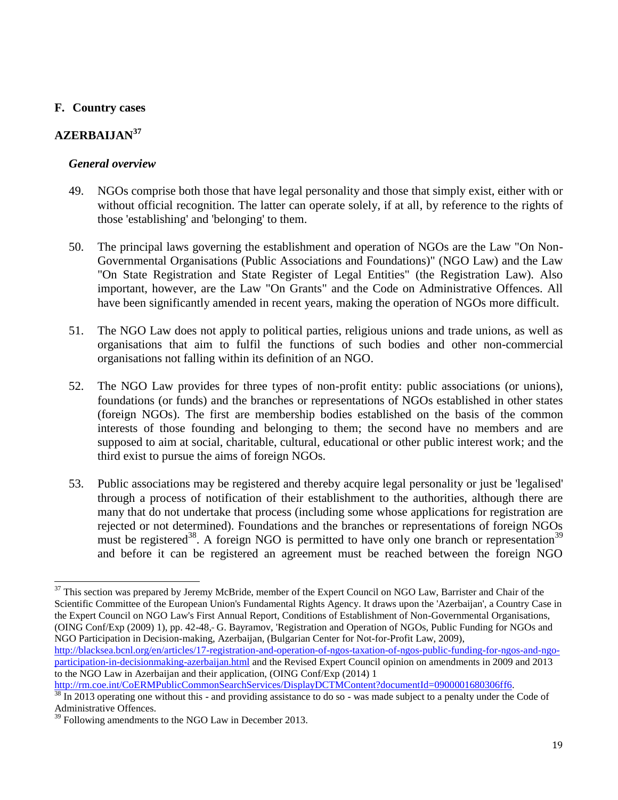## **F. Country cases**

# **AZERBAIJAN<sup>37</sup>**

## *General overview*

- 49. NGOs comprise both those that have legal personality and those that simply exist, either with or without official recognition. The latter can operate solely, if at all, by reference to the rights of those 'establishing' and 'belonging' to them.
- 50. The principal laws governing the establishment and operation of NGOs are the Law "On Non-Governmental Organisations (Public Associations and Foundations)" (NGO Law) and the Law "On State Registration and State Register of Legal Entities" (the Registration Law). Also important, however, are the Law "On Grants" and the Code on Administrative Offences. All have been significantly amended in recent years, making the operation of NGOs more difficult.
- 51. The NGO Law does not apply to political parties, religious unions and trade unions, as well as organisations that aim to fulfil the functions of such bodies and other non-commercial organisations not falling within its definition of an NGO.
- 52. The NGO Law provides for three types of non-profit entity: public associations (or unions), foundations (or funds) and the branches or representations of NGOs established in other states (foreign NGOs). The first are membership bodies established on the basis of the common interests of those founding and belonging to them; the second have no members and are supposed to aim at social, charitable, cultural, educational or other public interest work; and the third exist to pursue the aims of foreign NGOs.
- 53. Public associations may be registered and thereby acquire legal personality or just be 'legalised' through a process of notification of their establishment to the authorities, although there are many that do not undertake that process (including some whose applications for registration are rejected or not determined). Foundations and the branches or representations of foreign NGOs must be registered<sup>38</sup>. A foreign NGO is permitted to have only one branch or representation<sup>39</sup> and before it can be registered an agreement must be reached between the foreign NGO

l  $37$  This section was prepared by Jeremy McBride, member of the Expert Council on NGO Law, Barrister and Chair of the Scientific Committee of the European Union's Fundamental Rights Agency. It draws upon the 'Azerbaijan', a Country Case in the Expert Council on NGO Law's First Annual Report, Conditions of Establishment of Non-Governmental Organisations, (OING Conf/Exp (2009) 1), pp. 42-48, G. Bayramov, 'Registration and Operation of NGOs, Public Funding for NGOs and NGO Participation in Decision-making, Azerbaijan, (Bulgarian Center for Not-for-Profit Law, 2009),

[http://blacksea.bcnl.org/en/articles/17-registration-and-operation-of-ngos-taxation-of-ngos-public-funding-for-ngos-and-ngo](http://blacksea.bcnl.org/en/articles/17-registration-and-operation-of-ngos-taxation-of-ngos-public-funding-for-ngos-and-ngo-participation-in-decisionmaking-azerbaijan.html)[participation-in-decisionmaking-azerbaijan.html](http://blacksea.bcnl.org/en/articles/17-registration-and-operation-of-ngos-taxation-of-ngos-public-funding-for-ngos-and-ngo-participation-in-decisionmaking-azerbaijan.html) and the Revised Expert Council opinion on amendments in 2009 and 2013 to the NGO Law in Azerbaijan and their application, (OING Conf/Exp (2014) 1

[http://rm.coe.int/CoERMPublicCommonSearchServices/DisplayDCTMContent?documentId=0900001680306ff6.](http://rm.coe.int/CoERMPublicCommonSearchServices/DisplayDCTMContent?documentId=0900001680306ff6)   $38 \text{ In } 2013$  operating one without this - and providing assistance to do so - was made subject to a penalty under the Code of Administrative Offences.

 $39$  Following amendments to the NGO Law in December 2013.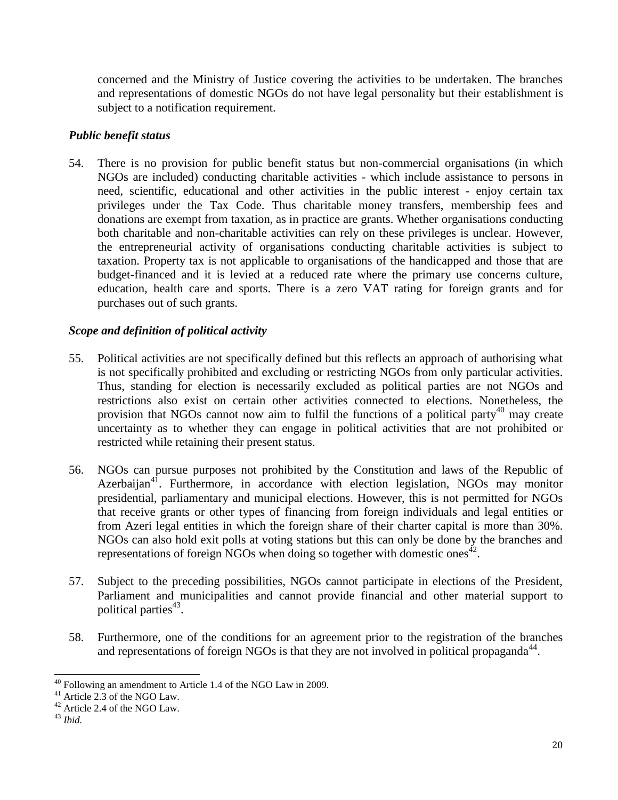concerned and the Ministry of Justice covering the activities to be undertaken. The branches and representations of domestic NGOs do not have legal personality but their establishment is subject to a notification requirement.

# *Public benefit status*

54. There is no provision for public benefit status but non-commercial organisations (in which NGOs are included) conducting charitable activities - which include assistance to persons in need, scientific, educational and other activities in the public interest - enjoy certain tax privileges under the Tax Code. Thus charitable money transfers, membership fees and donations are exempt from taxation, as in practice are grants. Whether organisations conducting both charitable and non-charitable activities can rely on these privileges is unclear. However, the entrepreneurial activity of organisations conducting charitable activities is subject to taxation. Property tax is not applicable to organisations of the handicapped and those that are budget-financed and it is levied at a reduced rate where the primary use concerns culture, education, health care and sports. There is a zero VAT rating for foreign grants and for purchases out of such grants.

# *Scope and definition of political activity*

- 55. Political activities are not specifically defined but this reflects an approach of authorising what is not specifically prohibited and excluding or restricting NGOs from only particular activities. Thus, standing for election is necessarily excluded as political parties are not NGOs and restrictions also exist on certain other activities connected to elections. Nonetheless, the provision that NGOs cannot now aim to fulfil the functions of a political party<sup>40</sup> may create uncertainty as to whether they can engage in political activities that are not prohibited or restricted while retaining their present status.
- 56. NGOs can pursue purposes not prohibited by the Constitution and laws of the Republic of Azerbaijan<sup>41</sup>. Furthermore, in accordance with election legislation, NGOs may monitor presidential, parliamentary and municipal elections. However, this is not permitted for NGOs that receive grants or other types of financing from foreign individuals and legal entities or from Azeri legal entities in which the foreign share of their charter capital is more than 30%. NGOs can also hold exit polls at voting stations but this can only be done by the branches and representations of foreign NGOs when doing so together with domestic ones<sup> $42$ </sup>.
- 57. Subject to the preceding possibilities, NGOs cannot participate in elections of the President, Parliament and municipalities and cannot provide financial and other material support to political parties<sup>43</sup>.
- 58. Furthermore, one of the conditions for an agreement prior to the registration of the branches and representations of foreign NGOs is that they are not involved in political propaganda $44$ .

 $\overline{\phantom{0}}$  $^{40}$  Following an amendment to Article 1.4 of the NGO Law in 2009.

<sup>41</sup> Article 2.3 of the NGO Law.

<sup>&</sup>lt;sup>42</sup> Article 2.4 of the NGO Law.

<sup>43</sup> *Ibid.*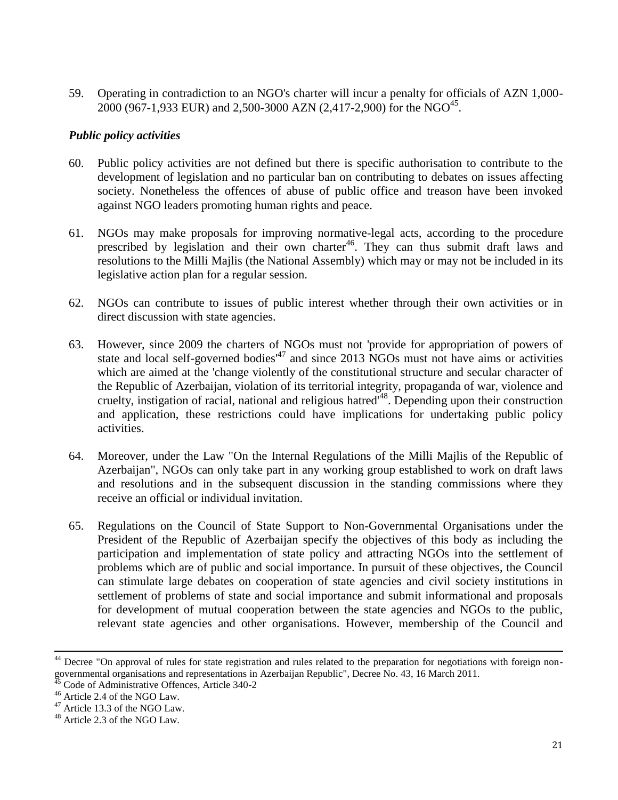59. Operating in contradiction to an NGO's charter will incur a penalty for officials of AZN 1,000-  $2000 (967-1,933 \text{ EUR})$  and 2,500-3000 AZN (2,417-2,900) for the NGO<sup>45</sup>.

## *Public policy activities*

- 60. Public policy activities are not defined but there is specific authorisation to contribute to the development of legislation and no particular ban on contributing to debates on issues affecting society. Nonetheless the offences of abuse of public office and treason have been invoked against NGO leaders promoting human rights and peace.
- 61. NGOs may make proposals for improving normative-legal acts, according to the procedure prescribed by legislation and their own charter<sup>46</sup>. They can thus submit draft laws and resolutions to the Milli Majlis (the National Assembly) which may or may not be included in its legislative action plan for a regular session.
- 62. NGOs can contribute to issues of public interest whether through their own activities or in direct discussion with state agencies.
- 63. However, since 2009 the charters of NGOs must not 'provide for appropriation of powers of state and local self-governed bodies<sup> $47$ </sup> and since 2013 NGOs must not have aims or activities which are aimed at the 'change violently of the constitutional structure and secular character of the Republic of Azerbaijan, violation of its territorial integrity, propaganda of war, violence and cruelty, instigation of racial, national and religious hatred'<sup>48</sup>. Depending upon their construction and application, these restrictions could have implications for undertaking public policy activities.
- 64. Moreover, under the Law "On the Internal Regulations of the Milli Majlis of the Republic of Azerbaijan", NGOs can only take part in any working group established to work on draft laws and resolutions and in the subsequent discussion in the standing commissions where they receive an official or individual invitation.
- 65. Regulations on the Council of State Support to Non-Governmental Organisations under the President of the Republic of Azerbaijan specify the objectives of this body as including the participation and implementation of state policy and attracting NGOs into the settlement of problems which are of public and social importance. In pursuit of these objectives, the Council can stimulate large debates on cooperation of state agencies and civil society institutions in settlement of problems of state and social importance and submit informational and proposals for development of mutual cooperation between the state agencies and NGOs to the public, relevant state agencies and other organisations. However, membership of the Council and

l

<sup>&</sup>lt;sup>44</sup> Decree "On approval of rules for state registration and rules related to the preparation for negotiations with foreign nongovernmental organisations and representations in Azerbaijan Republic", Decree No. 43, 16 March 2011.

<sup>&</sup>lt;sup>45</sup> Code of Administrative Offences, Article 340-2

<sup>46</sup> Article 2.4 of the NGO Law.

<sup>47</sup> Article 13.3 of the NGO Law.

<sup>48</sup> Article 2.3 of the NGO Law.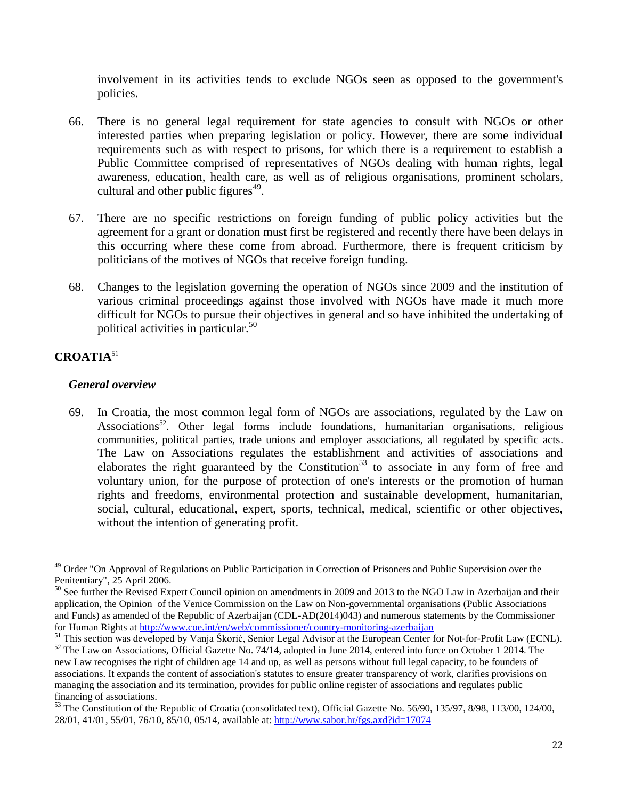involvement in its activities tends to exclude NGOs seen as opposed to the government's policies.

- 66. There is no general legal requirement for state agencies to consult with NGOs or other interested parties when preparing legislation or policy. However, there are some individual requirements such as with respect to prisons, for which there is a requirement to establish a Public Committee comprised of representatives of NGOs dealing with human rights, legal awareness, education, health care, as well as of religious organisations, prominent scholars, cultural and other public figures $49$ .
- 67. There are no specific restrictions on foreign funding of public policy activities but the agreement for a grant or donation must first be registered and recently there have been delays in this occurring where these come from abroad. Furthermore, there is frequent criticism by politicians of the motives of NGOs that receive foreign funding.
- 68. Changes to the legislation governing the operation of NGOs since 2009 and the institution of various criminal proceedings against those involved with NGOs have made it much more difficult for NGOs to pursue their objectives in general and so have inhibited the undertaking of political activities in particular.<sup>50</sup>

## **CROATIA**<sup>51</sup>

## *General overview*

69. In Croatia, the most common legal form of NGOs are associations, regulated by the Law on Associations<sup>52</sup>. Other legal forms include foundations, humanitarian organisations, religious communities, political parties, trade unions and employer associations, all regulated by specific acts. The Law on Associations regulates the establishment and activities of associations and elaborates the right guaranteed by the Constitution<sup>53</sup> to associate in any form of free and voluntary union, for the purpose of protection of one's interests or the promotion of human rights and freedoms, environmental protection and sustainable development, humanitarian, social, cultural, educational, expert, sports, technical, medical, scientific or other objectives, without the intention of generating profit.

 $\overline{\phantom{0}}$ <sup>49</sup> Order "On Approval of Regulations on Public Participation in Correction of Prisoners and Public Supervision over the Penitentiary", 25 April 2006.

<sup>&</sup>lt;sup>50</sup> See further the Revised Expert Council opinion on amendments in 2009 and 2013 to the NGO Law in Azerbaijan and their [application,](http://rm.coe.int/CoERMPublicCommonSearchServices/DisplayDCTMContent?documentId=0900001680306ff6) the Opinion of the Venice Commission on the Law on Non-governmental organisations (Public Associations and Funds) as amended of the Republic of Azerbaijan (CDL-AD(2014)043) and numerous statements by the Commissioner for Human Rights at<http://www.coe.int/en/web/commissioner/country-monitoring-azerbaijan>

<sup>&</sup>lt;sup>51</sup> This section was developed by Vanja Škorić, Senior Legal Advisor at the European Center for Not-for-Profit Law (ECNL). <sup>52</sup> The Law on Associations, Official Gazette No. 74/14, adopted in June 2014, entered into force on October 1 2014. The

new Law recognises the right of children age 14 and up, as well as persons without full legal capacity, to be founders of associations. It expands the content of association's statutes to ensure greater transparency of work, clarifies provisions on managing the association and its termination, provides for public online register of associations and regulates public financing of associations.

<sup>&</sup>lt;sup>53</sup> The Constitution of the Republic of Croatia (consolidated text), Official Gazette No. 56/90, 135/97, 8/98, 113/00, 124/00, 28/01, 41/01, 55/01, 76/10, 85/10, 05/14, available at:<http://www.sabor.hr/fgs.axd?id=17074>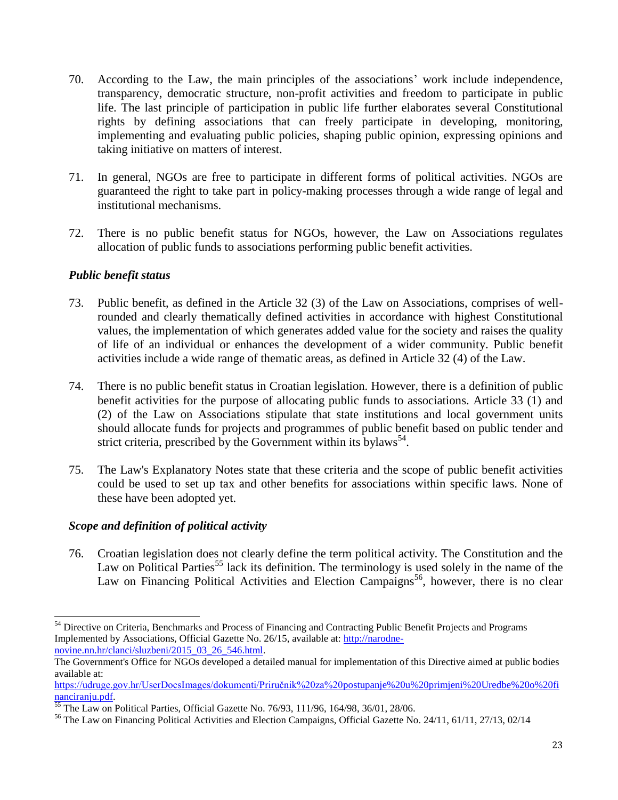- 70. According to the Law, the main principles of the associations' work include independence, transparency, democratic structure, non-profit activities and freedom to participate in public life. The last principle of participation in public life further elaborates several Constitutional rights by defining associations that can freely participate in developing, monitoring, implementing and evaluating public policies, shaping public opinion, expressing opinions and taking initiative on matters of interest.
- 71. In general, NGOs are free to participate in different forms of political activities. NGOs are guaranteed the right to take part in policy-making processes through a wide range of legal and institutional mechanisms.
- 72. There is no public benefit status for NGOs, however, the Law on Associations regulates allocation of public funds to associations performing public benefit activities.

## *Public benefit status*

- 73. Public benefit, as defined in the Article 32 (3) of the Law on Associations, comprises of wellrounded and clearly thematically defined activities in accordance with highest Constitutional values, the implementation of which generates added value for the society and raises the quality of life of an individual or enhances the development of a wider community. Public benefit activities include a wide range of thematic areas, as defined in Article 32 (4) of the Law.
- 74. There is no public benefit status in Croatian legislation. However, there is a definition of public benefit activities for the purpose of allocating public funds to associations. Article 33 (1) and (2) of the Law on Associations stipulate that state institutions and local government units should allocate funds for projects and programmes of public benefit based on public tender and strict criteria, prescribed by the Government within its bylaws<sup>54</sup>.
- 75. The Law's Explanatory Notes state that these criteria and the scope of public benefit activities could be used to set up tax and other benefits for associations within specific laws. None of these have been adopted yet.

## *Scope and definition of political activity*

l

76. Croatian legislation does not clearly define the term political activity. The Constitution and the Law on Political Parties<sup>55</sup> lack its definition. The terminology is used solely in the name of the Law on Financing Political Activities and Election Campaigns<sup>56</sup>, however, there is no clear

<sup>&</sup>lt;sup>54</sup> Directive on Criteria, Benchmarks and Process of Financing and Contracting Public Benefit Projects and Programs Implemented by Associations, Official Gazette No. 26/15, available at: [http://narodne](http://narodne-novine.nn.hr/clanci/sluzbeni/2015_03_26_546.html)[novine.nn.hr/clanci/sluzbeni/2015\\_03\\_26\\_546.html.](http://narodne-novine.nn.hr/clanci/sluzbeni/2015_03_26_546.html)

The Government's Office for NGOs developed a detailed manual for implementation of this Directive aimed at public bodies available at:

[https://udruge.gov.hr/UserDocsImages/dokumenti/Priručnik%20za%20postupanje%20u%20primjeni%20Uredbe%20o%20fi](https://udruge.gov.hr/UserDocsImages/dokumenti/Priručnik%20za%20postupanje%20u%20primjeni%20Uredbe%20o%20financiranju.pdf) [nanciranju.pdf.](https://udruge.gov.hr/UserDocsImages/dokumenti/Priručnik%20za%20postupanje%20u%20primjeni%20Uredbe%20o%20financiranju.pdf)

<sup>55</sup> The Law on Political Parties, Official Gazette No. 76/93, 111/96, 164/98, 36/01, 28/06.

<sup>56</sup> The Law on Financing Political Activities and Election Campaigns, Official Gazette No. 24/11, 61/11, 27/13, 02/14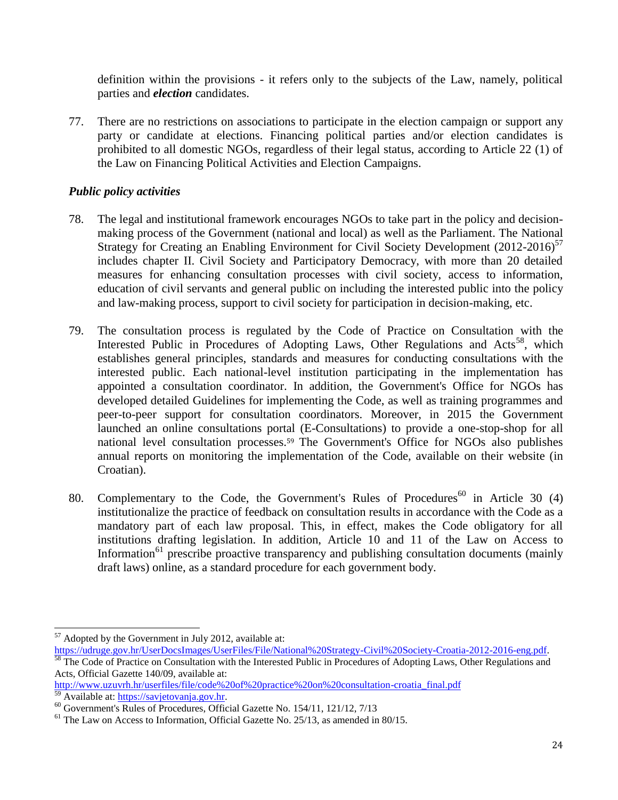definition within the provisions - it refers only to the subjects of the Law, namely, political parties and *election* candidates.

77. There are no restrictions on associations to participate in the election campaign or support any party or candidate at elections. Financing political parties and/or election candidates is prohibited to all domestic NGOs, regardless of their legal status, according to Article 22 (1) of the Law on Financing Political Activities and Election Campaigns.

## *Public policy activities*

- 78. The legal and institutional framework encourages NGOs to take part in the policy and decisionmaking process of the Government (national and local) as well as the Parliament. The National Strategy for Creating an Enabling Environment for Civil Society Development  $(2012-2016)^{57}$ includes chapter II. Civil Society and Participatory Democracy, with more than 20 detailed measures for enhancing consultation processes with civil society, access to information, education of civil servants and general public on including the interested public into the policy and law-making process, support to civil society for participation in decision-making, etc.
- 79. The consultation process is regulated by the Code of Practice on Consultation with the Interested Public in Procedures of Adopting Laws, Other Regulations and  $Acts<sup>58</sup>$ , which establishes general principles, standards and measures for conducting consultations with the interested public. Each national-level institution participating in the implementation has appointed a consultation coordinator. In addition, the Government's Office for NGOs has developed detailed Guidelines for implementing the Code, as well as training programmes and peer-to-peer support for consultation coordinators. Moreover, in 2015 the Government launched an online consultations portal (E-Consultations) to provide a one-stop-shop for all national level consultation processes.<sup>59</sup> The Government's Office for NGOs also publishes annual reports on monitoring the implementation of the Code, available on their website (in Croatian).
- 80. Complementary to the Code, the Government's Rules of Procedures<sup>60</sup> in Article 30 (4) institutionalize the practice of feedback on consultation results in accordance with the Code as a mandatory part of each law proposal. This, in effect, makes the Code obligatory for all institutions drafting legislation. In addition, Article 10 and 11 of the Law on Access to Information<sup>61</sup> prescribe proactive transparency and publishing consultation documents (mainly draft laws) online, as a standard procedure for each government body.

 $\overline{\phantom{0}}$  $57$  Adopted by the Government in July 2012, available at:

[https://udruge.gov.hr/UserDocsImages/UserFiles/File/National%20Strategy-Civil%20Society-Croatia-2012-2016-eng.pdf.](https://udruge.gov.hr/UserDocsImages/UserFiles/File/National%20Strategy-Civil%20Society-Croatia-2012-2016-eng.pdf)<br>58 The Code of Prestice an Customic Code is a contract of the code of Prestice and Customic Code of Prestin The Code of Practice on Consultation with the Interested Public in Procedures of Adopting Laws, Other Regulations and Acts, Official Gazette 140/09, available at:

[http://www.uzuvrh.hr/userfiles/file/code%20of%20practice%20on%20consultation-croatia\\_final.pdf](http://www.uzuvrh.hr/userfiles/file/code%20of%20practice%20on%20consultation-croatia_final.pdf) Available at: [https://savjetovanja.gov.hr.](https://savjetovanja.gov.hr/)

<sup>60</sup> Government's Rules of Procedures, Official Gazette No. 154/11, 121/12, 7/13

 $<sup>61</sup>$  The Law on Access to Information, Official Gazette No. 25/13, as amended in 80/15.</sup>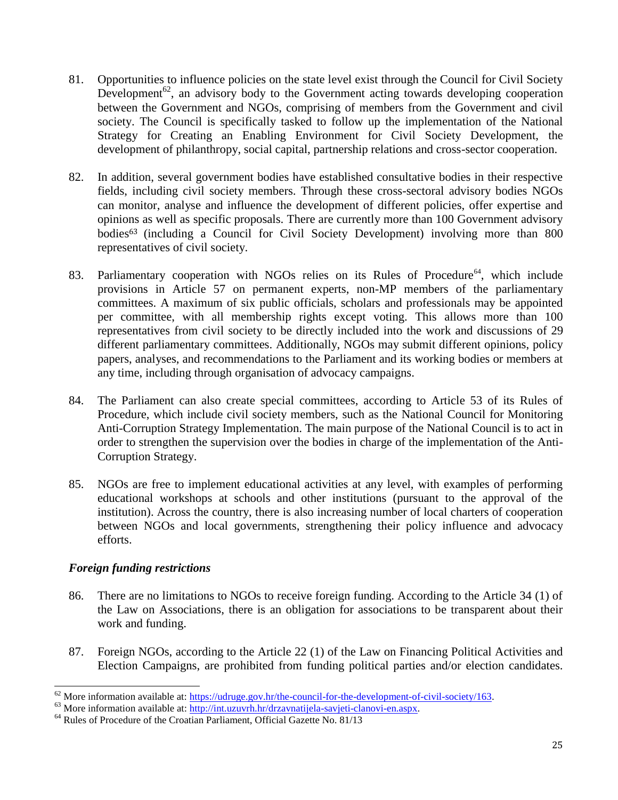- 81. Opportunities to influence policies on the state level exist through the Council for Civil Society Development<sup>62</sup>, an advisory body to the Government acting towards developing cooperation between the Government and NGOs, comprising of members from the Government and civil society. The Council is specifically tasked to follow up the implementation of the National Strategy for Creating an Enabling Environment for Civil Society Development, the development of philanthropy, social capital, partnership relations and cross-sector cooperation.
- 82. In addition, several government bodies have established consultative bodies in their respective fields, including civil society members. Through these cross-sectoral advisory bodies NGOs can monitor, analyse and influence the development of different policies, offer expertise and opinions as well as specific proposals. There are currently more than 100 Government advisory bodies<sup>63</sup> (including a Council for Civil Society Development) involving more than 800 representatives of civil society.
- 83. Parliamentary cooperation with NGOs relies on its Rules of Procedure<sup>64</sup>, which include provisions in Article 57 on permanent experts, non-MP members of the parliamentary committees. A maximum of six public officials, scholars and professionals may be appointed per committee, with all membership rights except voting. This allows more than 100 representatives from civil society to be directly included into the work and discussions of 29 different parliamentary committees. Additionally, NGOs may submit different opinions, policy papers, analyses, and recommendations to the Parliament and its working bodies or members at any time, including through organisation of advocacy campaigns.
- 84. The Parliament can also create special committees, according to Article 53 of its Rules of Procedure, which include civil society members, such as the National Council for Monitoring Anti-Corruption Strategy Implementation. The main purpose of the National Council is to act in order to strengthen the supervision over the bodies in charge of the implementation of the Anti-Corruption Strategy.
- 85. NGOs are free to implement educational activities at any level, with examples of performing educational workshops at schools and other institutions (pursuant to the approval of the institution). Across the country, there is also increasing number of local charters of cooperation between NGOs and local governments, strengthening their policy influence and advocacy efforts.

## *Foreign funding restrictions*

- 86. There are no limitations to NGOs to receive foreign funding. According to the Article 34 (1) of the Law on Associations, there is an obligation for associations to be transparent about their work and funding.
- 87. Foreign NGOs, according to the Article 22 (1) of the Law on Financing Political Activities and Election Campaigns, are prohibited from funding political parties and/or election candidates.

l  $^{62}$  More information available at: https://udruge.gov.hr/the-council-for-the-development-of-civil-society/163.

<sup>&</sup>lt;sup>63</sup> More information available at: [http://int.uzuvrh.hr/drzavnatijela-savjeti-clanovi-en.aspx.](http://int.uzuvrh.hr/drzavnatijela-savjeti-clanovi-en.aspx)

<sup>&</sup>lt;sup>64</sup> Rules of Procedure of the Croatian Parliament, Official Gazette No. 81/13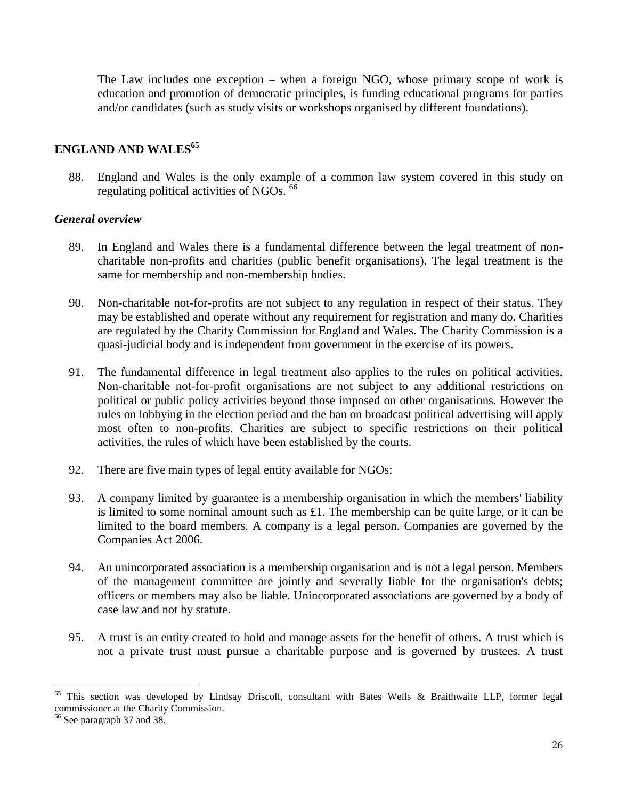The Law includes one exception – when a foreign NGO, whose primary scope of work is education and promotion of democratic principles, is funding educational programs for parties and/or candidates (such as study visits or workshops organised by different foundations).

## **ENGLAND AND WALES<sup>65</sup>**

88. England and Wales is the only example of a common law system covered in this study on regulating political activities of NGOs. <sup>66</sup>

## *General overview*

- 89. In England and Wales there is a fundamental difference between the legal treatment of noncharitable non-profits and charities (public benefit organisations). The legal treatment is the same for membership and non-membership bodies.
- 90. Non-charitable not-for-profits are not subject to any regulation in respect of their status. They may be established and operate without any requirement for registration and many do. Charities are regulated by the Charity Commission for England and Wales. The Charity Commission is a quasi-judicial body and is independent from government in the exercise of its powers.
- 91. The fundamental difference in legal treatment also applies to the rules on political activities. Non-charitable not-for-profit organisations are not subject to any additional restrictions on political or public policy activities beyond those imposed on other organisations. However the rules on lobbying in the election period and the ban on broadcast political advertising will apply most often to non-profits. Charities are subject to specific restrictions on their political activities, the rules of which have been established by the courts.
- 92. There are five main types of legal entity available for NGOs:
- 93. A company limited by guarantee is a membership organisation in which the members' liability is limited to some nominal amount such as £1. The membership can be quite large, or it can be limited to the board members. A company is a legal person. Companies are governed by the Companies Act 2006.
- 94. An unincorporated association is a membership organisation and is not a legal person. Members of the management committee are jointly and severally liable for the organisation's debts; officers or members may also be liable. Unincorporated associations are governed by a body of case law and not by statute.
- 95. A trust is an entity created to hold and manage assets for the benefit of others. A trust which is not a private trust must pursue a charitable purpose and is governed by trustees. A trust

l

This section was developed by Lindsay Driscoll, consultant with Bates Wells & Braithwaite LLP, former legal commissioner at the Charity Commission.

<sup>&</sup>lt;sup>66</sup> See paragraph 37 and 38.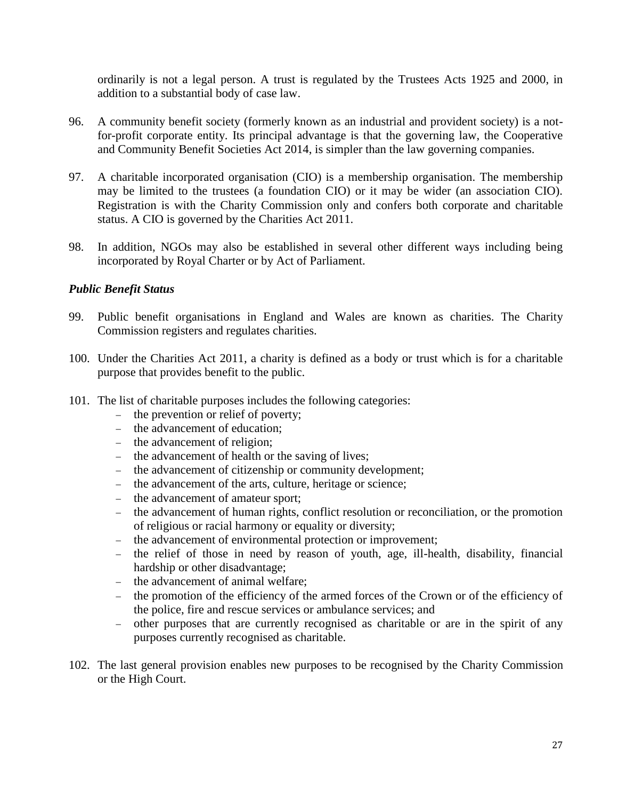ordinarily is not a legal person. A trust is regulated by the Trustees Acts 1925 and 2000, in addition to a substantial body of case law.

- 96. A community benefit society (formerly known as an industrial and provident society) is a notfor-profit corporate entity. Its principal advantage is that the governing law, the Cooperative and Community Benefit Societies Act 2014, is simpler than the law governing companies.
- 97. A charitable incorporated organisation (CIO) is a membership organisation. The membership may be limited to the trustees (a foundation CIO) or it may be wider (an association CIO). Registration is with the Charity Commission only and confers both corporate and charitable status. A CIO is governed by the Charities Act 2011.
- 98. In addition, NGOs may also be established in several other different ways including being incorporated by Royal Charter or by Act of Parliament.

## *Public Benefit Status*

- 99. Public benefit organisations in England and Wales are known as charities. The Charity Commission registers and regulates charities.
- 100. Under the Charities Act 2011, a charity is defined as a body or trust which is for a charitable purpose that provides benefit to the public.
- 101. The list of charitable purposes includes the following categories:
	- the prevention or relief of poverty;
	- the advancement of education;
	- the advancement of religion:
	- the advancement of health or the saving of lives;
	- the advancement of citizenship or community development;
	- the advancement of the arts, culture, heritage or science;
	- the advancement of amateur sport;
	- the advancement of human rights, conflict resolution or reconciliation, or the promotion of religious or racial harmony or equality or diversity;
	- the advancement of environmental protection or improvement;
	- the relief of those in need by reason of youth, age, ill-health, disability, financial hardship or other disadvantage;
	- the advancement of animal welfare;
	- the promotion of the efficiency of the armed forces of the Crown or of the efficiency of the police, fire and rescue services or ambulance services; and
	- other purposes that are currently recognised as charitable or are in the spirit of any purposes currently recognised as charitable.
- 102. The last general provision enables new purposes to be recognised by the Charity Commission or the High Court.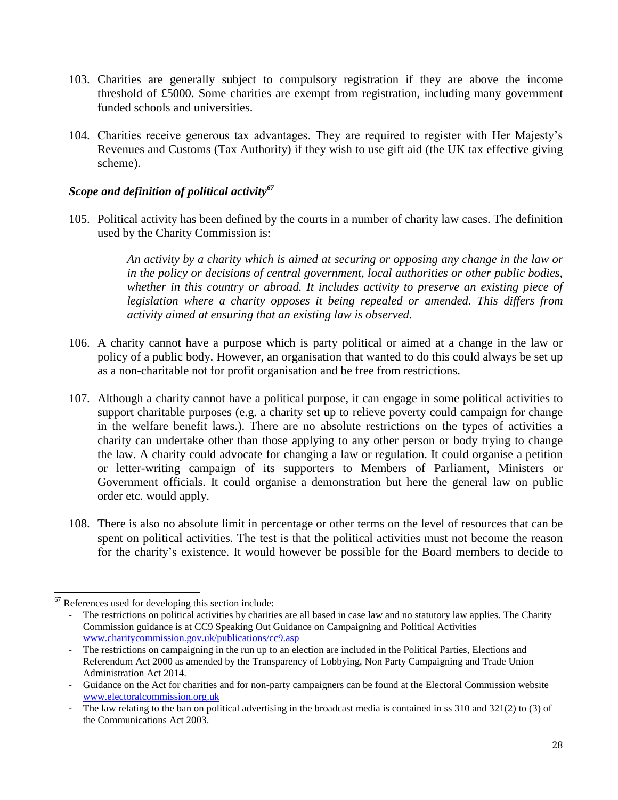- 103. Charities are generally subject to compulsory registration if they are above the income threshold of £5000. Some charities are exempt from registration, including many government funded schools and universities.
- 104. Charities receive generous tax advantages. They are required to register with Her Majesty's Revenues and Customs (Tax Authority) if they wish to use gift aid (the UK tax effective giving scheme).

## *Scope and definition of political activity<sup>67</sup>*

105. Political activity has been defined by the courts in a number of charity law cases. The definition used by the Charity Commission is:

> *An activity by a charity which is aimed at securing or opposing any change in the law or in the policy or decisions of central government, local authorities or other public bodies, whether in this country or abroad. It includes activity to preserve an existing piece of legislation where a charity opposes it being repealed or amended. This differs from activity aimed at ensuring that an existing law is observed.*

- 106. A charity cannot have a purpose which is party political or aimed at a change in the law or policy of a public body. However, an organisation that wanted to do this could always be set up as a non-charitable not for profit organisation and be free from restrictions.
- 107. Although a charity cannot have a political purpose, it can engage in some political activities to support charitable purposes (e.g. a charity set up to relieve poverty could campaign for change in the welfare benefit laws.). There are no absolute restrictions on the types of activities a charity can undertake other than those applying to any other person or body trying to change the law. A charity could advocate for changing a law or regulation. It could organise a petition or letter-writing campaign of its supporters to Members of Parliament, Ministers or Government officials. It could organise a demonstration but here the general law on public order etc. would apply.
- 108. There is also no absolute limit in percentage or other terms on the level of resources that can be spent on political activities. The test is that the political activities must not become the reason for the charity's existence. It would however be possible for the Board members to decide to

l  $67$  References used for developing this section include:

The restrictions on political activities by charities are all based in case law and no statutory law applies. The Charity Commission guidance is at CC9 Speaking Out Guidance on Campaigning and Political Activities [www.charitycommission.gov.uk/publications/cc9.asp](http://www.charitycommission.gov.uk/publications/cc9.asp)

<sup>-</sup> The restrictions on campaigning in the run up to an election are included in the Political Parties, Elections and Referendum Act 2000 as amended by the Transparency of Lobbying, Non Party Campaigning and Trade Union Administration Act 2014.

<sup>-</sup> Guidance on the Act for charities and for non-party campaigners can be found at the Electoral Commission website [www.electoralcommission.org.uk](http://www.electoralcommission.org.uk/)

The law relating to the ban on political advertising in the broadcast media is contained in ss  $310$  and  $321(2)$  to  $(3)$  of the Communications Act 2003.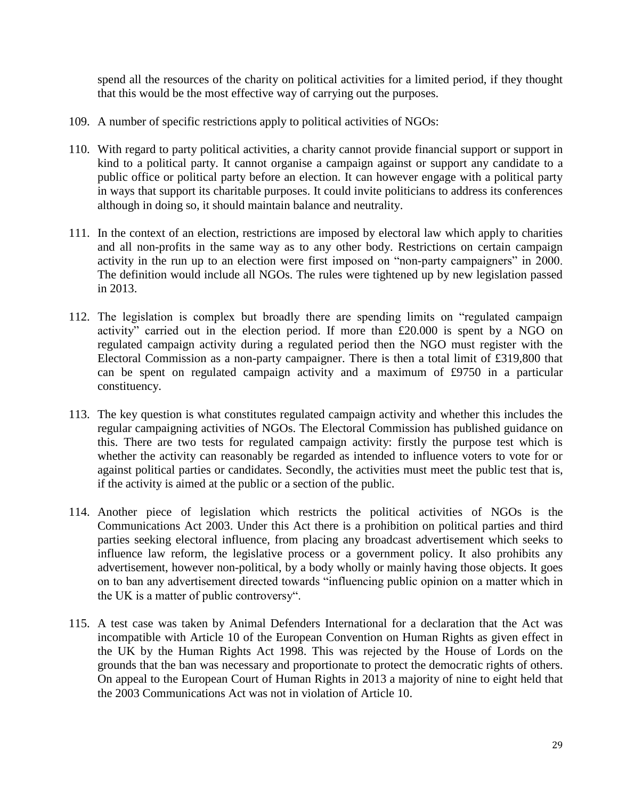spend all the resources of the charity on political activities for a limited period, if they thought that this would be the most effective way of carrying out the purposes.

- 109. A number of specific restrictions apply to political activities of NGOs:
- 110. With regard to party political activities, a charity cannot provide financial support or support in kind to a political party. It cannot organise a campaign against or support any candidate to a public office or political party before an election. It can however engage with a political party in ways that support its charitable purposes. It could invite politicians to address its conferences although in doing so, it should maintain balance and neutrality.
- 111. In the context of an election, restrictions are imposed by electoral law which apply to charities and all non-profits in the same way as to any other body. Restrictions on certain campaign activity in the run up to an election were first imposed on "non-party campaigners" in 2000. The definition would include all NGOs. The rules were tightened up by new legislation passed in 2013.
- 112. The legislation is complex but broadly there are spending limits on "regulated campaign activity" carried out in the election period. If more than £20.000 is spent by a NGO on regulated campaign activity during a regulated period then the NGO must register with the Electoral Commission as a non-party campaigner. There is then a total limit of £319,800 that can be spent on regulated campaign activity and a maximum of £9750 in a particular constituency.
- 113. The key question is what constitutes regulated campaign activity and whether this includes the regular campaigning activities of NGOs. The Electoral Commission has published guidance on this. There are two tests for regulated campaign activity: firstly the purpose test which is whether the activity can reasonably be regarded as intended to influence voters to vote for or against political parties or candidates. Secondly, the activities must meet the public test that is, if the activity is aimed at the public or a section of the public.
- 114. Another piece of legislation which restricts the political activities of NGOs is the Communications Act 2003. Under this Act there is a prohibition on political parties and third parties seeking electoral influence, from placing any broadcast advertisement which seeks to influence law reform, the legislative process or a government policy. It also prohibits any advertisement, however non-political, by a body wholly or mainly having those objects. It goes on to ban any advertisement directed towards "influencing public opinion on a matter which in the UK is a matter of public controversy".
- 115. A test case was taken by Animal Defenders International for a declaration that the Act was incompatible with Article 10 of the European Convention on Human Rights as given effect in the UK by the Human Rights Act 1998. This was rejected by the House of Lords on the grounds that the ban was necessary and proportionate to protect the democratic rights of others. On appeal to the European Court of Human Rights in 2013 a majority of nine to eight held that the 2003 Communications Act was not in violation of Article 10.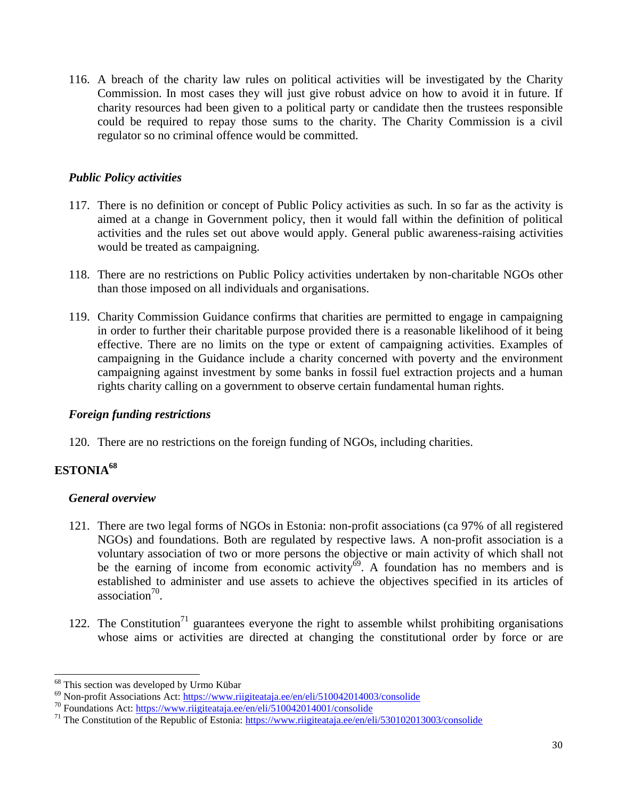116. A breach of the charity law rules on political activities will be investigated by the Charity Commission. In most cases they will just give robust advice on how to avoid it in future. If charity resources had been given to a political party or candidate then the trustees responsible could be required to repay those sums to the charity. The Charity Commission is a civil regulator so no criminal offence would be committed.

## *Public Policy activities*

- 117. There is no definition or concept of Public Policy activities as such. In so far as the activity is aimed at a change in Government policy, then it would fall within the definition of political activities and the rules set out above would apply. General public awareness-raising activities would be treated as campaigning.
- 118. There are no restrictions on Public Policy activities undertaken by non-charitable NGOs other than those imposed on all individuals and organisations.
- 119. Charity Commission Guidance confirms that charities are permitted to engage in campaigning in order to further their charitable purpose provided there is a reasonable likelihood of it being effective. There are no limits on the type or extent of campaigning activities. Examples of campaigning in the Guidance include a charity concerned with poverty and the environment campaigning against investment by some banks in fossil fuel extraction projects and a human rights charity calling on a government to observe certain fundamental human rights.

## *Foreign funding restrictions*

120. There are no restrictions on the foreign funding of NGOs, including charities.

# **ESTONIA<sup>68</sup>**

 $\overline{\phantom{0}}$ 

# *General overview*

- 121. There are two legal forms of NGOs in Estonia: non-profit associations (ca 97% of all registered NGOs) and foundations. Both are regulated by respective laws. A non-profit association is a voluntary association of two or more persons the objective or main activity of which shall not be the earning of income from economic activity<sup> $\delta$ 9</sup>. A foundation has no members and is established to administer and use assets to achieve the objectives specified in its articles of association $^{70}$ .
- 122. The Constitution<sup>71</sup> guarantees everyone the right to assemble whilst prohibiting organisations whose aims or activities are directed at changing the constitutional order by force or are

<sup>&</sup>lt;sup>68</sup> This section was developed by Urmo Kübar

<sup>&</sup>lt;sup>69</sup> Non-profit Associations Act: <https://www.riigiteataja.ee/en/eli/510042014003/consolide>

<sup>&</sup>lt;sup>70</sup> Foundations Act: <https://www.riigiteataja.ee/en/eli/510042014001/consolide>

<sup>&</sup>lt;sup>71</sup> The Constitution of the Republic of Estonia: <https://www.riigiteataja.ee/en/eli/530102013003/consolide>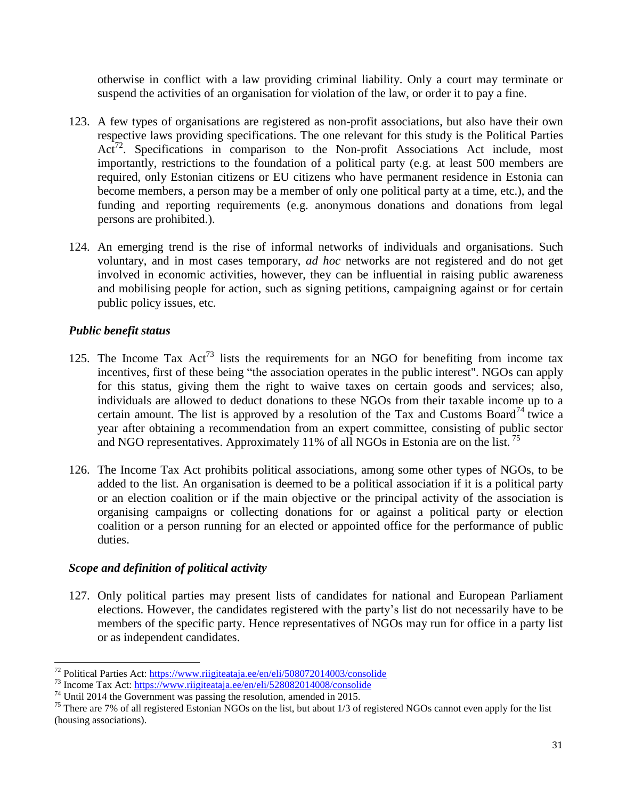otherwise in conflict with a law providing criminal liability. Only a court may terminate or suspend the activities of an organisation for violation of the law, or order it to pay a fine.

- 123. A few types of organisations are registered as non-profit associations, but also have their own respective laws providing specifications. The one relevant for this study is the Political Parties Act<sup>72</sup>. Specifications in comparison to the Non-profit Associations Act include, most importantly, restrictions to the foundation of a political party (e.g. at least 500 members are required, only Estonian citizens or EU citizens who have permanent residence in Estonia can become members, a person may be a member of only one political party at a time, etc.), and the funding and reporting requirements (e.g. anonymous donations and donations from legal persons are prohibited.).
- 124. An emerging trend is the rise of informal networks of individuals and organisations. Such voluntary, and in most cases temporary, *ad hoc* networks are not registered and do not get involved in economic activities, however, they can be influential in raising public awareness and mobilising people for action, such as signing petitions, campaigning against or for certain public policy issues, etc.

## *Public benefit status*

- 125. The Income Tax  $Act^{73}$  lists the requirements for an NGO for benefiting from income tax incentives, first of these being "the association operates in the public interest". NGOs can apply for this status, giving them the right to waive taxes on certain goods and services; also, individuals are allowed to deduct donations to these NGOs from their taxable income up to a certain amount. The list is approved by a resolution of the Tax and Customs Board<sup>74</sup> twice a year after obtaining a recommendation from an expert committee, consisting of public sector and NGO representatives. Approximately  $11\%$  of all NGOs in Estonia are on the list.<sup>75</sup>
- 126. The Income Tax Act prohibits political associations, among some other types of NGOs, to be added to the list. An organisation is deemed to be a political association if it is a political party or an election coalition or if the main objective or the principal activity of the association is organising campaigns or collecting donations for or against a political party or election coalition or a person running for an elected or appointed office for the performance of public duties.

## *Scope and definition of political activity*

127. Only political parties may present lists of candidates for national and European Parliament elections. However, the candidates registered with the party's list do not necessarily have to be members of the specific party. Hence representatives of NGOs may run for office in a party list or as independent candidates.

l <sup>72</sup> Political Parties Act: <https://www.riigiteataja.ee/en/eli/508072014003/consolide>

<sup>&</sup>lt;sup>73</sup> Income Tax Act: <https://www.riigiteataja.ee/en/eli/528082014008/consolide>

 $74$  Until 2014 the Government was passing the resolution, amended in 2015.

<sup>&</sup>lt;sup>75</sup> There are 7% of all registered Estonian NGOs on the list, but about  $1/3$  of registered NGOs cannot even apply for the list (housing associations).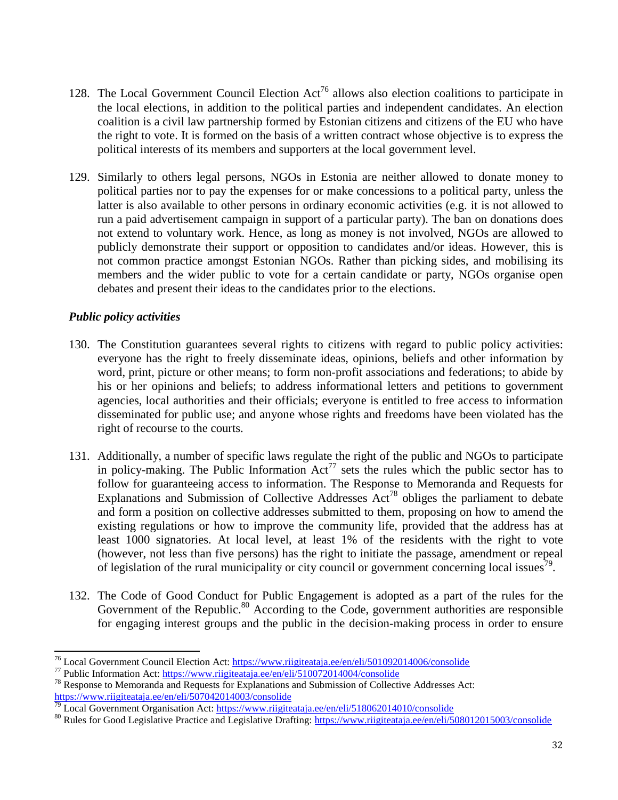- 128. The Local Government Council Election Act<sup>76</sup> allows also election coalitions to participate in the local elections, in addition to the political parties and independent candidates. An election coalition is a civil law partnership formed by Estonian citizens and citizens of the EU who have the right to vote. It is formed on the basis of a written contract whose objective is to express the political interests of its members and supporters at the local government level.
- 129. Similarly to others legal persons, NGOs in Estonia are neither allowed to donate money to political parties nor to pay the expenses for or make concessions to a political party, unless the latter is also available to other persons in ordinary economic activities (e.g. it is not allowed to run a paid advertisement campaign in support of a particular party). The ban on donations does not extend to voluntary work. Hence, as long as money is not involved, NGOs are allowed to publicly demonstrate their support or opposition to candidates and/or ideas. However, this is not common practice amongst Estonian NGOs. Rather than picking sides, and mobilising its members and the wider public to vote for a certain candidate or party, NGOs organise open debates and present their ideas to the candidates prior to the elections.

## *Public policy activities*

- 130. The Constitution guarantees several rights to citizens with regard to public policy activities: everyone has the right to freely disseminate ideas, opinions, beliefs and other information by word, print, picture or other means; to form non-profit associations and federations; to abide by his or her opinions and beliefs; to address informational letters and petitions to government agencies, local authorities and their officials; everyone is entitled to free access to information disseminated for public use; and anyone whose rights and freedoms have been violated has the right of recourse to the courts.
- 131. Additionally, a number of specific laws regulate the right of the public and NGOs to participate in policy-making. The Public Information  $Act^{77}$  sets the rules which the public sector has to follow for guaranteeing access to information. The Response to Memoranda and Requests for Explanations and Submission of Collective Addresses  $Act^{78}$  obliges the parliament to debate and form a position on collective addresses submitted to them, proposing on how to amend the existing regulations or how to improve the community life, provided that the address has at least 1000 signatories. At local level, at least 1% of the residents with the right to vote (however, not less than five persons) has the right to initiate the passage, amendment or repeal of legislation of the rural municipality or city council or government concerning local issues<sup>79</sup>.
- 132. The Code of Good Conduct for Public Engagement is adopted as a part of the rules for the Government of the Republic.<sup>80</sup> According to the Code, government authorities are responsible for engaging interest groups and the public in the decision-making process in order to ensure

l <sup>76</sup> Local Government Council Election Act: <https://www.riigiteataja.ee/en/eli/501092014006/consolide>

<sup>77</sup> Public Information Act: <https://www.riigiteataja.ee/en/eli/510072014004/consolide>

<sup>78</sup> Response to Memoranda and Requests for Explanations and Submission of Collective Addresses Act: <https://www.riigiteataja.ee/en/eli/507042014003/consolide>

 $\frac{79}{10}$  Local Government Organisation Act: <https://www.riigiteataja.ee/en/eli/518062014010/consolide>

<sup>&</sup>lt;sup>80</sup> Rules for Good Legislative Practice and Legislative Drafting: <https://www.riigiteataja.ee/en/eli/508012015003/consolide>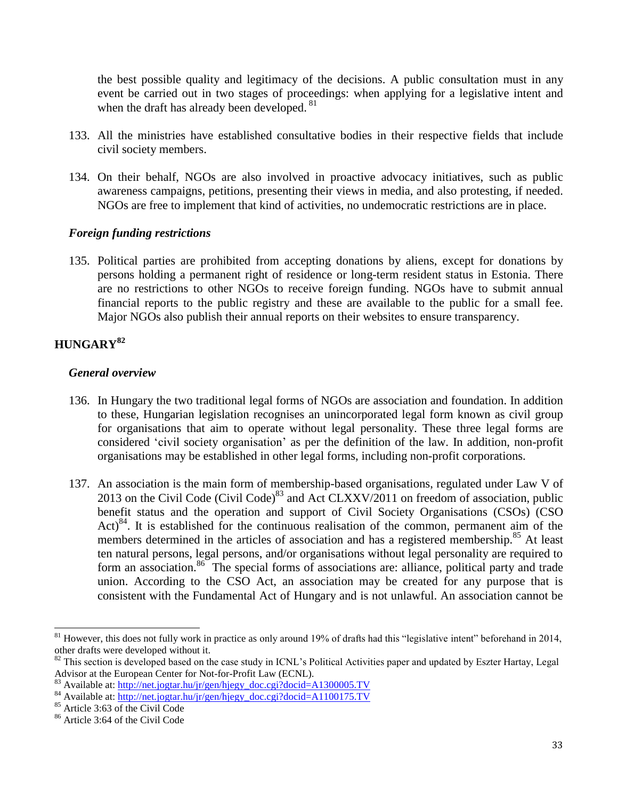the best possible quality and legitimacy of the decisions. A public consultation must in any event be carried out in two stages of proceedings: when applying for a legislative intent and when the draft has already been developed. <sup>81</sup>

- 133. All the ministries have established consultative bodies in their respective fields that include civil society members.
- 134. On their behalf, NGOs are also involved in proactive advocacy initiatives, such as public awareness campaigns, petitions, presenting their views in media, and also protesting, if needed. NGOs are free to implement that kind of activities, no undemocratic restrictions are in place.

## *Foreign funding restrictions*

135. Political parties are prohibited from accepting donations by aliens, except for donations by persons holding a permanent right of residence or long-term resident status in Estonia. There are no restrictions to other NGOs to receive foreign funding. NGOs have to submit annual financial reports to the public registry and these are available to the public for a small fee. Major NGOs also publish their annual reports on their websites to ensure transparency.

# **HUNGARY<sup>82</sup>**

## *General overview*

- 136. In Hungary the two traditional legal forms of NGOs are association and foundation. In addition to these, Hungarian legislation recognises an unincorporated legal form known as civil group for organisations that aim to operate without legal personality. These three legal forms are considered 'civil society organisation' as per the definition of the law. In addition, non-profit organisations may be established in other legal forms, including non-profit corporations.
- 137. An association is the main form of membership-based organisations, regulated under Law V of 2013 on the Civil Code (Civil Code)<sup>83</sup> and Act CLXXV/2011 on freedom of association, public benefit status and the operation and support of Civil Society Organisations (CSOs) (CSO Act)<sup>84</sup>. It is established for the continuous realisation of the common, permanent aim of the members determined in the articles of association and has a registered membership.<sup>85</sup> At least ten natural persons, legal persons, and/or organisations without legal personality are required to form an association.<sup>86</sup> The special forms of associations are: alliance, political party and trade union. According to the CSO Act, an association may be created for any purpose that is consistent with the Fundamental Act of Hungary and is not unlawful. An association cannot be

 $\overline{\phantom{0}}$  $81$  However, this does not fully work in practice as only around 19% of drafts had this "legislative intent" beforehand in 2014, other drafts were developed without it.

<sup>&</sup>lt;sup>82</sup> This section is developed based on the case study in ICNL's Political Activities paper and updated by Eszter Hartay, Legal Advisor at the European Center for Not-for-Profit Law (ECNL).

<sup>&</sup>lt;sup>83</sup> Available at: [http://net.jogtar.hu/jr/gen/hjegy\\_doc.cgi?docid=A1300005.TV](http://net.jogtar.hu/jr/gen/hjegy_doc.cgi?docid=A1300005.TV)

<sup>&</sup>lt;sup>84</sup> Available at: [http://net.jogtar.hu/jr/gen/hjegy\\_doc.cgi?docid=A1100175.TV](http://net.jogtar.hu/jr/gen/hjegy_doc.cgi?docid=A1100175.TV)

<sup>85</sup> Article 3:63 of the Civil Code

<sup>86</sup> Article 3:64 of the Civil Code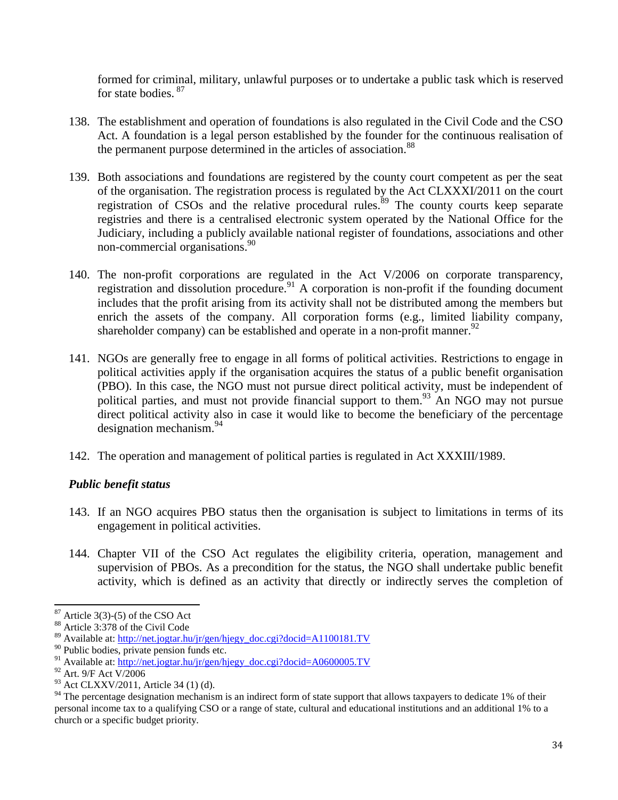formed for criminal, military, unlawful purposes or to undertake a public task which is reserved for state bodies. <sup>87</sup>

- 138. The establishment and operation of foundations is also regulated in the Civil Code and the CSO Act. A foundation is a legal person established by the founder for the continuous realisation of the permanent purpose determined in the articles of association.<sup>88</sup>
- 139. Both associations and foundations are registered by the county court competent as per the seat of the organisation. The registration process is regulated by the Act CLXXXI/2011 on the court registration of CSOs and the relative procedural rules.<sup>89</sup> The county courts keep separate registries and there is a centralised electronic system operated by the National Office for the Judiciary, including a publicly available national register of foundations, associations and other non-commercial organisations.<sup>90</sup>
- 140. The non-profit corporations are regulated in the Act V/2006 on corporate transparency, registration and dissolution procedure.<sup>91</sup> A corporation is non-profit if the founding document includes that the profit arising from its activity shall not be distributed among the members but enrich the assets of the company. All corporation forms (e.g., limited liability company, shareholder company) can be established and operate in a non-profit manner.<sup>92</sup>
- 141. NGOs are generally free to engage in all forms of political activities. Restrictions to engage in political activities apply if the organisation acquires the status of a public benefit organisation (PBO). In this case, the NGO must not pursue direct political activity, must be independent of political parties, and must not provide financial support to them.<sup>93</sup> An NGO may not pursue direct political activity also in case it would like to become the beneficiary of the percentage designation mechanism.<sup>94</sup>
- 142. The operation and management of political parties is regulated in Act XXXIII/1989.

## *Public benefit status*

- 143. If an NGO acquires PBO status then the organisation is subject to limitations in terms of its engagement in political activities.
- 144. Chapter VII of the CSO Act regulates the eligibility criteria, operation, management and supervision of PBOs. As a precondition for the status, the NGO shall undertake public benefit activity, which is defined as an activity that directly or indirectly serves the completion of

 $\overline{\phantom{0}}$ Article  $3(3)-(5)$  of the CSO Act

Article 3:378 of the Civil Code

<sup>89</sup> Available at: [http://net.jogtar.hu/jr/gen/hjegy\\_doc.cgi?docid=A1100181.TV](http://net.jogtar.hu/jr/gen/hjegy_doc.cgi?docid=A1100181.TV)

<sup>90</sup> Public bodies, private pension funds etc.

<sup>&</sup>lt;sup>91</sup> Available at:  $\frac{\text{http://net.jogtar.hu/jr/gen/hjegy_doc.cgi?docid=A0600005.TV}}{22 \text{ Art } 0.05 \text{ Act } V/2006}$ 

Art. 9/F Act V/2006

<sup>&</sup>lt;sup>93</sup> Act CLXXV/2011, Article 34 (1) (d).

<sup>&</sup>lt;sup>94</sup> The percentage designation mechanism is an indirect form of state support that allows taxpayers to dedicate 1% of their personal income tax to a qualifying CSO or a range of state, cultural and educational institutions and an additional 1% to a church or a specific budget priority.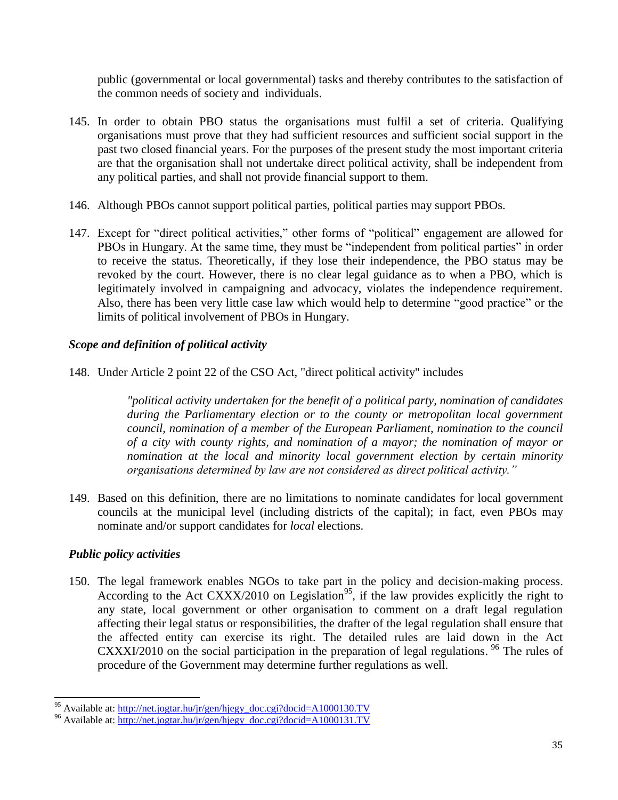public (governmental or local governmental) tasks and thereby contributes to the satisfaction of the common needs of society and individuals.

- 145. In order to obtain PBO status the organisations must fulfil a set of criteria. Qualifying organisations must prove that they had sufficient resources and sufficient social support in the past two closed financial years. For the purposes of the present study the most important criteria are that the organisation shall not undertake direct political activity, shall be independent from any political parties, and shall not provide financial support to them.
- 146. Although PBOs cannot support political parties, political parties may support PBOs.
- 147. Except for "direct political activities," other forms of "political" engagement are allowed for PBOs in Hungary. At the same time, they must be "independent from political parties" in order to receive the status. Theoretically, if they lose their independence, the PBO status may be revoked by the court. However, there is no clear legal guidance as to when a PBO, which is legitimately involved in campaigning and advocacy, violates the independence requirement. Also, there has been very little case law which would help to determine "good practice" or the limits of political involvement of PBOs in Hungary.

## *Scope and definition of political activity*

148. Under Article 2 point 22 of the CSO Act, "direct political activity" includes

*"political activity undertaken for the benefit of a political party, nomination of candidates during the Parliamentary election or to the county or metropolitan local government council, nomination of a member of the European Parliament, nomination to the council of a city with county rights, and nomination of a mayor; the nomination of mayor or nomination at the local and minority local government election by certain minority organisations determined by law are not considered as direct political activity."*

149. Based on this definition, there are no limitations to nominate candidates for local government councils at the municipal level (including districts of the capital); in fact, even PBOs may nominate and/or support candidates for *local* elections.

## *Public policy activities*

 $\overline{\phantom{0}}$ 

150. The legal framework enables NGOs to take part in the policy and decision-making process. According to the Act CXXX/2010 on Legislation<sup>95</sup>, if the law provides explicitly the right to any state, local government or other organisation to comment on a draft legal regulation affecting their legal status or responsibilities, the drafter of the legal regulation shall ensure that the affected entity can exercise its right. The detailed rules are laid down in the Act CXXXI/2010 on the social participation in the preparation of legal regulations. <sup>96</sup> The rules of procedure of the Government may determine further regulations as well.

<sup>&</sup>lt;sup>95</sup> Available at: [http://net.jogtar.hu/jr/gen/hjegy\\_doc.cgi?docid=A1000130.TV](http://net.jogtar.hu/jr/gen/hjegy_doc.cgi?docid=A1000130.TV)

<sup>96</sup> Available at: [http://net.jogtar.hu/jr/gen/hjegy\\_doc.cgi?docid=A1000131.TV](http://net.jogtar.hu/jr/gen/hjegy_doc.cgi?docid=A1000131.TV)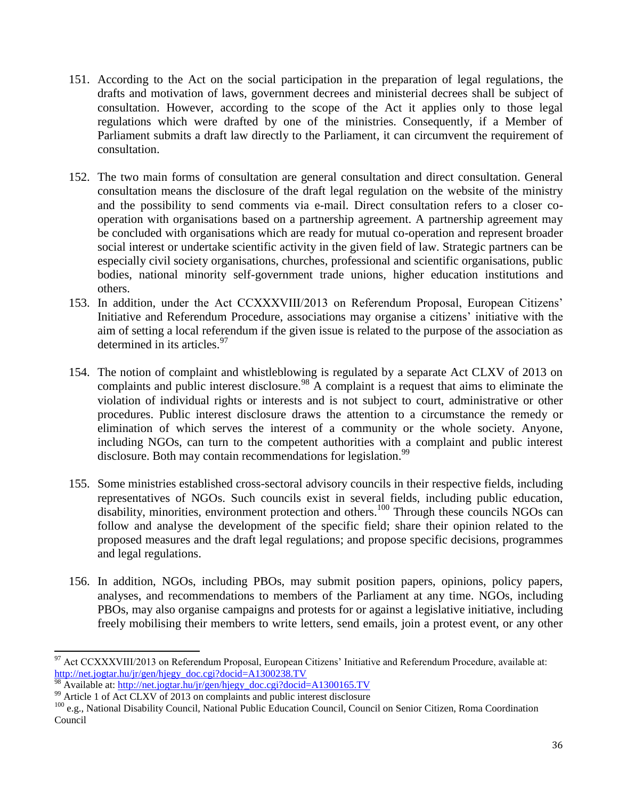- 151. According to the Act on the social participation in the preparation of legal regulations, the drafts and motivation of laws, government decrees and ministerial decrees shall be subject of consultation. However, according to the scope of the Act it applies only to those legal regulations which were drafted by one of the ministries. Consequently, if a Member of Parliament submits a draft law directly to the Parliament, it can circumvent the requirement of consultation.
- 152. The two main forms of consultation are general consultation and direct consultation. General consultation means the disclosure of the draft legal regulation on the website of the ministry and the possibility to send comments via e-mail. Direct consultation refers to a closer cooperation with organisations based on a partnership agreement. A partnership agreement may be concluded with organisations which are ready for mutual co-operation and represent broader social interest or undertake scientific activity in the given field of law. Strategic partners can be especially civil society organisations, churches, professional and scientific organisations, public bodies, national minority self-government trade unions, higher education institutions and others.
- 153. In addition, under the Act CCXXXVIII/2013 on Referendum Proposal, European Citizens' Initiative and Referendum Procedure, associations may organise a citizens' initiative with the aim of setting a local referendum if the given issue is related to the purpose of the association as determined in its articles.<sup>97</sup>
- 154. The notion of complaint and whistleblowing is regulated by a separate Act CLXV of 2013 on complaints and public interest disclosure.<sup>98</sup> A complaint is a request that aims to eliminate the violation of individual rights or interests and is not subject to court, administrative or other procedures. Public interest disclosure draws the attention to a circumstance the remedy or elimination of which serves the interest of a community or the whole society. Anyone, including NGOs, can turn to the competent authorities with a complaint and public interest disclosure. Both may contain recommendations for legislation.<sup>99</sup>
- 155. Some ministries established cross-sectoral advisory councils in their respective fields, including representatives of NGOs. Such councils exist in several fields, including public education, disability, minorities, environment protection and others.<sup>100</sup> Through these councils NGOs can follow and analyse the development of the specific field; share their opinion related to the proposed measures and the draft legal regulations; and propose specific decisions, programmes and legal regulations.
- 156. In addition, NGOs, including PBOs, may submit position papers, opinions, policy papers, analyses, and recommendations to members of the Parliament at any time. NGOs, including PBOs, may also organise campaigns and protests for or against a legislative initiative, including freely mobilising their members to write letters, send emails, join a protest event, or any other

l  $^{97}$  Act CCXXXVIII/2013 on Referendum Proposal, European Citizens' Initiative and Referendum Procedure, available at: [http://net.jogtar.hu/jr/gen/hjegy\\_doc.cgi?docid=A1300238.TV](http://net.jogtar.hu/jr/gen/hjegy_doc.cgi?docid=A1300238.TV)

<sup>98</sup> Available at: [http://net.jogtar.hu/jr/gen/hjegy\\_doc.cgi?docid=A1300165.TV](http://net.jogtar.hu/jr/gen/hjegy_doc.cgi?docid=A1300165.TV)

<sup>&</sup>lt;sup>99</sup> Article 1 of Act CLXV of 2013 on complaints and public interest disclosure

<sup>100</sup> e.g., National Disability Council, National Public Education Council, Council on Senior Citizen, Roma Coordination Council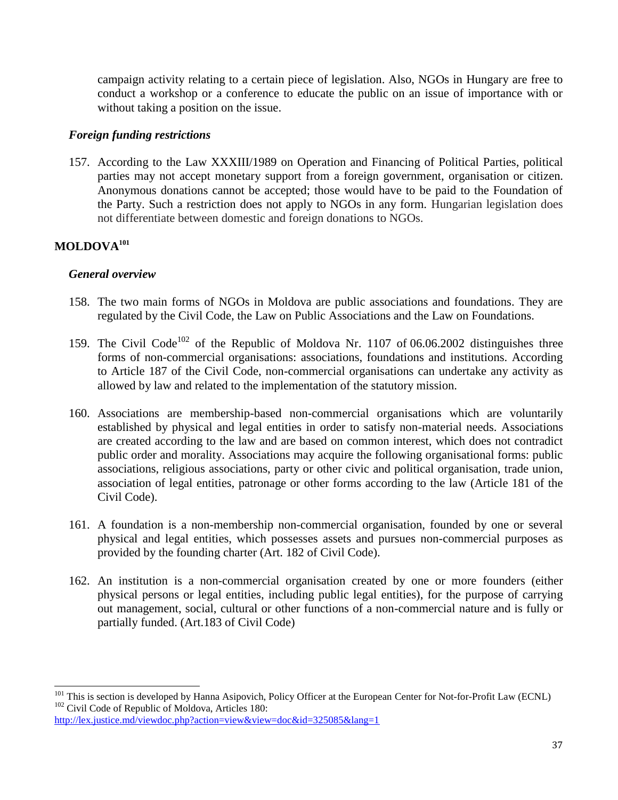campaign activity relating to a certain piece of legislation. Also, NGOs in Hungary are free to conduct a workshop or a conference to educate the public on an issue of importance with or without taking a position on the issue.

## *Foreign funding restrictions*

157. According to the Law XXXIII/1989 on Operation and Financing of Political Parties, political parties may not accept monetary support from a foreign government, organisation or citizen. Anonymous donations cannot be accepted; those would have to be paid to the Foundation of the Party. Such a restriction does not apply to NGOs in any form. Hungarian legislation does not differentiate between domestic and foreign donations to NGOs.

## **MOLDOVA<sup>101</sup>**

l

## *General overview*

- 158. The two main forms of NGOs in Moldova are public associations and foundations. They are regulated by the Civil Code, the Law on Public Associations and the Law on Foundations.
- 159. The Civil Code<sup>102</sup> of the Republic of Moldova Nr. 1107 of 06.06.2002 distinguishes three forms of non-commercial organisations: associations, foundations and institutions. According to Article 187 of the Civil Code, non-commercial organisations can undertake any activity as allowed by law and related to the implementation of the statutory mission.
- 160. Associations are membership-based non-commercial organisations which are voluntarily established by physical and legal entities in order to satisfy non-material needs. Associations are created according to the law and are based on common interest, which does not contradict public order and morality. Associations may acquire the following organisational forms: public associations, religious associations, party or other civic and political organisation, trade union, association of legal entities, patronage or other forms according to the law (Article 181 of the Civil Code).
- 161. A foundation is a non-membership non-commercial organisation, founded by one or several physical and legal entities, which possesses assets and pursues non-commercial purposes as provided by the founding charter (Art. 182 of Civil Code).
- 162. An institution is a non-commercial organisation created by one or more founders (either physical persons or legal entities, including public legal entities), for the purpose of carrying out management, social, cultural or other functions of a non-commercial nature and is fully or partially funded. (Art.183 of Civil Code)

<sup>&</sup>lt;sup>101</sup> This is section is developed by Hanna Asipovich, Policy Officer at the European Center for Not-for-Profit Law (ECNL) <sup>102</sup> Civil Code of Republic of Moldova, Articles 180:

<http://lex.justice.md/viewdoc.php?action=view&view=doc&id=325085&lang=1>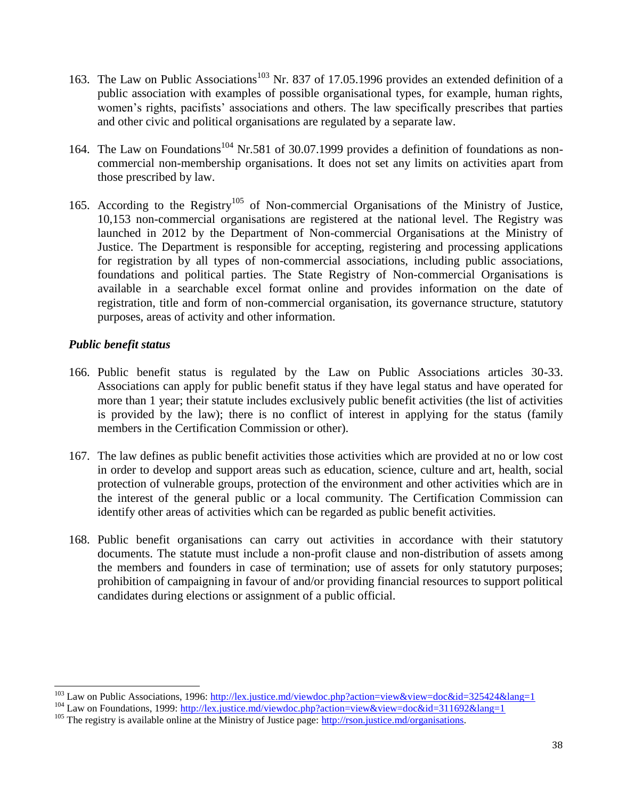- 163. The Law on Public Associations<sup>103</sup> Nr. 837 of 17.05.1996 provides an extended definition of a public association with examples of possible organisational types, for example, human rights, women's rights, pacifists' associations and others. The law specifically prescribes that parties and other civic and political organisations are regulated by a separate law.
- 164. The Law on Foundations<sup>104</sup> Nr.581 of 30.07.1999 provides a definition of foundations as noncommercial non-membership organisations. It does not set any limits on activities apart from those prescribed by law.
- 165. According to the Registry<sup>105</sup> of Non-commercial Organisations of the Ministry of Justice, 10,153 non-commercial organisations are registered at the national level. The Registry was launched in 2012 by the Department of Non-commercial Organisations at the Ministry of Justice. The Department is responsible for accepting, registering and processing applications for registration by all types of non-commercial associations, including public associations, foundations and political parties. The State Registry of Non-commercial Organisations is available in a searchable excel format online and provides information on the date of registration, title and form of non-commercial organisation, its governance structure, statutory purposes, areas of activity and other information.

## *Public benefit status*

l

- 166. Public benefit status is regulated by the Law on Public Associations articles 30-33. Associations can apply for public benefit status if they have legal status and have operated for more than 1 year; their statute includes exclusively public benefit activities (the list of activities is provided by the law); there is no conflict of interest in applying for the status (family members in the Certification Commission or other).
- 167. The law defines as public benefit activities those activities which are provided at no or low cost in order to develop and support areas such as education, science, culture and art, health, social protection of vulnerable groups, protection of the environment and other activities which are in the interest of the general public or a local community. The Certification Commission can identify other areas of activities which can be regarded as public benefit activities.
- 168. Public benefit organisations can carry out activities in accordance with their statutory documents. The statute must include a non-profit clause and non-distribution of assets among the members and founders in case of termination; use of assets for only statutory purposes; prohibition of campaigning in favour of and/or providing financial resources to support political candidates during elections or assignment of a public official.

<sup>&</sup>lt;sup>103</sup> Law on Public Associations, 1996:<http://lex.justice.md/viewdoc.php?action=view&view=doc&id=325424&lang=1>

<sup>104</sup> Law on Foundations, 1999[: http://lex.justice.md/viewdoc.php?action=view&view=doc&id=311692&lang=1](http://lex.justice.md/viewdoc.php?action=view&view=doc&id=311692&lang=1)

<sup>&</sup>lt;sup>105</sup> The registry is available online at the Ministry of Justice page: [http://rson.justice.md/organisations.](http://rson.justice.md/organisations)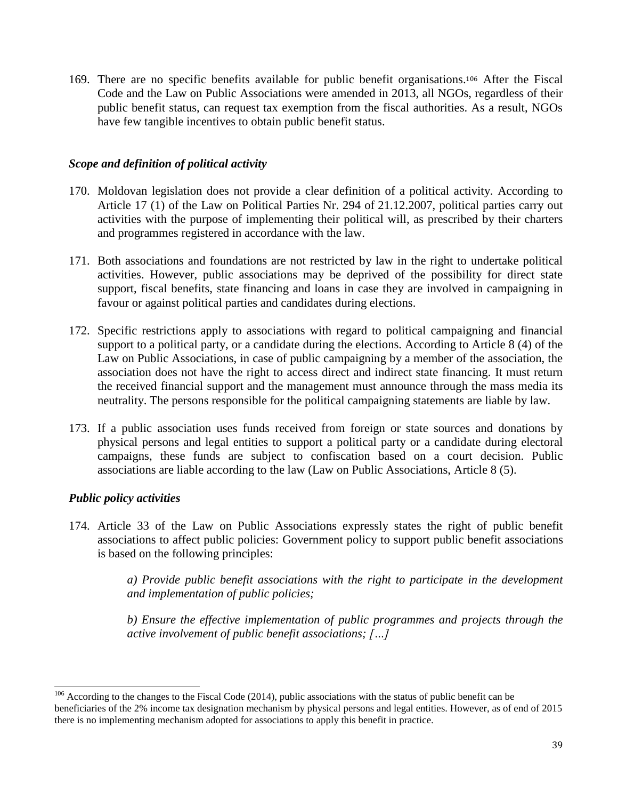169. There are no specific benefits available for public benefit organisations. <sup>106</sup> After the Fiscal Code and the Law on Public Associations were amended in 2013, all NGOs, regardless of their public benefit status, can request tax exemption from the fiscal authorities. As a result, NGOs have few tangible incentives to obtain public benefit status.

## *Scope and definition of political activity*

- 170. Moldovan legislation does not provide a clear definition of a political activity. According to Article 17 (1) of the Law on Political Parties Nr. 294 of 21.12.2007, political parties carry out activities with the purpose of implementing their political will, as prescribed by their charters and programmes registered in accordance with the law.
- 171. Both associations and foundations are not restricted by law in the right to undertake political activities. However, public associations may be deprived of the possibility for direct state support, fiscal benefits, state financing and loans in case they are involved in campaigning in favour or against political parties and candidates during elections.
- 172. Specific restrictions apply to associations with regard to political campaigning and financial support to a political party, or a candidate during the elections. According to Article 8 (4) of the Law on Public Associations, in case of public campaigning by a member of the association, the association does not have the right to access direct and indirect state financing. It must return the received financial support and the management must announce through the mass media its neutrality. The persons responsible for the political campaigning statements are liable by law.
- 173. If a public association uses funds received from foreign or state sources and donations by physical persons and legal entities to support a political party or a candidate during electoral campaigns, these funds are subject to confiscation based on a court decision. Public associations are liable according to the law (Law on Public Associations, Article 8 (5).

## *Public policy activities*

l

174. Article 33 of the Law on Public Associations expressly states the right of public benefit associations to affect public policies: Government policy to support public benefit associations is based on the following principles:

> *a) Provide public benefit associations with the right to participate in the development and implementation of public policies;*

> *b) Ensure the effective implementation of public programmes and projects through the active involvement of public benefit associations; […]*

 $106$  According to the changes to the Fiscal Code (2014), public associations with the status of public benefit can be beneficiaries of the 2% income tax designation mechanism by physical persons and legal entities. However, as of end of 2015 there is no implementing mechanism adopted for associations to apply this benefit in practice.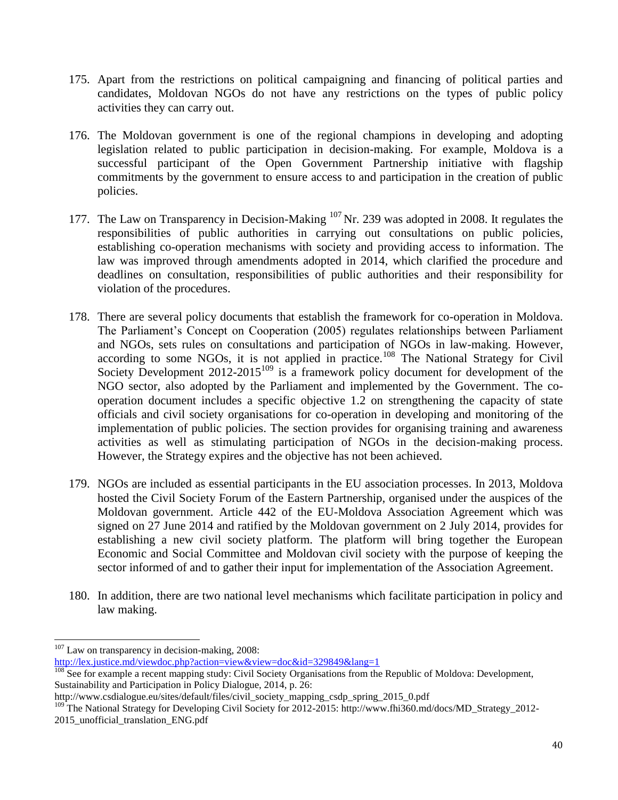- 175. Apart from the restrictions on political campaigning and financing of political parties and candidates, Moldovan NGOs do not have any restrictions on the types of public policy activities they can carry out.
- 176. The Moldovan government is one of the regional champions in developing and adopting legislation related to public participation in decision-making. For example, Moldova is a successful participant of the Open Government Partnership initiative with flagship commitments by the government to ensure access to and participation in the creation of public policies.
- 177. The Law on Transparency in Decision-Making <sup>107</sup> Nr. 239 was adopted in 2008. It regulates the responsibilities of public authorities in carrying out consultations on public policies, establishing co-operation mechanisms with society and providing access to information. The law was improved through amendments adopted in 2014, which clarified the procedure and deadlines on consultation, responsibilities of public authorities and their responsibility for violation of the procedures.
- 178. There are several policy documents that establish the framework for co-operation in Moldova. The Parliament's Concept on Cooperation (2005) regulates relationships between Parliament and NGOs, sets rules on consultations and participation of NGOs in law-making. However, according to some NGOs, it is not applied in practice.<sup>108</sup> The National Strategy for Civil Society Development 2012-2015<sup>109</sup> is a framework policy document for development of the NGO sector, also adopted by the Parliament and implemented by the Government. The cooperation document includes a specific objective 1.2 on strengthening the capacity of state officials and civil society organisations for co-operation in developing and monitoring of the implementation of public policies. The section provides for organising training and awareness activities as well as stimulating participation of NGOs in the decision-making process. However, the Strategy expires and the objective has not been achieved.
- 179. NGOs are included as essential participants in the EU association processes. In 2013, Moldova hosted the Civil Society Forum of the Eastern Partnership, organised under the auspices of the Moldovan government. Article 442 of the EU-Moldova Association Agreement which was signed on 27 June 2014 and ratified by the Moldovan government on 2 July 2014, provides for establishing a new civil society platform. The platform will bring together the European Economic and Social Committee and Moldovan civil society with the purpose of keeping the sector informed of and to gather their input for implementation of the Association Agreement.
- 180. In addition, there are two national level mechanisms which facilitate participation in policy and law making.

 $\overline{a}$ 

 $107$  Law on transparency in decision-making, 2008:

<http://lex.justice.md/viewdoc.php?action=view&view=doc&id=329849&lang=1>

<sup>&</sup>lt;sup>108</sup> See for example a recent mapping study: Civil Society Organisations from the Republic of Moldova: Development, Sustainability and Participation in Policy Dialogue, 2014, p. 26:

[http://www.csdialogue.eu/sites/default/files/civil\\_society\\_mapping\\_csdp\\_spring\\_2015\\_0.pdf](http://www.csdialogue.eu/sites/default/files/civil_society_mapping_csdp_spring_2015_0.pdf)

<sup>&</sup>lt;sup>109</sup> The National Strategy for Developing Civil Society for 2012-2015: http://www.fhi360.md/docs/MD\_Strategy\_2012-2015\_unofficial\_translation\_ENG.pdf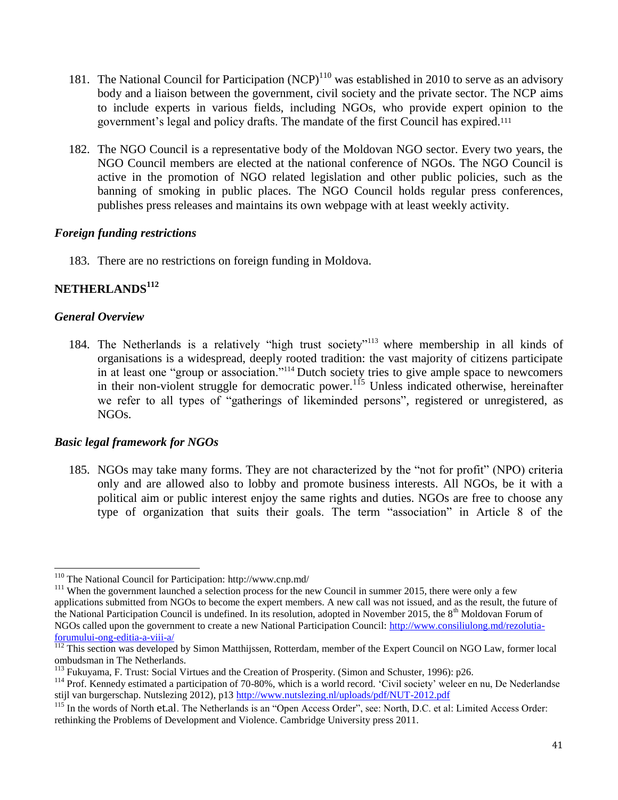- 181. The National Council for Participation  $(NCP)^{110}$  was established in 2010 to serve as an advisory body and a liaison between the government, civil society and the private sector. The NCP aims to include experts in various fields, including NGOs, who provide expert opinion to the government's legal and policy drafts. The mandate of the first Council has expired.<sup>111</sup>
- 182. The NGO Council is a representative body of the Moldovan NGO sector. Every two years, the NGO Council members are elected at the national conference of NGOs. The NGO Council is active in the promotion of NGO related legislation and other public policies, such as the banning of smoking in public places. The NGO Council holds regular press conferences, publishes press releases and maintains its own webpage with at least weekly activity.

## *Foreign funding restrictions*

183. There are no restrictions on foreign funding in Moldova.

# **NETHERLANDS<sup>112</sup>**

## *General Overview*

184. The Netherlands is a relatively "high trust society"<sup>113</sup> where membership in all kinds of organisations is a widespread, deeply rooted tradition: the vast majority of citizens participate in at least one "group or association."<sup>114</sup> Dutch society tries to give ample space to newcomers in their non-violent struggle for democratic power.<sup>115</sup> Unless indicated otherwise, hereinafter we refer to all types of "gatherings of likeminded persons", registered or unregistered, as NGOs.

#### *Basic legal framework for NGOs*

185. NGOs may take many forms. They are not characterized by the "not for profit" (NPO) criteria only and are allowed also to lobby and promote business interests. All NGOs, be it with a political aim or public interest enjoy the same rights and duties. NGOs are free to choose any type of organization that suits their goals. The term "association" in Article 8 of the

 $\overline{\phantom{0}}$ <sup>110</sup> The National Council for Participation:<http://www.cnp.md/>

<sup>&</sup>lt;sup>111</sup> When the government launched a selection process for the new Council in summer 2015, there were only a few applications submitted from NGOs to become the expert members. A new call was not issued, and as the result, the future of the National Participation Council is undefined. In its resolution, adopted in November 2015, the 8<sup>th</sup> Moldovan Forum of NGOs called upon the government to create a new National Participation Council: [http://www.consiliulong.md/rezolutia](http://www.consiliulong.md/rezolutia-forumului-ong-editia-a-viii-a/)[forumului-ong-editia-a-viii-a/](http://www.consiliulong.md/rezolutia-forumului-ong-editia-a-viii-a/)

<sup>&</sup>lt;sup>112</sup> This section was developed by Simon Matthijssen, Rotterdam, member of the Expert Council on NGO Law, former local ombudsman in The Netherlands.

<sup>113</sup> Fukuyama, F. Trust: Social Virtues and the Creation of Prosperity. (Simon and Schuster, 1996): p26.

<sup>&</sup>lt;sup>114</sup> Prof. Kennedy estimated a participation of 70-80%, which is a world record. 'Civil society' weleer en nu, De Nederlandse stijl van burgerschap. Nutslezing 2012), p13<http://www.nutslezing.nl/uploads/pdf/NUT-2012.pdf>

<sup>&</sup>lt;sup>115</sup> In the words of North [et.al](http://et.al/). The Netherlands is an "Open Access Order", see: North, D.C. et al: Limited Access Order: rethinking the Problems of Development and Violence. Cambridge University press 2011.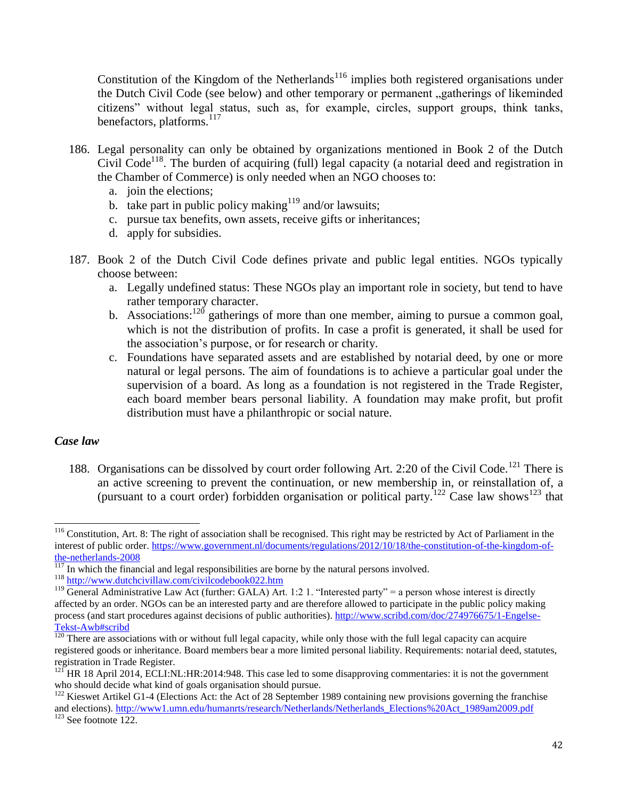Constitution of the Kingdom of the Netherlands<sup>116</sup> implies both registered organisations under the Dutch Civil Code (see below) and other temporary or permanent "gatherings of likeminded citizens" without legal status, such as, for example, circles, support groups, think tanks, benefactors, platforms.<sup>117</sup>

- 186. Legal personality can only be obtained by organizations mentioned in Book 2 of the Dutch Civil  $Code<sup>118</sup>$ . The burden of acquiring (full) legal capacity (a notarial deed and registration in the Chamber of Commerce) is only needed when an NGO chooses to:
	- a. join the elections;
	- b. take part in public policy making<sup>119</sup> and/or lawsuits;
	- c. pursue tax benefits, own assets, receive gifts or inheritances;
	- d. apply for subsidies.
- 187. Book 2 of the Dutch Civil Code defines private and public legal entities. NGOs typically choose between:
	- a. Legally undefined status: These NGOs play an important role in society, but tend to have rather temporary character.
	- b. Associations:<sup>120</sup> gatherings of more than one member, aiming to pursue a common goal, which is not the distribution of profits. In case a profit is generated, it shall be used for the association's purpose, or for research or charity.
	- c. Foundations have separated assets and are established by notarial deed, by one or more natural or legal persons. The aim of foundations is to achieve a particular goal under the supervision of a board. As long as a foundation is not registered in the Trade Register, each board member bears personal liability. A foundation may make profit, but profit distribution must have a philanthropic or social nature.

#### *Case law*

 $\overline{\phantom{0}}$ 

188. Organisations can be dissolved by court order following Art. 2:20 of the Civil Code.<sup>121</sup> There is an active screening to prevent the continuation, or new membership in, or reinstallation of, a (pursuant to a court order) forbidden organisation or political party.<sup>122</sup> Case law shows<sup>123</sup> that

 $116$  Constitution, Art. 8: The right of association shall be recognised. This right may be restricted by Act of Parliament in the interest of public order. [https://www.government.nl/documents/regulations/2012/10/18/the-constitution-of-the-kingdom-of](https://www.government.nl/documents/regulations/2012/10/18/the-constitution-of-the-kingdom-of-the-netherlands-2008)[the-netherlands-2008](https://www.government.nl/documents/regulations/2012/10/18/the-constitution-of-the-kingdom-of-the-netherlands-2008)

In which the financial and legal responsibilities are borne by the natural persons involved.

<sup>118</sup> <http://www.dutchcivillaw.com/civilcodebook022.htm>

<sup>&</sup>lt;sup>119</sup> General Administrative Law Act (further: GALA) Art. 1:2 1. "Interested party" = a person whose interest is directly affected by an order. NGOs can be an interested party and are therefore allowed to participate in the public policy making process (and start procedures against decisions of public authorities). [http://www.scribd.com/doc/274976675/1-Engelse-](http://www.scribd.com/doc/274976675/1-Engelse-Tekst-Awb#scribd)[Tekst-Awb#scribd](http://www.scribd.com/doc/274976675/1-Engelse-Tekst-Awb#scribd)

 $120$  There are associations with or without full legal capacity, while only those with the full legal capacity can acquire registered goods or inheritance. Board members bear a more limited personal liability. Requirements: notarial deed, statutes, registration in Trade Register.

 $121$  HR 18 April 2014, ECLI:NL:HR:2014:948. This case led to some disapproving commentaries: it is not the government who should decide what kind of goals organisation should pursue.

<sup>&</sup>lt;sup>122</sup> Kieswet Artikel G1-4 (Elections Act: the Act of 28 September 1989 containing new provisions governing the franchise and elections). [http://www1.umn.edu/humanrts/research/Netherlands/Netherlands\\_Elections%20Act\\_1989am2009.pdf](http://www1.umn.edu/humanrts/research/Netherlands/Netherlands_Elections%2520Act_1989am2009.pdf)

 $123$  See footnote 122.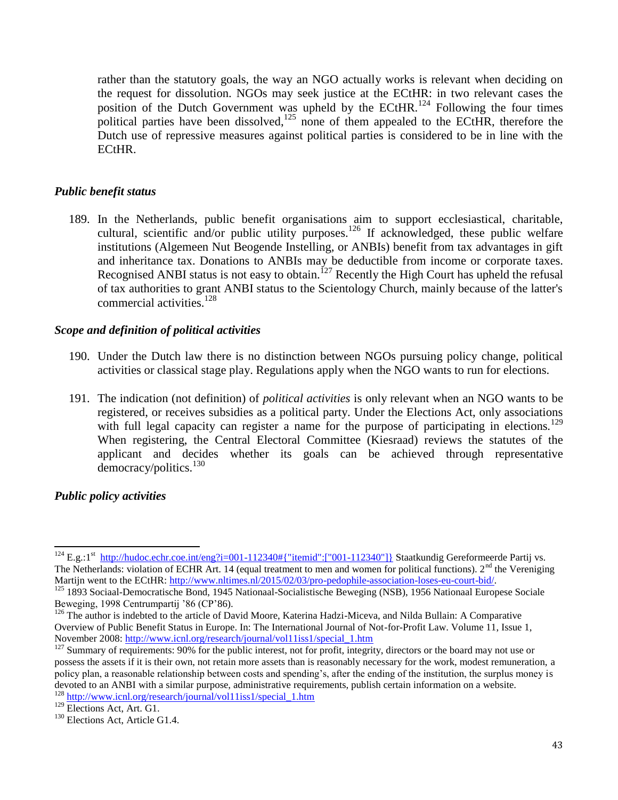rather than the statutory goals, the way an NGO actually works is relevant when deciding on the request for dissolution. NGOs may seek justice at the ECtHR: in two relevant cases the position of the Dutch Government was upheld by the ECtHR.<sup>124</sup> Following the four times political parties have been dissolved,<sup>125</sup> none of them appealed to the ECtHR, therefore the Dutch use of repressive measures against political parties is considered to be in line with the ECtHR.

## *Public benefit status*

189. In the Netherlands, public benefit organisations aim to support ecclesiastical, charitable, cultural, scientific and/or public utility purposes.<sup>126</sup> If acknowledged, these public welfare institutions (Algemeen Nut Beogende Instelling, or ANBIs) benefit from tax advantages in gift and inheritance tax. Donations to ANBIs may be deductible from income or corporate taxes. Recognised ANBI status is not easy to obtain.<sup>127</sup> Recently the High Court has upheld the refusal of tax authorities to grant ANBI status to the Scientology Church, mainly because of the latter's commercial activities.<sup>128</sup>

## *Scope and definition of political activities*

- 190. Under the Dutch law there is no distinction between NGOs pursuing policy change, political activities or classical stage play. Regulations apply when the NGO wants to run for elections.
- 191. The indication (not definition) of *political activities* is only relevant when an NGO wants to be registered, or receives subsidies as a political party. Under the Elections Act, only associations with full legal capacity can register a name for the purpose of participating in elections.<sup>129</sup> When registering, the Central Electoral Committee (Kiesraad) reviews the statutes of the applicant and decides whether its goals can be achieved through representative  $d$ emocracy/politics.<sup>130</sup>

## *Public policy activities*

l <sup>124</sup> E.g.:1<sup>st</sup> [http://hudoc.echr.coe.int/eng?i=001-112340#{"itemid":\["001-112340"\]}](http://hudoc.echr.coe.int/eng?i=001-112340#{"itemid":["001-112340"]}) Staatkundig Gereformeerde Partij vs. The Netherlands: violation of ECHR Art. 14 (equal treatment to men and women for political functions).  $2<sup>nd</sup>$  the Vereniging Martijn went to the ECtHR: [http://www.nltimes.nl/2015/02/03/pro-pedophile-association-loses-eu-court-bid/.](http://www.nltimes.nl/2015/02/03/pro-pedophile-association-loses-eu-court-bid/)

<sup>&</sup>lt;sup>125</sup> 1893 Sociaal-Democratische Bond, 1945 Nationaal-Socialistische Beweging (NSB), 1956 Nationaal Europese Sociale Beweging, 1998 Centrumpartij '86 (CP'86).

 $126$  The author is indebted to the article of David Moore, Katerina Hadzi-Miceva, and Nilda Bullain: A Comparative Overview of Public Benefit Status in Europe. In: The International Journal of Not-for-Profit Law. Volume 11, Issue 1, November 2008: [http://www.icnl.org/research/journal/vol11iss1/special\\_1.htm](http://www.icnl.org/research/journal/vol11iss1/special_1.htm)

<sup>&</sup>lt;sup>127</sup> Summary of requirements: 90% for the public interest, not for profit, integrity, directors or the board may not use or possess the assets if it is their own, not retain more assets than is reasonably necessary for the work, modest remuneration, a policy plan, a reasonable relationship between costs and spending's, after the ending of the institution, the surplus money is devoted to an ANBI with a similar purpose, administrative requirements, publish certain information on a website. <sup>128</sup> [http://www.icnl.org/research/journal/vol11iss1/special\\_1.htm](http://www.icnl.org/research/journal/vol11iss1/special_1.htm)

<sup>129</sup> Elections Act, Art. G1.

<sup>&</sup>lt;sup>130</sup> Elections Act, Article G1.4.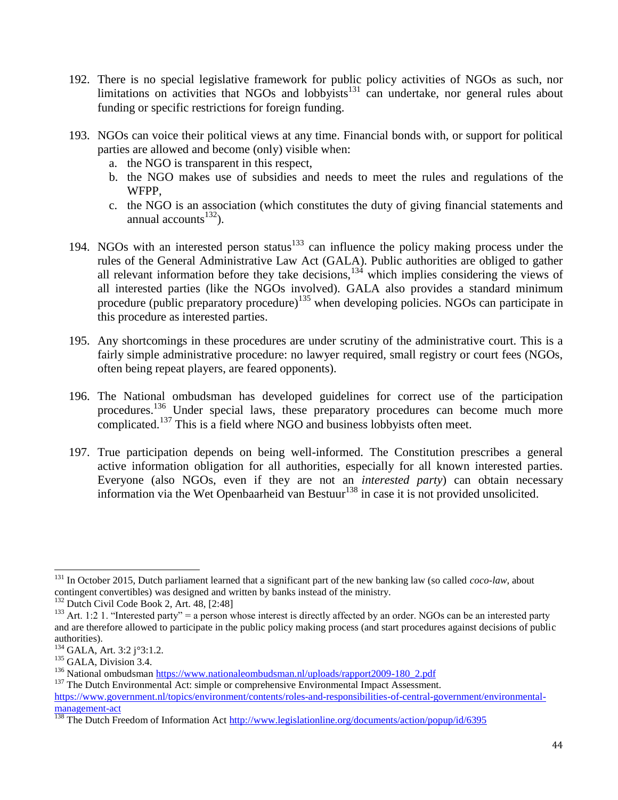- 192. There is no special legislative framework for public policy activities of NGOs as such, nor limitations on activities that NGOs and lobbyists $131$  can undertake, nor general rules about funding or specific restrictions for foreign funding.
- 193. NGOs can voice their political views at any time. Financial bonds with, or support for political parties are allowed and become (only) visible when:
	- a. the NGO is transparent in this respect,
	- b. the NGO makes use of subsidies and needs to meet the rules and regulations of the WFPP,
	- c. the NGO is an association (which constitutes the duty of giving financial statements and annual accounts $^{132}$ ).
- 194. NGOs with an interested person status $133$  can influence the policy making process under the rules of the General Administrative Law Act (GALA). Public authorities are obliged to gather all relevant information before they take decisions,<sup>134</sup> which implies considering the views of all interested parties (like the NGOs involved). GALA also provides a standard minimum procedure (public preparatory procedure)<sup>135</sup> when developing policies. NGOs can participate in this procedure as interested parties.
- 195. Any shortcomings in these procedures are under scrutiny of the administrative court. This is a fairly simple administrative procedure: no lawyer required, small registry or court fees (NGOs, often being repeat players, are feared opponents).
- 196. The National ombudsman has developed guidelines for correct use of the participation procedures.<sup>136</sup> Under special laws, these preparatory procedures can become much more complicated.<sup>137</sup> This is a field where NGO and business lobbyists often meet.
- 197. True participation depends on being well-informed. The Constitution prescribes a general active information obligation for all authorities, especially for all known interested parties. Everyone (also NGOs, even if they are not an *interested party*) can obtain necessary information via the Wet Openbaarheid van Bestuur<sup>138</sup> in case it is not provided unsolicited.

 $\overline{a}$ 

<sup>131</sup> In October 2015, Dutch parliament learned that a significant part of the new banking law (so called *coco-law*, about contingent convertibles) was designed and written by banks instead of the ministry.

<sup>&</sup>lt;sup>132</sup> Dutch Civil Code Book 2, Art. 48, [2:48]

<sup>&</sup>lt;sup>133</sup> Art. 1:2 1. "Interested party" = a person whose interest is directly affected by an order. NGOs can be an interested party and are therefore allowed to participate in the public policy making process (and start procedures against decisions of public authorities).

<sup>134</sup> GALA, Art. 3:2 j°3:1.2.

<sup>&</sup>lt;sup>135</sup> GALA, Division 3.4.

<sup>&</sup>lt;sup>136</sup> National ombudsman [https://www.nationaleombudsman.nl/uploads/rapport2009-180\\_2.pdf](https://www.nationaleombudsman.nl/uploads/rapport2009-180_2.pdf)

<sup>&</sup>lt;sup>137</sup> The Dutch Environmental Act: simple or comprehensive Environmental Impact Assessment.

[https://www.government.nl/topics/environment/contents/roles-and-responsibilities-of-central-government/environmental](https://www.government.nl/topics/environment/contents/roles-and-responsibilities-of-central-government/environmental-management-act)[management-act](https://www.government.nl/topics/environment/contents/roles-and-responsibilities-of-central-government/environmental-management-act)

<sup>&</sup>lt;sup>138</sup> The Dutch Freedom of Information Act<http://www.legislationline.org/documents/action/popup/id/6395>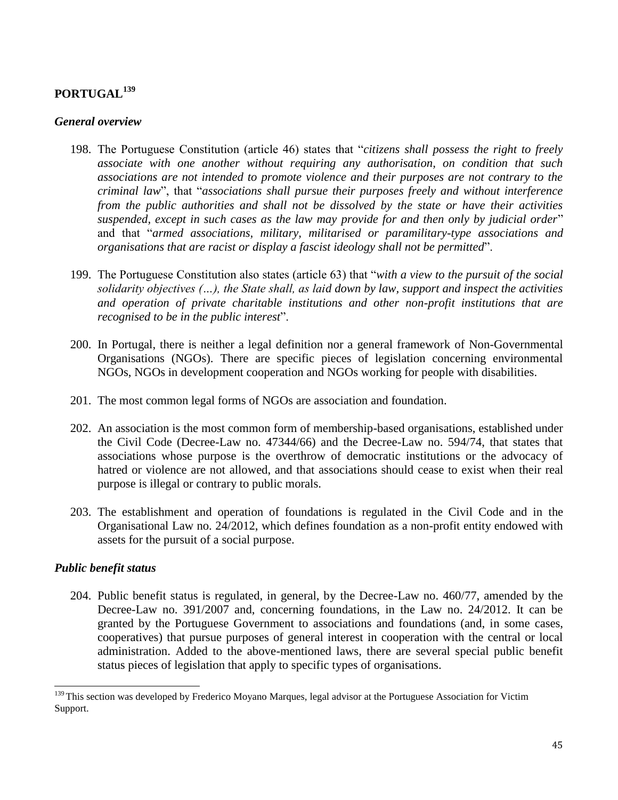# **PORTUGAL<sup>139</sup>**

#### *General overview*

- 198. The Portuguese Constitution (article 46) states that "*citizens shall possess the right to freely associate with one another without requiring any authorisation, on condition that such associations are not intended to promote violence and their purposes are not contrary to the criminal law*", that "*associations shall pursue their purposes freely and without interference from the public authorities and shall not be dissolved by the state or have their activities suspended, except in such cases as the law may provide for and then only by judicial order*" and that "*armed associations, military, militarised or paramilitary-type associations and organisations that are racist or display a fascist ideology shall not be permitted*".
- 199. The Portuguese Constitution also states (article 63) that "*with a view to the pursuit of the social solidarity objectives (…), the State shall, as laid down by law, support and inspect the activities and operation of private charitable institutions and other non-profit institutions that are recognised to be in the public interest*".
- 200. In Portugal, there is neither a legal definition nor a general framework of Non-Governmental Organisations (NGOs). There are specific pieces of legislation concerning environmental NGOs, NGOs in development cooperation and NGOs working for people with disabilities.
- 201. The most common legal forms of NGOs are association and foundation.
- 202. An association is the most common form of membership-based organisations, established under the Civil Code (Decree-Law no. 47344/66) and the Decree-Law no. 594/74, that states that associations whose purpose is the overthrow of democratic institutions or the advocacy of hatred or violence are not allowed, and that associations should cease to exist when their real purpose is illegal or contrary to public morals.
- 203. The establishment and operation of foundations is regulated in the Civil Code and in the Organisational Law no. 24/2012, which defines foundation as a non-profit entity endowed with assets for the pursuit of a social purpose.

#### *Public benefit status*

l

204. Public benefit status is regulated, in general, by the Decree-Law no. 460/77, amended by the Decree-Law no. 391/2007 and, concerning foundations, in the Law no. 24/2012. It can be granted by the Portuguese Government to associations and foundations (and, in some cases, cooperatives) that pursue purposes of general interest in cooperation with the central or local administration. Added to the above-mentioned laws, there are several special public benefit status pieces of legislation that apply to specific types of organisations.

<sup>&</sup>lt;sup>139</sup> This section was developed by Frederico Moyano Marques, legal advisor at the Portuguese Association for Victim Support.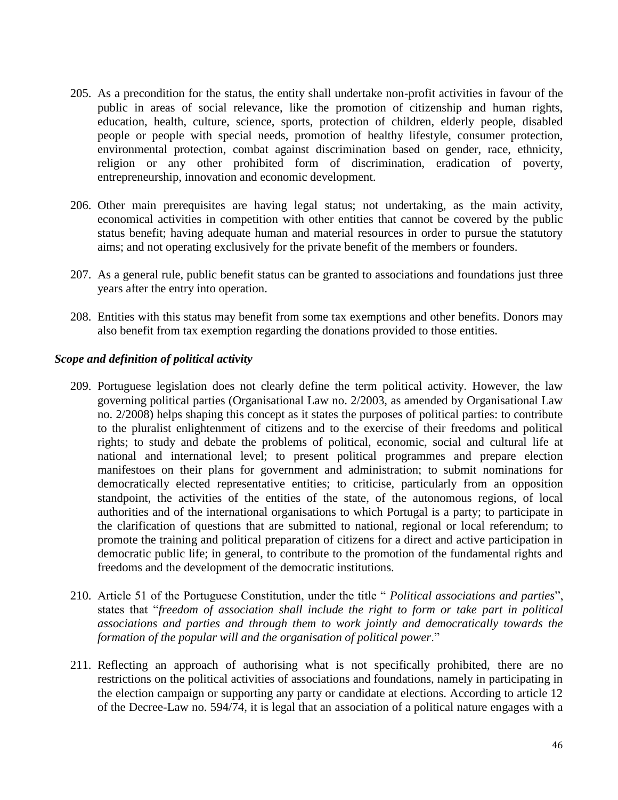- 205. As a precondition for the status, the entity shall undertake non-profit activities in favour of the public in areas of social relevance, like the promotion of citizenship and human rights, education, health, culture, science, sports, protection of children, elderly people, disabled people or people with special needs, promotion of healthy lifestyle, consumer protection, environmental protection, combat against discrimination based on gender, race, ethnicity, religion or any other prohibited form of discrimination, eradication of poverty, entrepreneurship, innovation and economic development.
- 206. Other main prerequisites are having legal status; not undertaking, as the main activity, economical activities in competition with other entities that cannot be covered by the public status benefit; having adequate human and material resources in order to pursue the statutory aims; and not operating exclusively for the private benefit of the members or founders.
- 207. As a general rule, public benefit status can be granted to associations and foundations just three years after the entry into operation.
- 208. Entities with this status may benefit from some tax exemptions and other benefits. Donors may also benefit from tax exemption regarding the donations provided to those entities.

## *Scope and definition of political activity*

- 209. Portuguese legislation does not clearly define the term political activity. However, the law governing political parties (Organisational Law no. 2/2003, as amended by Organisational Law no. 2/2008) helps shaping this concept as it states the purposes of political parties: to contribute to the pluralist enlightenment of citizens and to the exercise of their freedoms and political rights; to study and debate the problems of political, economic, social and cultural life at national and international level; to present political programmes and prepare election manifestoes on their plans for government and administration; to submit nominations for democratically elected representative entities; to criticise, particularly from an opposition standpoint, the activities of the entities of the state, of the autonomous regions, of local authorities and of the international organisations to which Portugal is a party; to participate in the clarification of questions that are submitted to national, regional or local referendum; to promote the training and political preparation of citizens for a direct and active participation in democratic public life; in general, to contribute to the promotion of the fundamental rights and freedoms and the development of the democratic institutions.
- 210. Article 51 of the Portuguese Constitution, under the title " *Political associations and parties*", states that "*freedom of association shall include the right to form or take part in political associations and parties and through them to work jointly and democratically towards the formation of the popular will and the organisation of political power*."
- 211. Reflecting an approach of authorising what is not specifically prohibited, there are no restrictions on the political activities of associations and foundations, namely in participating in the election campaign or supporting any party or candidate at elections. According to article 12 of the Decree-Law no. 594/74, it is legal that an association of a political nature engages with a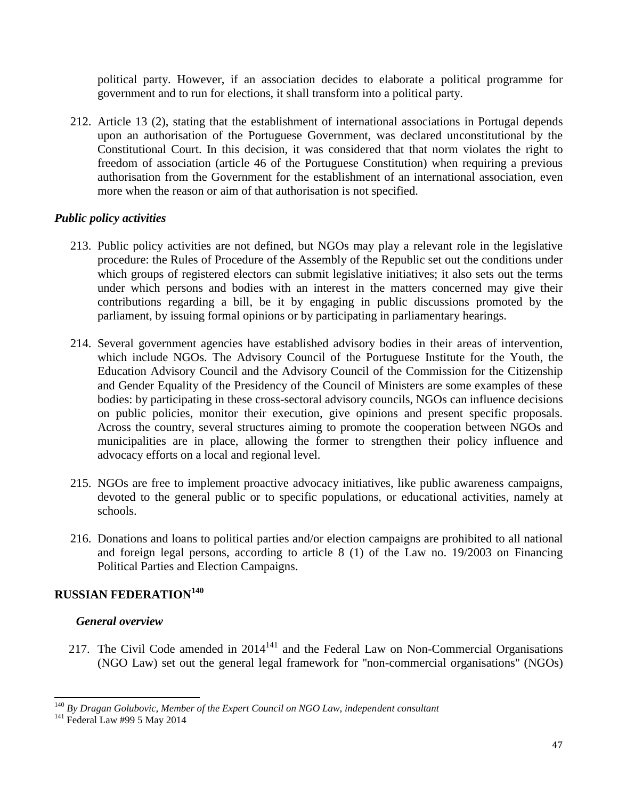political party. However, if an association decides to elaborate a political programme for government and to run for elections, it shall transform into a political party.

212. Article 13 (2), stating that the establishment of international associations in Portugal depends upon an authorisation of the Portuguese Government, was declared unconstitutional by the Constitutional Court. In this decision, it was considered that that norm violates the right to freedom of association (article 46 of the Portuguese Constitution) when requiring a previous authorisation from the Government for the establishment of an international association, even more when the reason or aim of that authorisation is not specified.

## *Public policy activities*

- 213. Public policy activities are not defined, but NGOs may play a relevant role in the legislative procedure: the Rules of Procedure of the Assembly of the Republic set out the conditions under which groups of registered electors can submit legislative initiatives; it also sets out the terms under which persons and bodies with an interest in the matters concerned may give their contributions regarding a bill, be it by engaging in public discussions promoted by the parliament, by issuing formal opinions or by participating in parliamentary hearings.
- 214. Several government agencies have established advisory bodies in their areas of intervention, which include NGOs. The Advisory Council of the Portuguese Institute for the Youth, the Education Advisory Council and the Advisory Council of the Commission for the Citizenship and Gender Equality of the Presidency of the Council of Ministers are some examples of these bodies: by participating in these cross-sectoral advisory councils, NGOs can influence decisions on public policies, monitor their execution, give opinions and present specific proposals. Across the country, several structures aiming to promote the cooperation between NGOs and municipalities are in place, allowing the former to strengthen their policy influence and advocacy efforts on a local and regional level.
- 215. NGOs are free to implement proactive advocacy initiatives, like public awareness campaigns, devoted to the general public or to specific populations, or educational activities, namely at schools.
- 216. Donations and loans to political parties and/or election campaigns are prohibited to all national and foreign legal persons, according to article 8 (1) of the Law no. 19/2003 on Financing Political Parties and Election Campaigns.

## **RUSSIAN FEDERATION<sup>140</sup>**

#### *General overview*

217. The Civil Code amended in  $2014<sup>141</sup>$  and the Federal Law on Non-Commercial Organisations (NGO Law) set out the general legal framework for ''non-commercial organisations'' (NGOs)

 $\overline{\phantom{0}}$ 

<sup>140</sup> *By Dragan Golubovic, Member of the Expert Council on NGO Law, independent consultant*

 $141$  Federal Law #99 5 May 2014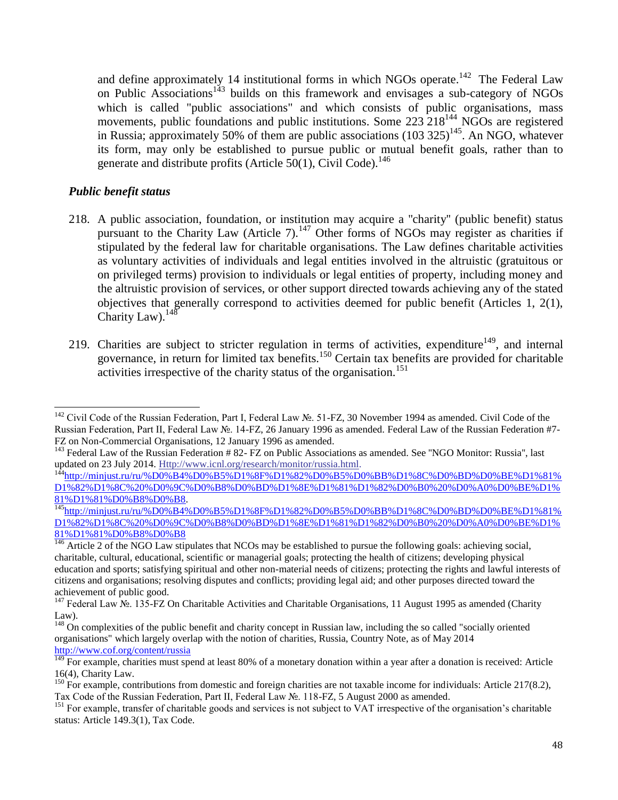and define approximately 14 institutional forms in which NGOs operate.<sup>142</sup> The Federal Law on Public Associations<sup>143</sup> builds on this framework and envisages a sub-category of NGOs which is called "public associations" and which consists of public organisations, mass movements, public foundations and public institutions. Some 223 218<sup>144</sup> NGOs are registered in Russia; approximately 50% of them are public associations  $(103 325)^{145}$ . An NGO, whatever its form, may only be established to pursue public or mutual benefit goals, rather than to generate and distribute profits [\(Article](http://www.usig.org/countryinfo/laws/Russia/Russia%20Civil%20Code%2050%281%29.doc) 50(1), Civil Code).<sup>146</sup>

## *Public benefit status*

- 218. A public association, foundation, or institution may acquire a ''charity'' (public benefit) status pursuant to the Charity Law (Article 7).<sup>147</sup> Other forms of NGOs may register as charities if stipulated by the federal law for charitable organisations. The Law defines charitable activities as voluntary activities of individuals and legal entities involved in the altruistic (gratuitous or on privileged terms) provision to individuals or legal entities of property, including money and the altruistic provision of services, or other support directed towards achieving any of the stated objectives that generally correspond to activities deemed for public benefit (Articles 1, 2(1), Charity Law). $^{148}$
- 219. Charities are subject to stricter regulation in terms of activities, expenditure<sup>149</sup>, and internal governance, in return for limited tax benefits.<sup>150</sup> Certain tax benefits are provided for charitable activities irrespective of the charity status of the organisation.<sup>151</sup>

l <sup>142</sup> Civil Code of the Russian Federation, Part I, Federal Law №. 51-FZ, 30 November 1994 as amended. Civil Code of the Russian Federation, Part II, Federal Law №. 14-FZ, 26 January 1996 as amended. Federal Law of the Russian Federation #7- FZ on Non-Commercial Organisations, 12 January 1996 as amended.

<sup>&</sup>lt;sup>143</sup> Federal Law of the Russian Federation # 82- FZ on Public Associations as amended. See "NGO Monitor: Russia", last updated on 23 July 2014. [Http://www.icnl.org/research/monitor/russia.html.](http://www.icnl.org/research/monitor/russia.html)

<sup>&</sup>lt;sup>144</sup>[http://minjust.ru/ru/%D0%B4%D0%B5%D1%8F%D1%82%D0%B5%D0%BB%D1%8C%D0%BD%D0%BE%D1%81%](http://minjust.ru/ru/%D0%B4%D0%B5%D1%8F%D1%82%D0%B5%D0%BB%D1%8C%D0%BD%D0%BE%D1%81%D1%82%D1%8C%20%D0%9C%D0%B8%D0%BD%D1%8E%D1%81%D1%82%D0%B0%20%D0%A0%D0%BE%D1%81%D1%81%D0%B8%D0%B8) [D1%82%D1%8C%20%D0%9C%D0%B8%D0%BD%D1%8E%D1%81%D1%82%D0%B0%20%D0%A0%D0%BE%D1%](http://minjust.ru/ru/%D0%B4%D0%B5%D1%8F%D1%82%D0%B5%D0%BB%D1%8C%D0%BD%D0%BE%D1%81%D1%82%D1%8C%20%D0%9C%D0%B8%D0%BD%D1%8E%D1%81%D1%82%D0%B0%20%D0%A0%D0%BE%D1%81%D1%81%D0%B8%D0%B8) [81%D1%81%D0%B8%D0%B8.](http://minjust.ru/ru/%D0%B4%D0%B5%D1%8F%D1%82%D0%B5%D0%BB%D1%8C%D0%BD%D0%BE%D1%81%D1%82%D1%8C%20%D0%9C%D0%B8%D0%BD%D1%8E%D1%81%D1%82%D0%B0%20%D0%A0%D0%BE%D1%81%D1%81%D0%B8%D0%B8)

<sup>145</sup>[http://minjust.ru/ru/%D0%B4%D0%B5%D1%8F%D1%82%D0%B5%D0%BB%D1%8C%D0%BD%D0%BE%D1%81%](http://minjust.ru/ru/%D0%B4%D0%B5%D1%8F%D1%82%D0%B5%D0%BB%D1%8C%D0%BD%D0%BE%D1%81%D1%82%D1%8C%20%D0%9C%D0%B8%D0%BD%D1%8E%D1%81%D1%82%D0%B0%20%D0%A0%D0%BE%D1%81%D1%81%D0%B8%D0%B8) [D1%82%D1%8C%20%D0%9C%D0%B8%D0%BD%D1%8E%D1%81%D1%82%D0%B0%20%D0%A0%D0%BE%D1%](http://minjust.ru/ru/%D0%B4%D0%B5%D1%8F%D1%82%D0%B5%D0%BB%D1%8C%D0%BD%D0%BE%D1%81%D1%82%D1%8C%20%D0%9C%D0%B8%D0%BD%D1%8E%D1%81%D1%82%D0%B0%20%D0%A0%D0%BE%D1%81%D1%81%D0%B8%D0%B8) [81%D1%81%D0%B8%D0%B8](http://minjust.ru/ru/%D0%B4%D0%B5%D1%8F%D1%82%D0%B5%D0%BB%D1%8C%D0%BD%D0%BE%D1%81%D1%82%D1%8C%20%D0%9C%D0%B8%D0%BD%D1%8E%D1%81%D1%82%D0%B0%20%D0%A0%D0%BE%D1%81%D1%81%D0%B8%D0%B8)

 $\frac{146}{146}$  Article 2 of the NGO Law stipulates that NCOs may be established to pursue the following goals: achieving social, charitable, cultural, educational, scientific or managerial goals; protecting the health of citizens; developing physical education and sports; satisfying spiritual and other non-material needs of citizens; protecting the rights and lawful interests of citizens and organisations; resolving disputes and conflicts; providing legal aid; and other purposes directed toward the achievement of public good.

<sup>147</sup> Federal Law №. 135-FZ On Charitable Activities and Charitable Organisations, 11 August 1995 as amended (Charity Law).

<sup>&</sup>lt;sup>148</sup> On complexities of the public benefit and charity concept in Russian law, including the so called "socially oriented organisations" which largely overlap with the notion of charities, Russia, Country Note, as of May 2014 <http://www.cof.org/content/russia>

 $149$  For example, charities must spend at least 80% of a monetary donation within a year after a donation is received: Article 16(4), Charity Law.

<sup>&</sup>lt;sup>150</sup> For example, contributions from domestic and foreign charities are not taxable income for individuals: Article 217(8.2), Tax Code of the Russian Federation, Part II, Federal Law №. 118-FZ, 5 August 2000 as amended.

<sup>&</sup>lt;sup>151</sup> For example, transfer of charitable goods and services is not subject to VAT irrespective of the organisation's charitable status: Article 149.3(1), Tax Code.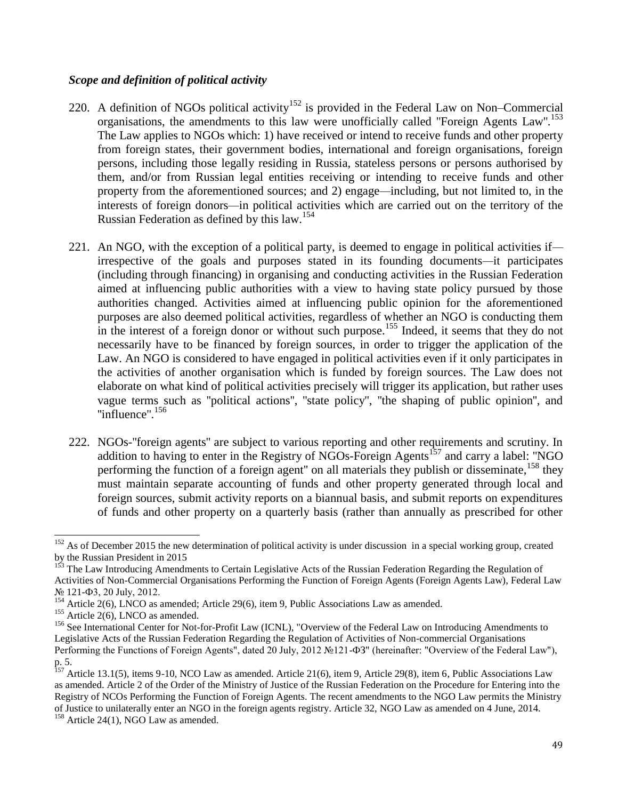## *Scope and definition of political activity*

- 220. A definition of NGOs political activity<sup>152</sup> is provided in the Federal Law on Non–Commercial organisations, the amendments to this law were unofficially called "Foreign Agents Law".<sup>153</sup> The Law applies to NGOs which: 1) have received or intend to receive funds and other property from foreign states, their government bodies, international and foreign organisations, foreign persons, including those legally residing in Russia, stateless persons or persons authorised by them, and/or from Russian legal entities receiving or intending to receive funds and other property from the aforementioned sources; and 2) engage*—*including, but not limited to, in the interests of foreign donors*—*in political activities which are carried out on the territory of the Russian Federation as defined by this law.<sup>154</sup>
- 221. An NGO, with the exception of a political party, is deemed to engage in political activities if irrespective of the goals and purposes stated in its founding documents*—*it participates (including through financing) in organising and conducting activities in the Russian Federation aimed at influencing public authorities with a view to having state policy pursued by those authorities changed. Activities aimed at influencing public opinion for the aforementioned purposes are also deemed political activities, regardless of whether an NGO is conducting them in the interest of a foreign donor or without such purpose.<sup>155</sup> Indeed, it seems that they do not necessarily have to be financed by foreign sources, in order to trigger the application of the Law. An NGO is considered to have engaged in political activities even if it only participates in the activities of another organisation which is funded by foreign sources. The Law does not elaborate on what kind of political activities precisely will trigger its application, but rather uses vague terms such as ''political actions'', ''state policy'', ''the shaping of public opinion'', and ''influence''.<sup>156</sup>
- 222. NGOs-''foreign agents'' are subject to various reporting and other requirements and scrutiny. In addition to having to enter in the Registry of NGOs-Foreign Agents<sup>157</sup> and carry a label: "NGO performing the function of a foreign agent" on all materials they publish or disseminate,  $158$  they must maintain separate accounting of funds and other property generated through local and foreign sources, submit activity reports on a biannual basis, and submit reports on expenditures of funds and other property on a quarterly basis (rather than annually as prescribed for other

 $\overline{\phantom{0}}$ 

 $152$  As of December 2015 the new determination of political activity is under discussion in a special working group, created by the Russian President in 2015

<sup>153</sup> The Law Introducing Amendments to Certain Legislative Acts of the Russian Federation Regarding the Regulation of Activities of Non-Commercial Organisations Performing the Function of Foreign Agents (Foreign Agents Law), Federal Law № 121-Ф3, 20 July, 2012.

<sup>&</sup>lt;sup>154</sup> Article 2(6), LNCO as amended; Article 29(6), item 9, Public Associations Law as amended.

 $155$  Article 2(6), LNCO as amended.

<sup>&</sup>lt;sup>156</sup> See International Center for Not-for-Profit Law (ICNL), "Overview of the Federal Law on Introducing Amendments to Legislative Acts of the Russian Federation Regarding the Regulation of Activities of Non-commercial Organisations Performing the Functions of Foreign Agents", dated 20 July, 2012 №121-ФЗ" (hereinafter: "Overview of the Federal Law"), p. 5.

 $157$  Article 13.1(5), items 9-10, NCO Law as amended. Article 21(6), item 9, Article 29(8), item 6, Public Associations Law as amended. Article 2 of the Order of the Ministry of Justice of the Russian Federation on the Procedure for Entering into the Registry of NCOs Performing the Function of Foreign Agents. The recent amendments to the NGO Law permits the Ministry of Justice to unilaterally enter an NGO in the foreign agents registry. Article 32, NGO Law as amended on 4 June, 2014.

 $158$  Article 24(1), NGO Law as amended.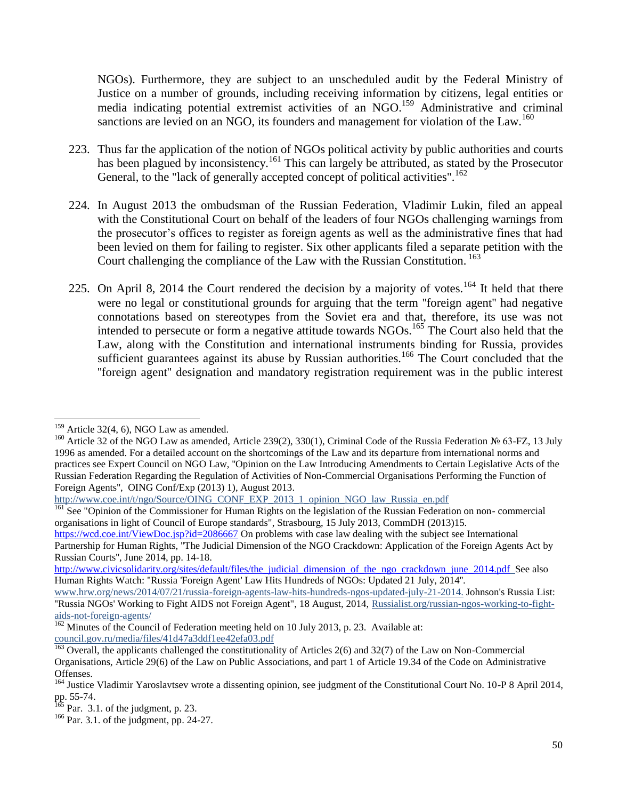NGOs). Furthermore, they are subject to an unscheduled audit by the Federal Ministry of Justice on a number of grounds, including receiving information by citizens, legal entities or media indicating potential extremist activities of an NGO.<sup>159</sup> Administrative and criminal sanctions are levied on an NGO, its founders and management for violation of the Law.<sup>160</sup>

- 223. Thus far the application of the notion of NGOs political activity by public authorities and courts has been plagued by inconsistency.<sup>161</sup> This can largely be attributed, as stated by the Prosecutor General, to the "lack of generally accepted concept of political activities".<sup>162</sup>
- 224. In August 2013 the ombudsman of the Russian Federation, Vladimir Lukin, filed an appeal with the Constitutional Court on behalf of the leaders of four NGOs challenging warnings from the prosecutor's offices to register as foreign agents as well as the administrative fines that had been levied on them for failing to register. Six other applicants filed a separate petition with the Court challenging the compliance of the Law with the Russian Constitution.<sup>163</sup>
- 225. On April 8, 2014 the Court rendered the decision by a majority of votes.<sup>164</sup> It held that there were no legal or constitutional grounds for arguing that the term ''foreign agent'' had negative connotations based on stereotypes from the Soviet era and that, therefore, its use was not intended to persecute or form a negative attitude towards  $NGOs$ .<sup>165</sup> The Court also held that the Law, along with the Constitution and international instruments binding for Russia, provides sufficient guarantees against its abuse by Russian authorities.<sup>166</sup> The Court concluded that the ''foreign agent'' designation and mandatory registration requirement was in the public interest

 $\overline{\phantom{0}}$ 

<https://wcd.coe.int/ViewDoc.jsp?id=2086667> On problems with case law dealing with the subject see International Partnership for Human Rights, "The Judicial Dimension of the NGO Crackdown: Application of the Foreign Agents Act by Russian Courts'', June 2014, pp. 14-18.

 $159$  Article 32(4, 6), NGO Law as amended.

<sup>&</sup>lt;sup>160</sup> Article 32 of the NGO Law as amended, Article 239(2), 330(1), Criminal Code of the Russia Federation № 63-FZ, 13 July 1996 as amended. For a detailed account on the shortcomings of the Law and its departure from international norms and practices see Expert Council on NGO Law, ''Opinion on the Law Introducing Amendments to Certain Legislative Acts of the Russian Federation Regarding the Regulation of Activities of Non-Commercial Organisations Performing the Function of Foreign Agents'', OING Conf/Exp (2013) 1), August 2013.

http://www.coe.int/t/ngo/Source/OING\_CONF\_EXP\_2013\_1\_opinion\_NGO\_law\_Russia\_en.pdf

<sup>&</sup>lt;sup>161</sup> See "Opinion of the Commissioner for Human Rights on the legislation of the Russian Federation on non- commercial organisations in light of Council of Europe standards", Strasbourg, 15 July 2013, CommDH (2013)15.

[http://www.civicsolidarity.org/sites/default/files/the\\_judicial\\_dimension\\_of\\_the\\_ngo\\_crackdown\\_june\\_2014.pdf](http://www.civicsolidarity.org/sites/default/files/the_judicial_dimension_of_the_ngo_crackdown_june_2014.pdf) See also Human Rights Watch: ''Russia 'Foreign Agent' Law Hits Hundreds of NGOs: Updated 21 July, 2014''.

www.hrw.org/news/2014/07/21/russia-foreign-agents-law-hits-hundreds-ngos-updated-july-21-2014. Johnson's Russia List: ''Russia NGOs' Working to Fight AIDS not Foreign Agent", 18 August, 2014, Russialist.org/russian-ngos-working-to-fightaids-not-foreign-agents/

<sup>&</sup>lt;sup>162</sup> Minutes of the Council of Federation meeting held on 10 July 2013, p. 23. Available at: council.gov.ru/media/files/41d47a3ddf1ee42efa03.pdf

 $\frac{163}{163}$  Overall, the applicants challenged the constitutionality of Articles 2(6) and 32(7) of the Law on Non-Commercial Organisations, Article 29(6) of the Law on Public Associations, and part 1 of Article 19.34 of the Code on Administrative Offenses.

<sup>&</sup>lt;sup>164</sup> Justice Vladimir Yaroslavtsev wrote a dissenting opinion, see judgment of the Constitutional Court No. 10-P 8 April 2014, pp. 55-74.

 $^{165}$  Par. 3.1. of the judgment, p. 23.

 $166$  Par. 3.1. of the judgment, pp. 24-27.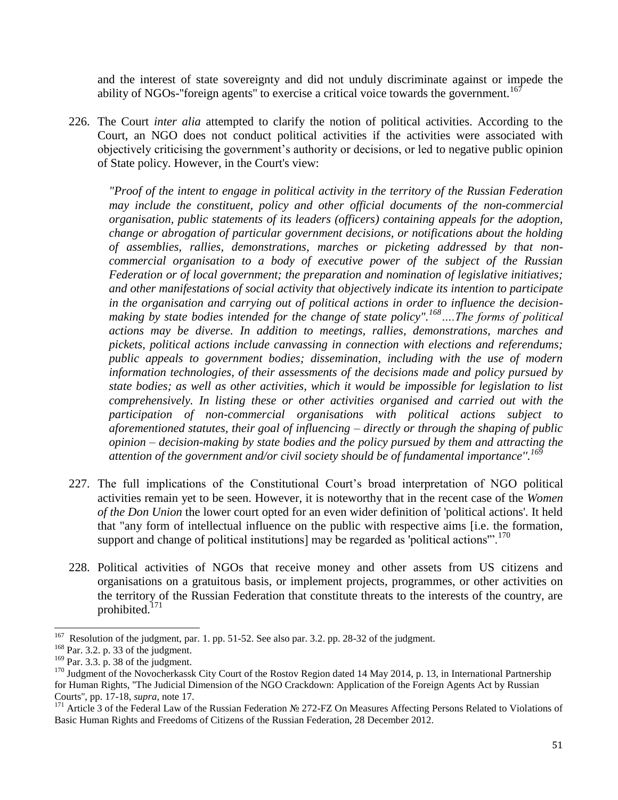and the interest of state sovereignty and did not unduly discriminate against or impede the ability of NGOs-"foreign agents" to exercise a critical voice towards the government.<sup>167</sup>

226. The Court *inter alia* attempted to clarify the notion of political activities. According to the Court, an NGO does not conduct political activities if the activities were associated with objectively criticising the government's authority or decisions, or led to negative public opinion of State policy. However, in the Court's view:

*"Proof of the intent to engage in political activity in the territory of the Russian Federation may include the constituent, policy and other official documents of the non-commercial organisation, public statements of its leaders (officers) containing appeals for the adoption, change or abrogation of particular government decisions, or notifications about the holding of assemblies, rallies, demonstrations, marches or picketing addressed by that noncommercial organisation to a body of executive power of the subject of the Russian Federation or of local government; the preparation and nomination of legislative initiatives; and other manifestations of social activity that objectively indicate its intention to participate in the organisation and carrying out of political actions in order to influence the decisionmaking by state bodies intended for the change of state policy".<sup>168</sup>….The forms of political actions may be diverse. In addition to meetings, rallies, demonstrations, marches and pickets, political actions include canvassing in connection with elections and referendums; public appeals to government bodies; dissemination, including with the use of modern information technologies, of their assessments of the decisions made and policy pursued by state bodies; as well as other activities, which it would be impossible for legislation to list comprehensively. In listing these or other activities organised and carried out with the participation of non-commercial organisations with political actions subject to aforementioned statutes, their goal of influencing – directly or through the shaping of public opinion – decision-making by state bodies and the policy pursued by them and attracting the attention of the government and/or civil society should be of fundamental importance''.<sup>169</sup>*

- 227. The full implications of the Constitutional Court's broad interpretation of NGO political activities remain yet to be seen. However, it is noteworthy that in the recent case of the *Women of the Don Union* the lower court opted for an even wider definition of 'political actions'. It held that "any form of intellectual influence on the public with respective aims [i.e. the formation, support and change of political institutions] may be regarded as 'political actions".<sup>170</sup>
- 228. Political activities of NGOs that receive money and other assets from US citizens and organisations on a gratuitous basis, or implement projects, programmes, or other activities on the territory of the Russian Federation that constitute threats to the interests of the country, are prohibited.<sup>171</sup>

 $\overline{\phantom{0}}$ 

<sup>167</sup> Resolution of the judgment, par. 1. pp. 51-52. See also par. 3.2. pp. 28-32 of the judgment.

<sup>168</sup> Par. 3.2. p. 33 of the judgment.

<sup>&</sup>lt;sup>169</sup> Par. 3.3. p. 38 of the judgment.

<sup>&</sup>lt;sup>170</sup> Judgment of the Novocherkassk City Court of the Rostov Region dated 14 May 2014, p. 13, in International Partnership for Human Rights, ''The Judicial Dimension of the NGO Crackdown: Application of the Foreign Agents Act by Russian Courts'', pp. 17-18, *supra*, note 17.

<sup>171</sup> Article 3 of the Federal Law of the Russian Federation № 272-FZ On Measures Affecting Persons Related to Violations of Basic Human Rights and Freedoms of Citizens of the Russian Federation, 28 December 2012.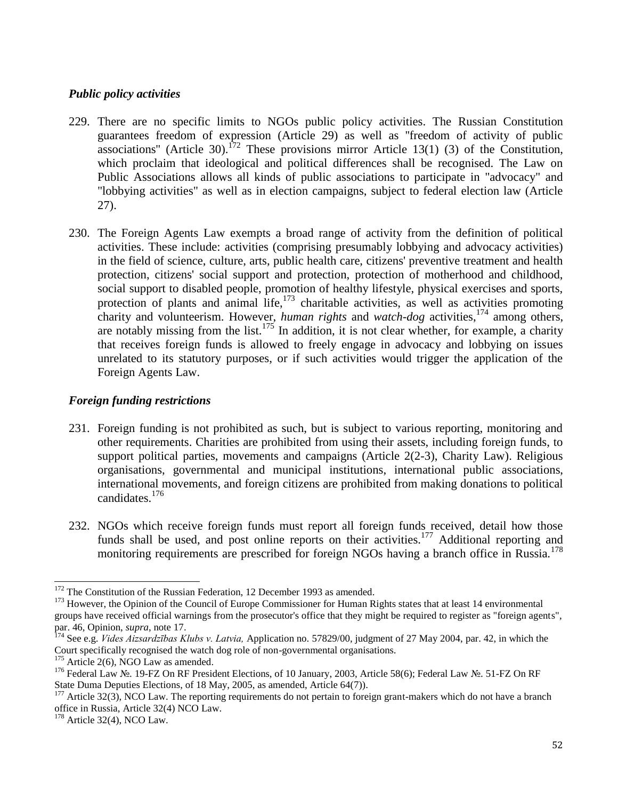## *Public policy activities*

- 229. There are no specific limits to NGOs public policy activities. The Russian Constitution guarantees freedom of expression (Article 29) as well as ''freedom of activity of public associations" (Article 30).<sup>172</sup> These provisions mirror Article 13(1) (3) of the Constitution, which proclaim that ideological and political differences shall be recognised. The Law on Public Associations allows all kinds of public associations to participate in "advocacy" and "lobbying activities" as well as in election campaigns, subject to federal election law (Article 27).
- 230. The Foreign Agents Law exempts a broad range of activity from the definition of political activities. These include: activities (comprising presumably lobbying and advocacy activities) in the field of science, culture, arts, public health care, citizens' preventive treatment and health protection, citizens' social support and protection, protection of motherhood and childhood, social support to disabled people, promotion of healthy lifestyle, physical exercises and sports, protection of plants and animal life,  $173$  charitable activities, as well as activities promoting charity and volunteerism. However, *human rights* and *watch-dog* activities,<sup>174</sup> among others, are notably missing from the list.<sup>175</sup> In addition, it is not clear whether, for example, a charity that receives foreign funds is allowed to freely engage in advocacy and lobbying on issues unrelated to its statutory purposes, or if such activities would trigger the application of the Foreign Agents Law.

## *Foreign funding restrictions*

- 231. Foreign funding is not prohibited as such, but is subject to various reporting, monitoring and other requirements. Charities are prohibited from using their assets, including foreign funds, to support political parties, movements and campaigns (Article 2(2-3), Charity Law). Religious organisations, governmental and municipal institutions, international public associations, international movements, and foreign citizens are prohibited from making donations to political candidates.<sup>176</sup>
- 232. NGOs which receive foreign funds must report all foreign funds received, detail how those funds shall be used, and post online reports on their activities.<sup>177</sup> Additional reporting and monitoring requirements are prescribed for foreign NGOs having a branch office in Russia.<sup>178</sup>

l  $172$  The Constitution of the Russian Federation, 12 December 1993 as amended.

<sup>&</sup>lt;sup>173</sup> However, the Opinion of the Council of Europe Commissioner for Human Rights states that at least 14 environmental groups have received official warnings from the prosecutor's office that they might be required to register as "foreign agents", par. 46, Opinion, *supra*, note 17.

<sup>174</sup> See e.g. *Vides Aizsardzības Klubs v. Latvia,* Application no. 57829/00, judgment of 27 May 2004, par. 42, in which the Court specifically recognised the watch dog role of non-governmental organisations.

 $175$  Article 2(6), NGO Law as amended.

<sup>176</sup> Federal Law №. 19-FZ On RF President Elections, of 10 January, 2003, Article 58(6); Federal Law №. 51-FZ On RF State Duma Deputies Elections, of 18 May, 2005, as amended, Article 64(7)).

<sup>&</sup>lt;sup>177</sup> Article 32(3), NCO Law. The reporting requirements do not pertain to foreign grant-makers which do not have a branch office in Russia, Article 32(4) NCO Law.

<sup>178</sup> Article 32(4), NCO Law.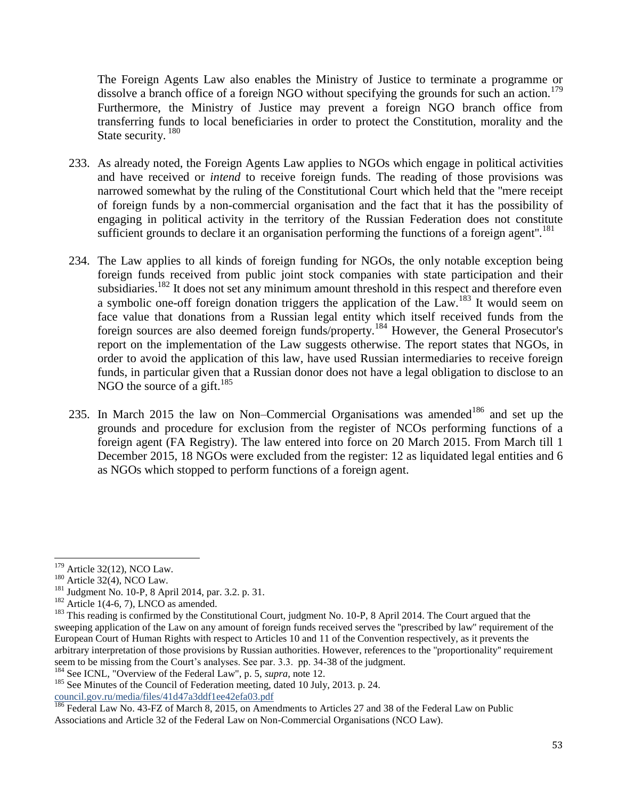The Foreign Agents Law also enables the Ministry of Justice to terminate a programme or dissolve a branch office of a foreign NGO without specifying the grounds for such an action.<sup>179</sup> Furthermore, the Ministry of Justice may prevent a foreign NGO branch office from transferring funds to local beneficiaries in order to protect the Constitution, morality and the State security.<sup>180</sup>

- 233. As already noted, the Foreign Agents Law applies to NGOs which engage in political activities and have received or *intend* to receive foreign funds. The reading of those provisions was narrowed somewhat by the ruling of the Constitutional Court which held that the ''mere receipt of foreign funds by a non-commercial organisation and the fact that it has the possibility of engaging in political activity in the territory of the Russian Federation does not constitute sufficient grounds to declare it an organisation performing the functions of a foreign agent".<sup>181</sup>
- 234. The Law applies to all kinds of foreign funding for NGOs, the only notable exception being foreign funds received from public joint stock companies with state participation and their subsidiaries.<sup>182</sup> It does not set any minimum amount threshold in this respect and therefore even a symbolic one-off foreign donation triggers the application of the Law.<sup>183</sup> It would seem on face value that donations from a Russian legal entity which itself received funds from the foreign sources are also deemed foreign funds/property.<sup>184</sup> However, the General Prosecutor's report on the implementation of the Law suggests otherwise. The report states that NGOs, in order to avoid the application of this law, have used Russian intermediaries to receive foreign funds, in particular given that a Russian donor does not have a legal obligation to disclose to an NGO the source of a gift.<sup>185</sup>
- 235. In March 2015 the law on Non–Commercial Organisations was amended<sup>186</sup> and set up the grounds and procedure for exclusion from the register of NCOs performing functions of a foreign agent (FA Registry). The law entered into force on 20 March 2015. From March till 1 December 2015, 18 NGOs were excluded from the register: 12 as liquidated legal entities and 6 as NGOs which stopped to perform functions of a foreign agent.

<sup>184</sup> See ICNL, "Overview of the Federal Law", p. 5, *supra*, note 12.

 $\overline{\phantom{0}}$  $179$  Article 32(12), NCO Law.

 $180$  Article 32(4), NCO Law.

<sup>181</sup> Judgment No. 10-P, 8 April 2014, par. 3.2. p. 31.

 $182$  Article 1(4-6, 7), LNCO as amended.

<sup>&</sup>lt;sup>183</sup> This reading is confirmed by the Constitutional Court, judgment No. 10-P, 8 April 2014. The Court argued that the sweeping application of the Law on any amount of foreign funds received serves the ''prescribed by law'' requirement of the European Court of Human Rights with respect to Articles 10 and 11 of the Convention respectively, as it prevents the arbitrary interpretation of those provisions by Russian authorities. However, references to the ''proportionality'' requirement seem to be missing from the Court's analyses. See par. 3.3. pp. 34-38 of the judgment.

<sup>&</sup>lt;sup>185</sup> See Minutes of the Council of Federation meeting, dated 10 July, 2013. p. 24. council.gov.ru/media/files/41d47a3ddf1ee42efa03.pdf

<sup>&</sup>lt;sup>186</sup> Federal Law No. 43-FZ of March 8, 2015, on Amendments to Articles 27 and 38 of the Federal Law on Public Associations and Article 32 of the Federal Law on Non-Commercial Organisations (NCO Law).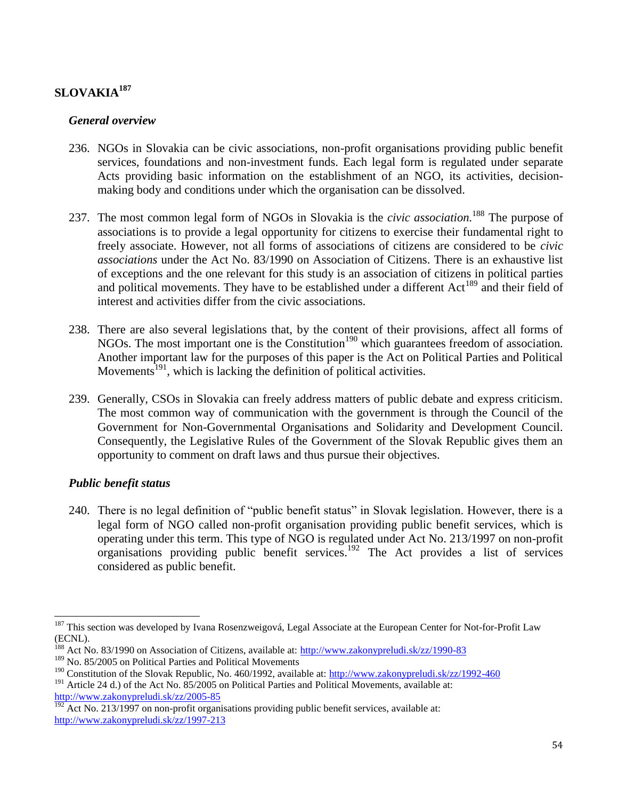# **SLOVAKIA<sup>187</sup>**

## *General overview*

- 236. NGOs in Slovakia can be civic associations, non-profit organisations providing public benefit services, foundations and non-investment funds. Each legal form is regulated under separate Acts providing basic information on the establishment of an NGO, its activities, decisionmaking body and conditions under which the organisation can be dissolved.
- 237. The most common legal form of NGOs in Slovakia is the *civic association.*<sup>188</sup> The purpose of associations is to provide a legal opportunity for citizens to exercise their fundamental right to freely associate. However, not all forms of associations of citizens are considered to be *civic associations* under the Act No. 83/1990 on Association of Citizens. There is an exhaustive list of exceptions and the one relevant for this study is an association of citizens in political parties and political movements. They have to be established under a different  $Act^{189}$  and their field of interest and activities differ from the civic associations.
- 238. There are also several legislations that, by the content of their provisions, affect all forms of NGOs. The most important one is the Constitution<sup>190</sup> which guarantees freedom of association. Another important law for the purposes of this paper is the Act on Political Parties and Political Movements<sup>191</sup>, which is lacking the definition of political activities.
- 239. Generally, CSOs in Slovakia can freely address matters of public debate and express criticism. The most common way of communication with the government is through the Council of the Government for Non-Governmental Organisations and Solidarity and Development Council. Consequently, the Legislative Rules of the Government of the Slovak Republic gives them an opportunity to comment on draft laws and thus pursue their objectives.

## *Public benefit status*

l

240. There is no legal definition of "public benefit status" in Slovak legislation. However, there is a legal form of NGO called non-profit organisation providing public benefit services, which is operating under this term. This type of NGO is regulated under Act No. 213/1997 on non-profit organisations providing public benefit services. <sup>192</sup> The Act provides a list of services considered as public benefit.

<sup>&</sup>lt;sup>187</sup> This section was developed by Ivana Rosenzweigová, Legal Associate at the European Center for Not-for-Profit Law (ECNL).

<sup>&</sup>lt;sup>188</sup> Act No. 83/1990 on Association of Citizens, available at:<http://www.zakonypreludi.sk/zz/1990-83>

<sup>&</sup>lt;sup>189</sup> No. 85/2005 on Political Parties and Political Movements

<sup>&</sup>lt;sup>190</sup> Constitution of the Slovak Republic, No. 460/1992, available at:<http://www.zakonypreludi.sk/zz/1992-460>

<sup>&</sup>lt;sup>191</sup> Article 24 d.) of the Act No.  $85/2005$  on Political Parties and Political Movements, available at: <http://www.zakonypreludi.sk/zz/2005-85>

 $192$  Act No. 213/1997 on non-profit organisations providing public benefit services, available at: <http://www.zakonypreludi.sk/zz/1997-213>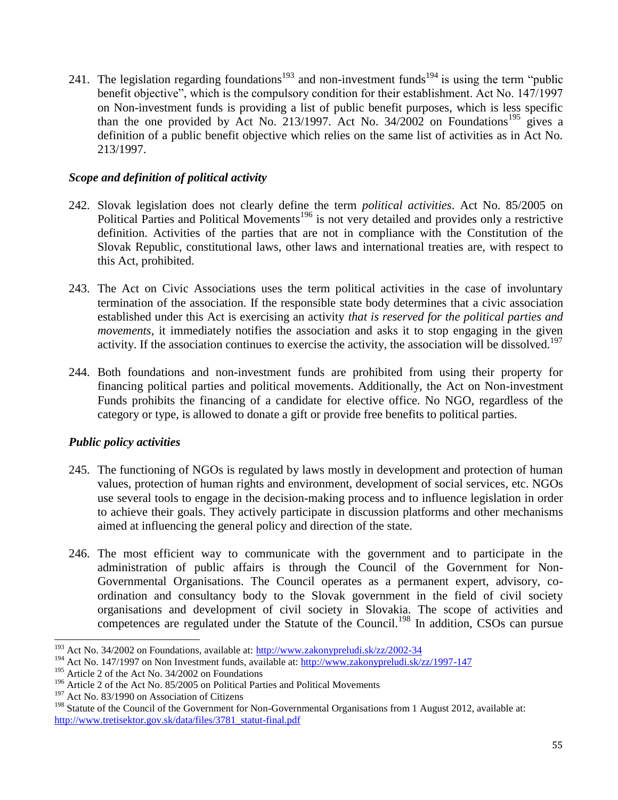241. The legislation regarding foundations<sup>193</sup> and non-investment funds<sup>194</sup> is using the term "public benefit objective", which is the compulsory condition for their establishment. Act No. 147/1997 on Non-investment funds is providing a list of public benefit purposes, which is less specific than the one provided by Act No. 213/1997. Act No.  $34/2002$  on Foundations<sup>195</sup> gives a definition of a public benefit objective which relies on the same list of activities as in Act No. 213/1997.

## *Scope and definition of political activity*

- 242. Slovak legislation does not clearly define the term *political activities*. Act No. 85/2005 on Political Parties and Political Movements<sup>196</sup> is not very detailed and provides only a restrictive definition. Activities of the parties that are not in compliance with the Constitution of the Slovak Republic, constitutional laws, other laws and international treaties are, with respect to this Act, prohibited.
- 243. The Act on Civic Associations uses the term political activities in the case of involuntary termination of the association. If the responsible state body determines that a civic association established under this Act is exercising an activity *that is reserved for the political parties and movements*, it immediately notifies the association and asks it to stop engaging in the given activity. If the association continues to exercise the activity, the association will be dissolved.<sup>197</sup>
- 244. Both foundations and non-investment funds are prohibited from using their property for financing political parties and political movements. Additionally, the Act on Non-investment Funds prohibits the financing of a candidate for elective office. No NGO, regardless of the category or type, is allowed to donate a gift or provide free benefits to political parties.

## *Public policy activities*

- 245. The functioning of NGOs is regulated by laws mostly in development and protection of human values, protection of human rights and environment, development of social services, etc. NGOs use several tools to engage in the decision-making process and to influence legislation in order to achieve their goals. They actively participate in discussion platforms and other mechanisms aimed at influencing the general policy and direction of the state.
- 246. The most efficient way to communicate with the government and to participate in the administration of public affairs is through the Council of the Government for Non-Governmental Organisations. The Council operates as a permanent expert, advisory, coordination and consultancy body to the Slovak government in the field of civil society organisations and development of civil society in Slovakia. The scope of activities and competences are regulated under the Statute of the Council.<sup>198</sup> In addition, CSOs can pursue

 $\overline{a}$ <sup>193</sup> Act No. 34/2002 on Foundations, available at:  $\frac{http://www.zakonypreludi.sk/zz/2002-34}{http://www.zakonypreludi.sk/zz/2002-34}$ 

<sup>194</sup> Act No. 147/1997 on Non Investment funds, available at:<http://www.zakonypreludi.sk/zz/1997-147>

<sup>&</sup>lt;sup>195</sup> Article 2 of the Act No. 34/2002 on Foundations

 $196$  Article 2 of the Act No. 85/2005 on Political Parties and Political Movements

<sup>&</sup>lt;sup>197</sup> Act No. 83/1990 on Association of Citizens

<sup>&</sup>lt;sup>198</sup> Statute of the Council of the Government for Non-Governmental Organisations from 1 August 2012, available at: [http://www.tretisektor.gov.sk/data/files/3781\\_statut-final.pdf](http://www.tretisektor.gov.sk/data/files/3781_statut-final.pdf)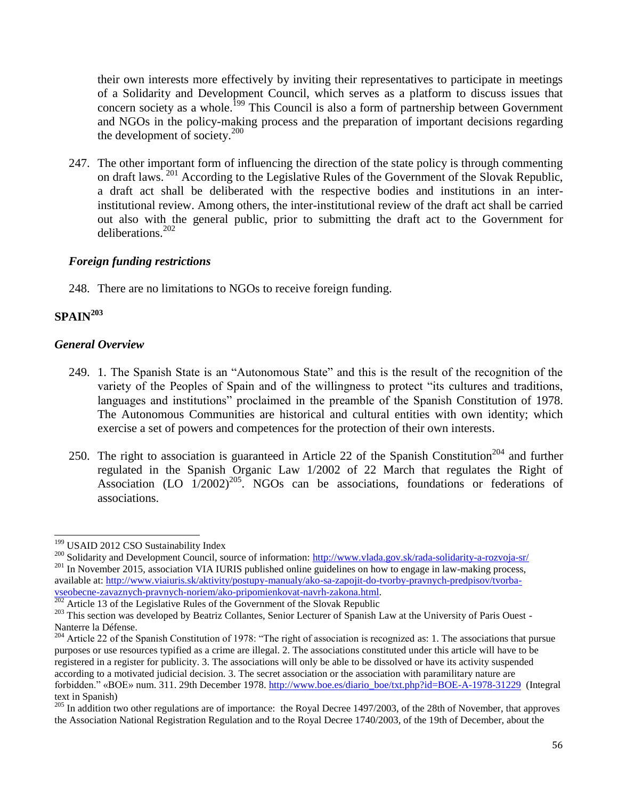their own interests more effectively by inviting their representatives to participate in meetings of a Solidarity and Development Council, which serves as a platform to discuss issues that concern society as a whole.<sup>199</sup> This Council is also a form of partnership between Government and NGOs in the policy-making process and the preparation of important decisions regarding the development of society. $200$ 

247. The other important form of influencing the direction of the state policy is through commenting on draft laws. <sup>201</sup> According to the Legislative Rules of the Government of the Slovak Republic, a draft act shall be deliberated with the respective bodies and institutions in an interinstitutional review. Among others, the inter-institutional review of the draft act shall be carried out also with the general public, prior to submitting the draft act to the Government for deliberations<sup>202</sup>

## *Foreign funding restrictions*

248. There are no limitations to NGOs to receive foreign funding.

# **SPAIN<sup>203</sup>**

 $\overline{\phantom{0}}$ 

## *General Overview*

- 249. 1. The Spanish State is an "Autonomous State" and this is the result of the recognition of the variety of the Peoples of Spain and of the willingness to protect "its cultures and traditions, languages and institutions" proclaimed in the preamble of the Spanish Constitution of 1978. The Autonomous Communities are historical and cultural entities with own identity; which exercise a set of powers and competences for the protection of their own interests.
- 250. The right to association is guaranteed in Article 22 of the Spanish Constitution<sup>204</sup> and further regulated in the Spanish Organic Law 1/2002 of 22 March that regulates the Right of Association (LO  $1/2002$ )<sup>205</sup>. NGOs can be associations, foundations or federations of associations.

<sup>&</sup>lt;sup>199</sup> USAID 2012 CSO Sustainability Index

<sup>&</sup>lt;sup>200</sup> Solidarity and Development Council, source of information: http://www.ylada.gov.sk/rada-solidarity-a-rozvoja-sr/ <sup>201</sup> In November 2015, association VIA IURIS published online guidelines on how to engage in law-making process, available at: [http://www.viaiuris.sk/aktivity/postupy-manualy/ako-sa-zapojit-do-tvorby-pravnych-predpisov/tvorba](http://www.viaiuris.sk/aktivity/postupy-manualy/ako-sa-zapojit-do-tvorby-pravnych-predpisov/tvorba-vseobecne-zavaznych-pravnych-noriem/ako-pripomienkovat-navrh-zakona.html)[vseobecne-zavaznych-pravnych-noriem/ako-pripomienkovat-navrh-zakona.html.](http://www.viaiuris.sk/aktivity/postupy-manualy/ako-sa-zapojit-do-tvorby-pravnych-predpisov/tvorba-vseobecne-zavaznych-pravnych-noriem/ako-pripomienkovat-navrh-zakona.html)

<sup>&</sup>lt;sup>202</sup> Article 13 of the Legislative Rules of the Government of the Slovak Republic

<sup>&</sup>lt;sup>203</sup> This section was developed by Beatriz Collantes, Senior Lecturer of Spanish Law at the University of Paris Ouest -Nanterre la Défense.

<sup>&</sup>lt;sup>204</sup> Article 22 of the Spanish Constitution of 1978: "The right of association is recognized as: 1. The associations that pursue purposes or use resources typified as a crime are illegal. 2. The associations constituted under this article will have to be registered in a register for publicity. 3. The associations will only be able to be dissolved or have its activity suspended according to a motivated judicial decision. 3. The secret association or the association with paramilitary nature are forbidden." «BOE» num. 311. 29th December 1978. [http://www.boe.es/diario\\_boe/txt.php?id=BOE-A-1978-31229](http://www.boe.es/diario_boe/txt.php?id=BOE-A-1978-31229) (Integral text in Spanish)

 $^{205}$  In addition two other regulations are of importance: the Royal Decree 1497/2003, of the 28th of November, that approves the Association National Registration Regulation and to the Royal Decree 1740/2003, of the 19th of December, about the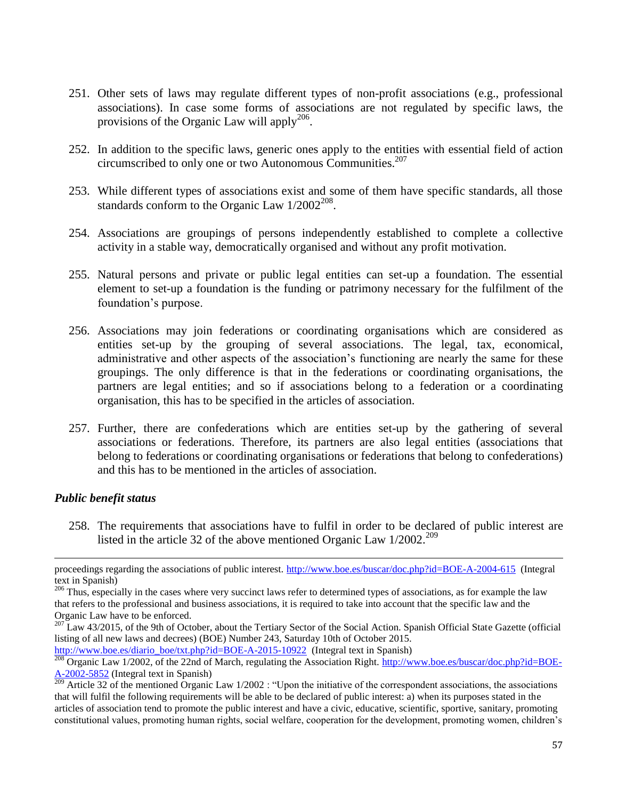- 251. Other sets of laws may regulate different types of non-profit associations (e.g., professional associations). In case some forms of associations are not regulated by specific laws, the provisions of the Organic Law will apply<sup>206</sup>.
- 252. In addition to the specific laws, generic ones apply to the entities with essential field of action circumscribed to only one or two Autonomous Communities.<sup>207</sup>
- 253. While different types of associations exist and some of them have specific standards, all those standards conform to the Organic Law  $1/2002^{208}$ .
- 254. Associations are groupings of persons independently established to complete a collective activity in a stable way, democratically organised and without any profit motivation.
- 255. Natural persons and private or public legal entities can set-up a foundation. The essential element to set-up a foundation is the funding or patrimony necessary for the fulfilment of the foundation's purpose.
- 256. Associations may join federations or coordinating organisations which are considered as entities set-up by the grouping of several associations. The legal, tax, economical, administrative and other aspects of the association's functioning are nearly the same for these groupings. The only difference is that in the federations or coordinating organisations, the partners are legal entities; and so if associations belong to a federation or a coordinating organisation, this has to be specified in the articles of association.
- 257. Further, there are confederations which are entities set-up by the gathering of several associations or federations. Therefore, its partners are also legal entities (associations that belong to federations or coordinating organisations or federations that belong to confederations) and this has to be mentioned in the articles of association.

#### *Public benefit status*

 $\overline{\phantom{0}}$ 

258. The requirements that associations have to fulfil in order to be declared of public interest are listed in the article 32 of the above mentioned Organic Law 1/2002.<sup>209</sup>

[http://www.boe.es/diario\\_boe/txt.php?id=BOE-A-2015-10922](http://www.boe.es/diario_boe/txt.php?id=BOE-A-2015-10922) (Integral text in Spanish)

proceedings regarding the associations of public interest.<http://www.boe.es/buscar/doc.php?id=BOE-A-2004-615>(Integral text in Spanish)

 $206$  Thus, especially in the cases where very succinct laws refer to determined types of associations, as for example the law that refers to the professional and business associations, it is required to take into account that the specific law and the Organic Law have to be enforced.

<sup>&</sup>lt;sup>207</sup> Law 43/2015, of the 9th of October, about the Tertiary Sector of the Social Action. Spanish Official State Gazette (official listing of all new laws and decrees) (BOE) Number 243, Saturday 10th of October 2015.

 $\frac{208}{208}$  Organic Law 1/2002, of the 22nd of March, regulating the Association Right. [http://www.boe.es/buscar/doc.php?id=BOE-](http://www.boe.es/buscar/doc.php?id=BOE-A-2002-5852)[A-2002-5852](http://www.boe.es/buscar/doc.php?id=BOE-A-2002-5852) (Integral text in Spanish)

 $209$  Article 32 of the mentioned Organic Law 1/2002 : "Upon the initiative of the correspondent associations, the associations that will fulfil the following requirements will be able to be declared of public interest: a) when its purposes stated in the articles of association tend to promote the public interest and have a civic, educative, scientific, sportive, sanitary, promoting constitutional values, promoting human rights, social welfare, cooperation for the development, promoting women, children's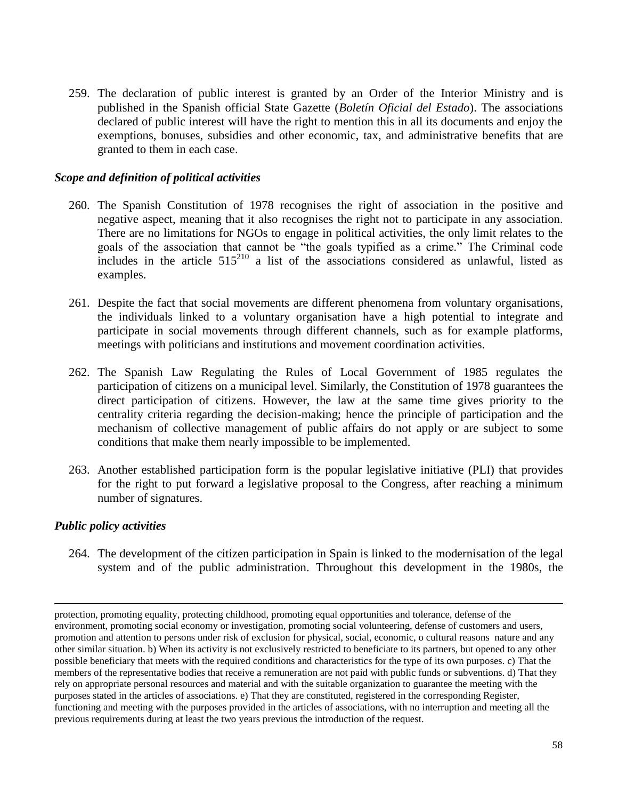259. The declaration of public interest is granted by an Order of the Interior Ministry and is published in the Spanish official State Gazette (*Boletín Oficial del Estado*). The associations declared of public interest will have the right to mention this in all its documents and enjoy the exemptions, bonuses, subsidies and other economic, tax, and administrative benefits that are granted to them in each case.

## *Scope and definition of political activities*

- 260. The Spanish Constitution of 1978 recognises the right of association in the positive and negative aspect, meaning that it also recognises the right not to participate in any association. There are no limitations for NGOs to engage in political activities, the only limit relates to the goals of the association that cannot be "the goals typified as a crime." The Criminal code includes in the article  $515^{210}$  a list of the associations considered as unlawful, listed as examples.
- 261. Despite the fact that social movements are different phenomena from voluntary organisations, the individuals linked to a voluntary organisation have a high potential to integrate and participate in social movements through different channels, such as for example platforms, meetings with politicians and institutions and movement coordination activities.
- 262. The Spanish Law Regulating the Rules of Local Government of 1985 regulates the participation of citizens on a municipal level. Similarly, the Constitution of 1978 guarantees the direct participation of citizens. However, the law at the same time gives priority to the centrality criteria regarding the decision-making; hence the principle of participation and the mechanism of collective management of public affairs do not apply or are subject to some conditions that make them nearly impossible to be implemented.
- 263. Another established participation form is the popular legislative initiative (PLI) that provides for the right to put forward a legislative proposal to the Congress, after reaching a minimum number of signatures.

#### *Public policy activities*

 $\overline{a}$ 

264. The development of the citizen participation in Spain is linked to the modernisation of the legal system and of the public administration. Throughout this development in the 1980s, the

protection, promoting equality, protecting childhood, promoting equal opportunities and tolerance, defense of the environment, promoting social economy or investigation, promoting social volunteering, defense of customers and users, promotion and attention to persons under risk of exclusion for physical, social, economic, o cultural reasons nature and any other similar situation. b) When its activity is not exclusively restricted to beneficiate to its partners, but opened to any other possible beneficiary that meets with the required conditions and characteristics for the type of its own purposes. c) That the members of the representative bodies that receive a remuneration are not paid with public funds or subventions. d) That they rely on appropriate personal resources and material and with the suitable organization to guarantee the meeting with the purposes stated in the articles of associations. e) That they are constituted, registered in the corresponding Register, functioning and meeting with the purposes provided in the articles of associations, with no interruption and meeting all the previous requirements during at least the two years previous the introduction of the request.